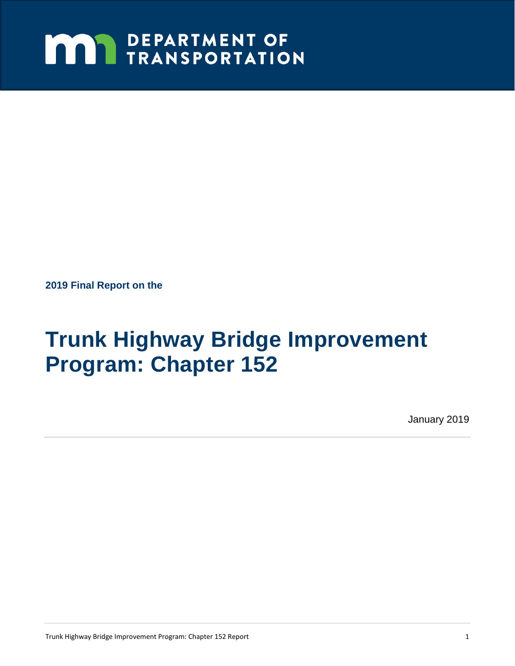# **MAY DEPARTMENT OF TRANSPORTATION**

**2019 Final Report on the** 

# **Trunk Highway Bridge Improvement Program: Chapter 152**

January 2019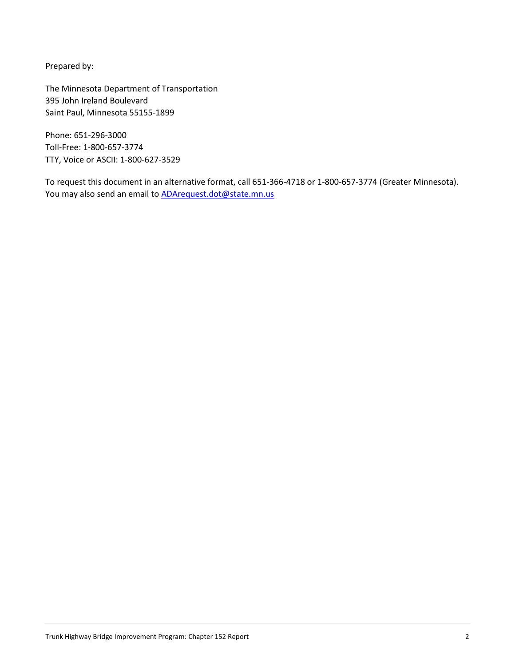Prepared by:

The Minnesota Department of Transportation 395 John Ireland Boulevard Saint Paul, Minnesota 55155-1899

 TTY, Voice or ASCII: 1-800-627-3529 Phone: 651-296-3000 Toll-Free: 1-800-657-3774

To request this document in an alternative format, call 651-366-4718 or 1-800-657-3774 (Greater Minnesota). You may also send an email to **ADArequest.dot@state.mn.us**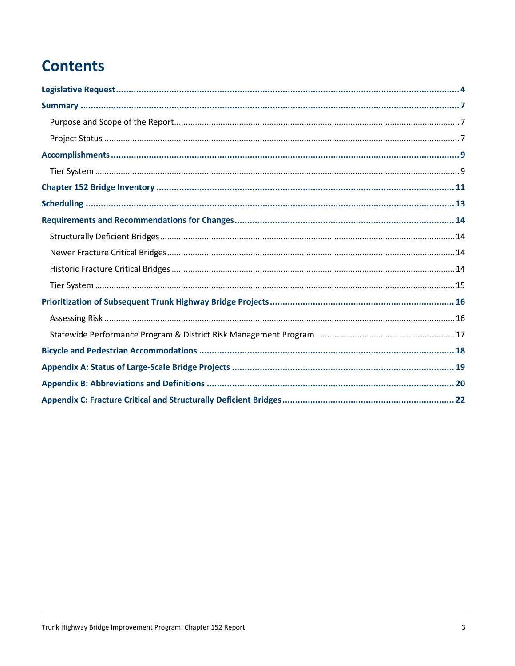# **Contents**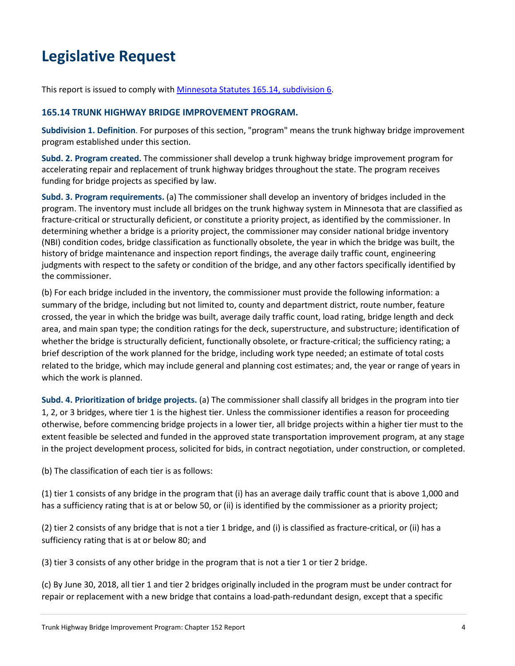# **Legislative Request**

This report is issued to comply with Minnesota Statutes 165.14, subdivision 6.

#### **165.14 TRUNK HIGHWAY BRIDGE IMPROVEMENT PROGRAM.**

**Subdivision 1. Definition**. For purposes of this section, "program" means the trunk highway bridge improvement program established under this section.

**Subd. 2. Program created.** The commissioner shall develop a trunk highway bridge improvement program for accelerating repair and replacement of trunk highway bridges throughout the state. The program receives funding for bridge projects as specified by law.

 **Subd. 3. Program requirements.** (a) The commissioner shall develop an inventory of bridges included in the (NBI) condition codes, bridge classification as functionally obsolete, the year in which the bridge was built, the judgments with respect to the safety or condition of the bridge, and any other factors specifically identified by program. The inventory must include all bridges on the trunk highway system in Minnesota that are classified as fracture-critical or structurally deficient, or constitute a priority project, as identified by the commissioner. In determining whether a bridge is a priority project, the commissioner may consider national bridge inventory history of bridge maintenance and inspection report findings, the average daily traffic count, engineering the commissioner.

 (b) For each bridge included in the inventory, the commissioner must provide the following information: a summary of the bridge, including but not limited to, county and department district, route number, feature related to the bridge, which may include general and planning cost estimates; and, the year or range of years in crossed, the year in which the bridge was built, average daily traffic count, load rating, bridge length and deck area, and main span type; the condition ratings for the deck, superstructure, and substructure; identification of whether the bridge is structurally deficient, functionally obsolete, or fracture-critical; the sufficiency rating; a brief description of the work planned for the bridge, including work type needed; an estimate of total costs which the work is planned.

**Subd. 4. Prioritization of bridge projects.** (a) The commissioner shall classify all bridges in the program into tier 1, 2, or 3 bridges, where tier 1 is the highest tier. Unless the commissioner identifies a reason for proceeding otherwise, before commencing bridge projects in a lower tier, all bridge projects within a higher tier must to the extent feasible be selected and funded in the approved state transportation improvement program, at any stage in the project development process, solicited for bids, in contract negotiation, under construction, or completed.

(b) The classification of each tier is as follows:

(1) tier 1 consists of any bridge in the program that (i) has an average daily traffic count that is above 1,000 and has a sufficiency rating that is at or below 50, or (ii) is identified by the commissioner as a priority project;

(2) tier 2 consists of any bridge that is not a tier 1 bridge, and (i) is classified as fracture-critical, or (ii) has a sufficiency rating that is at or below 80; and

(3) tier 3 consists of any other bridge in the program that is not a tier 1 or tier 2 bridge.

(c) By June 30, 2018, all tier 1 and tier 2 bridges originally included in the program must be under contract for repair or replacement with a new bridge that contains a load-path-redundant design, except that a specific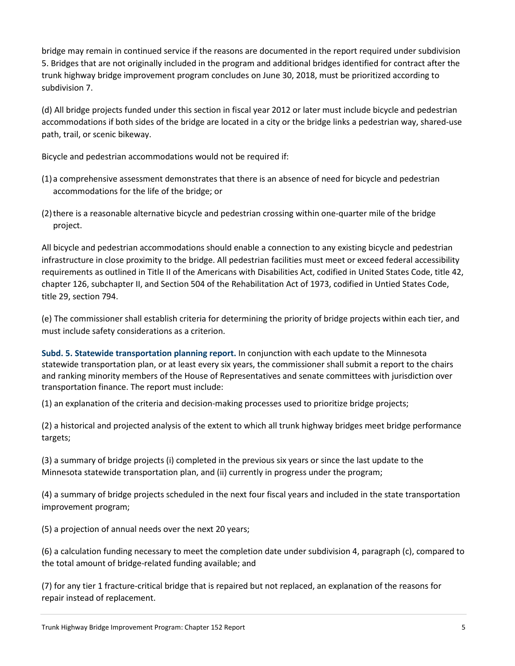bridge may remain in continued service if the reasons are documented in the report required under subdivision 5. Bridges that are not originally included in the program and additional bridges identified for contract after the trunk highway bridge improvement program concludes on June 30, 2018, must be prioritized according to subdivision 7.

 (d) All bridge projects funded under this section in fiscal year 2012 or later must include bicycle and pedestrian accommodations if both sides of the bridge are located in a city or the bridge links a pedestrian way, shared-use path, trail, or scenic bikeway.

Bicycle and pedestrian accommodations would not be required if:

- accommodations for the life of the bridge; or (1)a comprehensive assessment demonstrates that there is an absence of need for bicycle and pedestrian
- accommodations for the life of the bridge; or<br>(2) there is a reasonable alternative bicycle and pedestrian crossing within one-quarter mile of the bridge) project.

 requirements as outlined in Title II of the Americans with Disabilities Act, codified in United States Code, title 42, chapter 126, subchapter II, and Section 504 of the Rehabilitation Act of 1973, codified in Untied States Code, All bicycle and pedestrian accommodations should enable a connection to any existing bicycle and pedestrian infrastructure in close proximity to the bridge. All pedestrian facilities must meet or exceed federal accessibility title 29, section 794.

 (e) The commissioner shall establish criteria for determining the priority of bridge projects within each tier, and must include safety considerations as a criterion.

 **Subd. 5. Statewide transportation planning report.** In conjunction with each update to the Minnesota statewide transportation plan, or at least every six years, the commissioner shall submit a report to the chairs and ranking minority members of the House of Representatives and senate committees with jurisdiction over transportation finance. The report must include:

(1) an explanation of the criteria and decision-making processes used to prioritize bridge projects;

(2) a historical and projected analysis of the extent to which all trunk highway bridges meet bridge performance targets;

(3) a summary of bridge projects (i) completed in the previous six years or since the last update to the Minnesota statewide transportation plan, and (ii) currently in progress under the program;

(4) a summary of bridge projects scheduled in the next four fiscal years and included in the state transportation improvement program;

(5) a projection of annual needs over the next 20 years;

 the total amount of bridge-related funding available; and (6) a calculation funding necessary to meet the completion date under subdivision 4, paragraph (c), compared to

(7) for any tier 1 fracture-critical bridge that is repaired but not replaced, an explanation of the reasons for repair instead of replacement.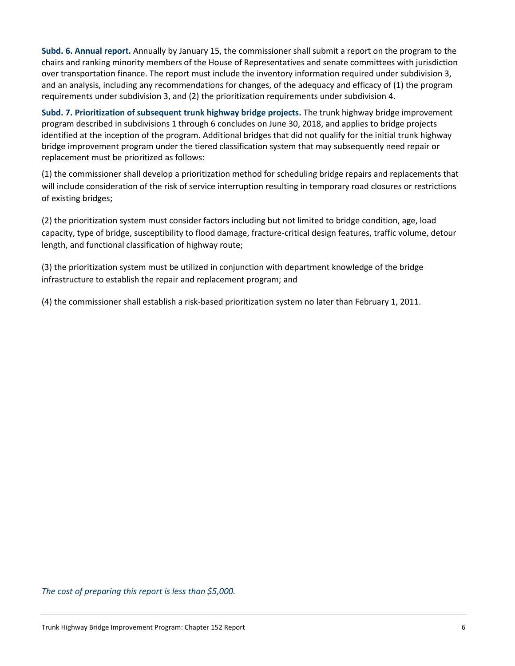**Subd. 6. Annual report.** Annually by January 15, the commissioner shall submit a report on the program to the chairs and ranking minority members of the House of Representatives and senate committees with jurisdiction over transportation finance. The report must include the inventory information required under subdivision 3, and an analysis, including any recommendations for changes, of the adequacy and efficacy of (1) the program requirements under subdivision 3, and (2) the prioritization requirements under subdivision 4.

 **Subd. 7. Prioritization of subsequent trunk highway bridge projects.** The trunk highway bridge improvement program described in subdivisions 1 through 6 concludes on June 30, 2018, and applies to bridge projects identified at the inception of the program. Additional bridges that did not qualify for the initial trunk highway bridge improvement program under the tiered classification system that may subsequently need repair or replacement must be prioritized as follows:

 (1) the commissioner shall develop a prioritization method for scheduling bridge repairs and replacements that will include consideration of the risk of service interruption resulting in temporary road closures or restrictions of existing bridges;

 (2) the prioritization system must consider factors including but not limited to bridge condition, age, load capacity, type of bridge, susceptibility to flood damage, fracture-critical design features, traffic volume, detour length, and functional classification of highway route;

 infrastructure to establish the repair and replacement program; and (3) the prioritization system must be utilized in conjunction with department knowledge of the bridge

(4) the commissioner shall establish a risk-based prioritization system no later than February 1, 2011.

*The cost of preparing this report is less than \$5,000.*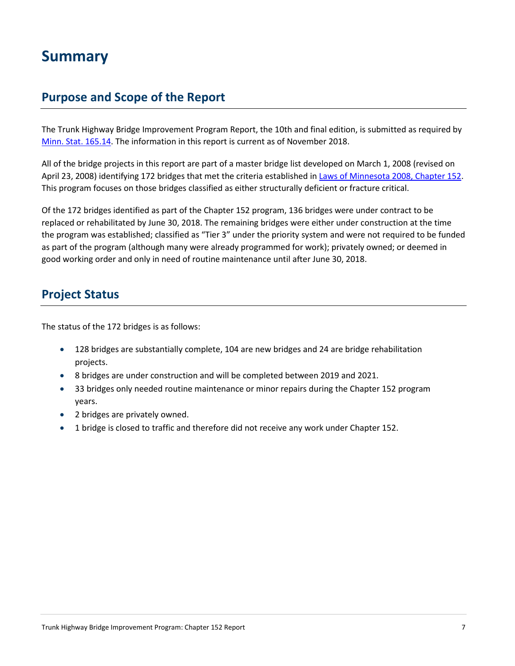# **Summary**

## **Purpose and Scope of the Report**

The Trunk Highway Bridge Improvement Program Report, the 10th and final edition, is submitted as required by Minn. Stat. 165.14. The information in this report is current as of November 2018.

 All of the bridge projects in this report are part of a master bridge list developed on March 1, 2008 (revised on April 23, 2008) identifying 172 bridges that met the criteria established in Laws of Minnesota 2008, Chapter 152. This program focuses on those bridges classified as either structurally deficient or fracture critical.

 the program was established; classified as "Tier 3" under the priority system and were not required to be funded as part of the program (although many were already programmed for work); privately owned; or deemed in good working order and only in need of routine maintenance until after June 30, 2018. Of the 172 bridges identified as part of the Chapter 152 program, 136 bridges were under contract to be replaced or rehabilitated by June 30, 2018. The remaining bridges were either under construction at the time

# **Project Status**

The status of the 172 bridges is as follows:

- 128 bridges are substantially complete, 104 are new bridges and 24 are bridge rehabilitation projects.
- 8 bridges are under construction and will be completed between 2019 and 2021.
- 33 bridges only needed routine maintenance or minor repairs during the Chapter 152 program years.
- 2 bridges are privately owned.
- 1 bridge is closed to traffic and therefore did not receive any work under Chapter 152.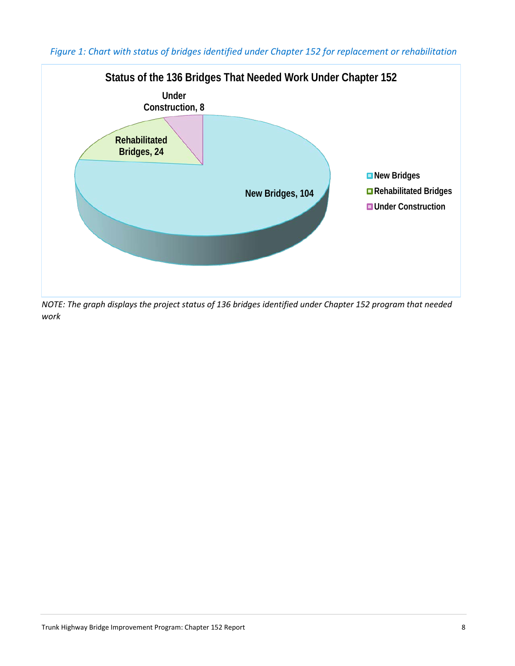

*Figure 1: Chart with status of bridges identified under Chapter 152 for replacement or rehabilitation* 

 *NOTE: The graph displays the project status of 136 bridges identified under Chapter 152 program that needed work*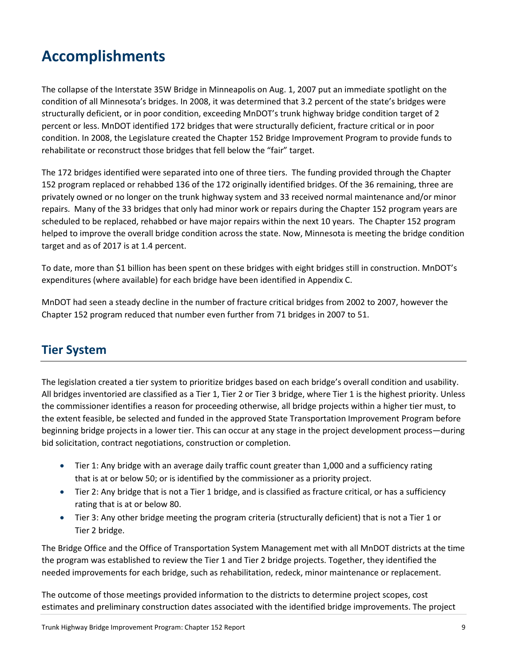# **Accomplishments**

 The collapse of the Interstate 35W Bridge in Minneapolis on Aug. 1, 2007 put an immediate spotlight on the condition of all Minnesota's bridges. In 2008, it was determined that 3.2 percent of the state's bridges were structurally deficient, or in poor condition, exceeding MnDOT's trunk highway bridge condition target of 2 condition. In 2008, the Legislature created the Chapter 152 Bridge Improvement Program to provide funds to percent or less. MnDOT identified 172 bridges that were structurally deficient, fracture critical or in poor rehabilitate or reconstruct those bridges that fell below the "fair" target.

 The 172 bridges identified were separated into one of three tiers. The funding provided through the Chapter 152 program replaced or rehabbed 136 of the 172 originally identified bridges. Of the 36 remaining, three are privately owned or no longer on the trunk highway system and 33 received normal maintenance and/or minor repairs. Many of the 33 bridges that only had minor work or repairs during the Chapter 152 program years are scheduled to be replaced, rehabbed or have major repairs within the next 10 years. The Chapter 152 program helped to improve the overall bridge condition across the state. Now, Minnesota is meeting the bridge condition target and as of 2017 is at 1.4 percent.

 To date, more than \$1 billion has been spent on these bridges with eight bridges still in construction. MnDOT's expenditures (where available) for each bridge have been identified in Appendix C.

 Chapter 152 program reduced that number even further from 71 bridges in 2007 to 51. MnDOT had seen a steady decline in the number of fracture critical bridges from 2002 to 2007, however the

# **Tier System**

 All bridges inventoried are classified as a Tier 1, Tier 2 or Tier 3 bridge, where Tier 1 is the highest priority. Unless the commissioner identifies a reason for proceeding otherwise, all bridge projects within a higher tier must, to The legislation created a tier system to prioritize bridges based on each bridge's overall condition and usability. the extent feasible, be selected and funded in the approved State Transportation Improvement Program before beginning bridge projects in a lower tier. This can occur at any stage in the project development process—during bid solicitation, contract negotiations, construction or completion.

- that is at or below 50; or is identified by the commissioner as a priority project. • Tier 1: Any bridge with an average daily traffic count greater than 1,000 and a sufficiency rating
- Tier 2: Any bridge that is not a Tier 1 bridge, and is classified as fracture critical, or has a sufficiency rating that is at or below 80.
- • Tier 3: Any other bridge meeting the program criteria (structurally deficient) that is not a Tier 1 or Tier 2 bridge.

 The Bridge Office and the Office of Transportation System Management met with all MnDOT districts at the time the program was established to review the Tier 1 and Tier 2 bridge projects. Together, they identified the needed improvements for each bridge, such as rehabilitation, redeck, minor maintenance or replacement.

 The outcome of those meetings provided information to the districts to determine project scopes, cost estimates and preliminary construction dates associated with the identified bridge improvements. The project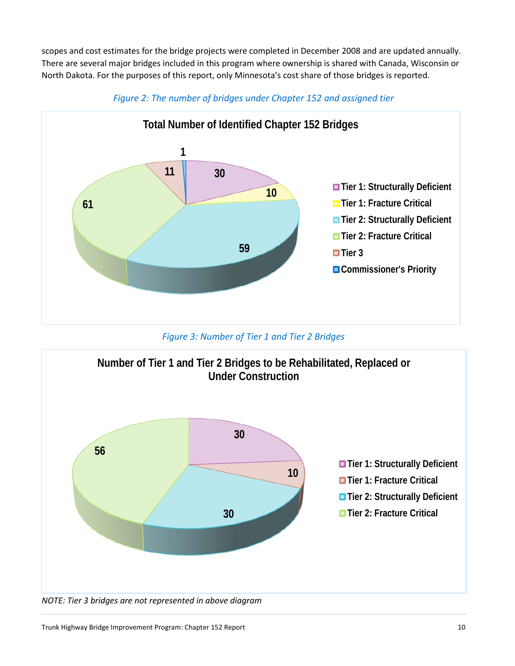North Dakota. For the purposes of this report, only Minnesota's cost share of those bridges is reported. scopes and cost estimates for the bridge projects were completed in December 2008 and are updated annually. There are several major bridges included in this program where ownership is shared with Canada, Wisconsin or



*Figure 2: The number of bridges under Chapter 152 and assigned tier* 

*Figure 3: Number of Tier 1 and Tier 2 Bridges* 

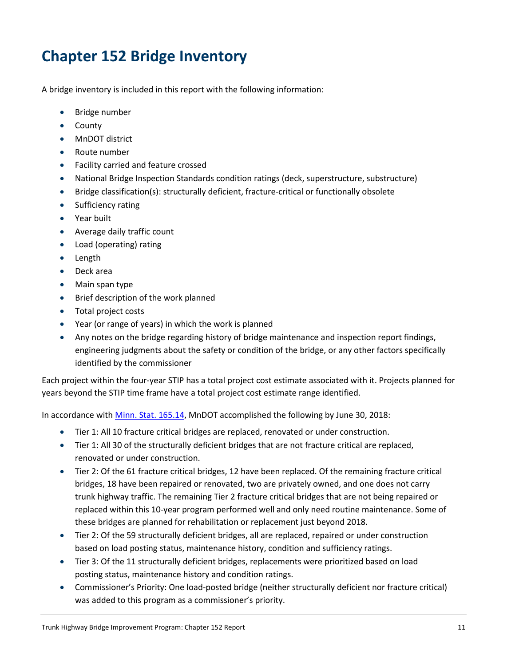# **Chapter 152 Bridge Inventory**

A bridge inventory is included in this report with the following information:

- Bridge number
- County
- MnDOT district
- Route number
- Facility carried and feature crossed
- National Bridge Inspection Standards condition ratings (deck, superstructure, substructure)
- Bridge classification(s): structurally deficient, fracture-critical or functionally obsolete
- Sufficiency rating
- Year built
- Average daily traffic count
- Load (operating) rating
- Length
- Deck area
- Main span type
- Brief description of the work planned
- Total project costs
- Year (or range of years) in which the work is planned
- engineering judgments about the safety or condition of the bridge, or any other factors specifically • Any notes on the bridge regarding history of bridge maintenance and inspection report findings, identified by the commissioner

 Each project within the four-year STIP has a total project cost estimate associated with it. Projects planned for years beyond the STIP time frame have a total project cost estimate range identified.

In accordance with Minn. Stat. 165.14, MnDOT accomplished the following by June 30, 2018:

- Tier 1: All 10 fracture critical bridges are replaced, renovated or under construction.
- • Tier 1: All 30 of the structurally deficient bridges that are not fracture critical are replaced, renovated or under construction.
- • Tier 2: Of the 61 fracture critical bridges, 12 have been replaced. Of the remaining fracture critical bridges, 18 have been repaired or renovated, two are privately owned, and one does not carry trunk highway traffic. The remaining Tier 2 fracture critical bridges that are not being repaired or replaced within this 10-year program performed well and only need routine maintenance. Some of these bridges are planned for rehabilitation or replacement just beyond 2018.
- based on load posting status, maintenance history, condition and sufficiency ratings. • Tier 2: Of the 59 structurally deficient bridges, all are replaced, repaired or under construction
- Tier 3: Of the 11 structurally deficient bridges, replacements were prioritized based on load posting status, maintenance history and condition ratings.
- was added to this program as a commissioner's priority. • Commissioner's Priority: One load-posted bridge (neither structurally deficient nor fracture critical)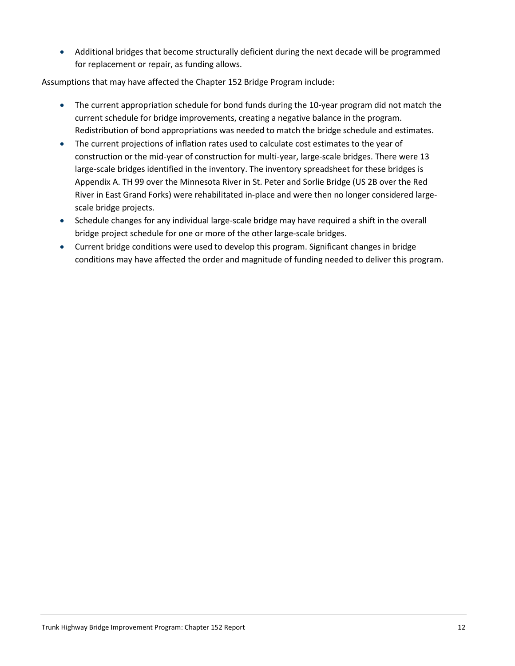for replacement or repair, as funding allows. • Additional bridges that become structurally deficient during the next decade will be programmed

Assumptions that may have affected the Chapter 152 Bridge Program include:

- • The current appropriation schedule for bond funds during the 10-year program did not match the current schedule for bridge improvements, creating a negative balance in the program. Redistribution of bond appropriations was needed to match the bridge schedule and estimates.
- construction or the mid-year of construction for multi-year, large-scale bridges. There were 13 Appendix A. TH 99 over the Minnesota River in St. Peter and Sorlie Bridge (US 2B over the Red • The current projections of inflation rates used to calculate cost estimates to the year of large-scale bridges identified in the inventory. The inventory spreadsheet for these bridges is River in East Grand Forks) were rehabilitated in-place and were then no longer considered largescale bridge projects.
- bridge project schedule for one or more of the other large-scale bridges. • Schedule changes for any individual large-scale bridge may have required a shift in the overall
- conditions may have affected the order and magnitude of funding needed to deliver this program. • Current bridge conditions were used to develop this program. Significant changes in bridge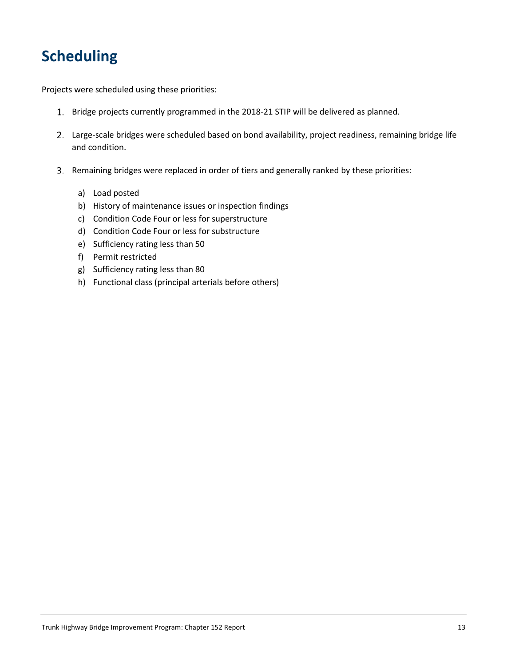# **Scheduling**

Projects were scheduled using these priorities:

- 1. Bridge projects currently programmed in the 2018-21 STIP will be delivered as planned.
- 2. Large-scale bridges were scheduled based on bond availability, project readiness, remaining bridge life and condition.
- 3. Remaining bridges were replaced in order of tiers and generally ranked by these priorities:
	- a) Load posted
	- b) History of maintenance issues or inspection findings
	- c) Condition Code Four or less for superstructure
	- d) Condition Code Four or less for substructure
	- e) Sufficiency rating less than 50
	- f) Permit restricted
	- g) Sufficiency rating less than 80
	- h) Functional class (principal arterials before others)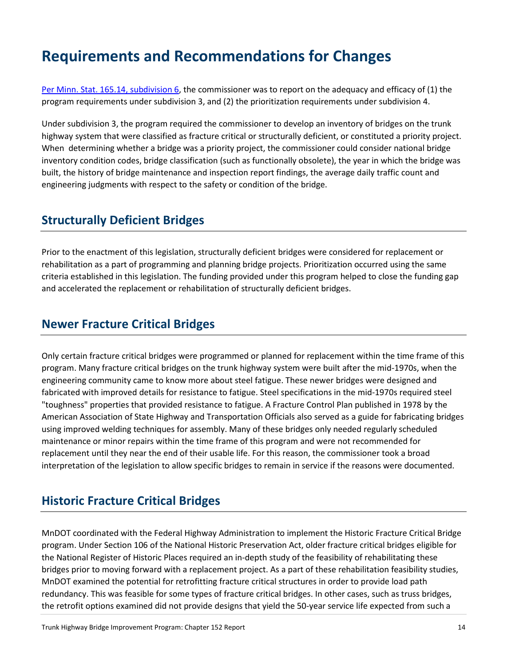# **Requirements and Recommendations for Changes**

Per Minn. Stat. 165.14, subdivision 6, the commissioner was to report on the adequacy and efficacy of (1) the program requirements under subdivision 3, and (2) the prioritization requirements under subdivision 4.

 highway system that were classified as fracture critical or structurally deficient, or constituted a priority project. inventory condition codes, bridge classification (such as functionally obsolete), the year in which the bridge was engineering judgments with respect to the safety or condition of the bridge. Under subdivision 3, the program required the commissioner to develop an inventory of bridges on the trunk When determining whether a bridge was a priority project, the commissioner could consider national bridge built, the history of bridge maintenance and inspection report findings, the average daily traffic count and

## **Structurally Deficient Bridges**

 rehabilitation as a part of programming and planning bridge projects. Prioritization occurred using the same Prior to the enactment of this legislation, structurally deficient bridges were considered for replacement or criteria established in this legislation. The funding provided under this program helped to close the funding gap and accelerated the replacement or rehabilitation of structurally deficient bridges.

## **Newer Fracture Critical Bridges**

 Only certain fracture critical bridges were programmed or planned for replacement within the time frame of this maintenance or minor repairs within the time frame of this program and were not recommended for replacement until they near the end of their usable life. For this reason, the commissioner took a broad program. Many fracture critical bridges on the trunk highway system were built after the mid-1970s, when the engineering community came to know more about steel fatigue. These newer bridges were designed and fabricated with improved details for resistance to fatigue. Steel specifications in the mid-1970s required steel "toughness" properties that provided resistance to fatigue. A Fracture Control Plan published in 1978 by the American Association of State Highway and Transportation Officials also served as a guide for fabricating bridges using improved welding techniques for assembly. Many of these bridges only needed regularly scheduled interpretation of the legislation to allow specific bridges to remain in service if the reasons were documented.

## **Historic Fracture Critical Bridges**

 MnDOT coordinated with the Federal Highway Administration to implement the Historic Fracture Critical Bridge the retrofit options examined did not provide designs that yield the 50-year service life expected from such a program. Under Section 106 of the National Historic Preservation Act, older fracture critical bridges eligible for the National Register of Historic Places required an in-depth study of the feasibility of rehabilitating these bridges prior to moving forward with a replacement project. As a part of these rehabilitation feasibility studies, MnDOT examined the potential for retrofitting fracture critical structures in order to provide load path redundancy. This was feasible for some types of fracture critical bridges. In other cases, such as truss bridges,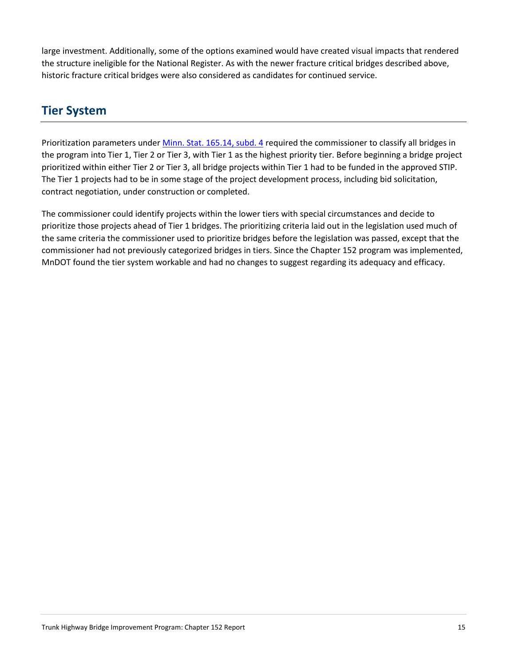large investment. Additionally, some of the options examined would have created visual impacts that rendered the structure ineligible for the National Register. As with the newer fracture critical bridges described above, historic fracture critical bridges were also considered as candidates for continued service.

# **Tier System**

Prioritization parameters under *Minn. Stat. 165.14, subd. 4* required the commissioner to classify all bridges in the program into Tier 1, Tier 2 or Tier 3, with Tier 1 as the highest priority tier. Before beginning a bridge project prioritized within either Tier 2 or Tier 3, all bridge projects within Tier 1 had to be funded in the approved STIP. The Tier 1 projects had to be in some stage of the project development process, including bid solicitation, contract negotiation, under construction or completed.

 MnDOT found the tier system workable and had no changes to suggest regarding its adequacy and efficacy. The commissioner could identify projects within the lower tiers with special circumstances and decide to prioritize those projects ahead of Tier 1 bridges. The prioritizing criteria laid out in the legislation used much of the same criteria the commissioner used to prioritize bridges before the legislation was passed, except that the commissioner had not previously categorized bridges in tiers. Since the Chapter 152 program was implemented,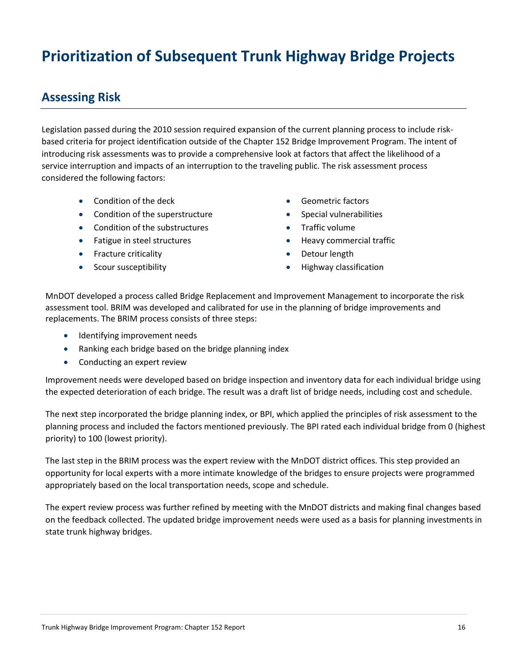# **Prioritization of Subsequent Trunk Highway Bridge Projects**

## **Assessing Risk**

 based criteria for project identification outside of the Chapter 152 Bridge Improvement Program. The intent of service interruption and impacts of an interruption to the traveling public. The risk assessment process Legislation passed during the 2010 session required expansion of the current planning process to include riskintroducing risk assessments was to provide a comprehensive look at factors that affect the likelihood of a considered the following factors:

- Condition of the deck  **Geometric factors**
- Condition of the superstructure Special vulnerabilities
- Condition of the substructures Traffic volume
- Fatigue in steel structures Heavy commercial traffic
- Fracture criticality  **Detour length**
- 
- 
- 
- 
- 
- 
- Scour susceptibility **•** Highway classification

 assessment tool. BRIM was developed and calibrated for use in the planning of bridge improvements and replacements. The BRIM process consists of three steps: MnDOT developed a process called Bridge Replacement and Improvement Management to incorporate the risk

- Identifying improvement needs
- Ranking each bridge based on the bridge planning index
- Conducting an expert review

 Improvement needs were developed based on bridge inspection and inventory data for each individual bridge using the expected deterioration of each bridge. The result was a draft list of bridge needs, including cost and schedule.

 The next step incorporated the bridge planning index, or BPI, which applied the principles of risk assessment to the planning process and included the factors mentioned previously. The BPI rated each individual bridge from 0 (highest priority) to 100 (lowest priority).

 appropriately based on the local transportation needs, scope and schedule. The last step in the BRIM process was the expert review with the MnDOT district offices. This step provided an opportunity for local experts with a more intimate knowledge of the bridges to ensure projects were programmed

The expert review process was further refined by meeting with the MnDOT districts and making final changes based on the feedback collected. The updated bridge improvement needs were used as a basis for planning investments in state trunk highway bridges.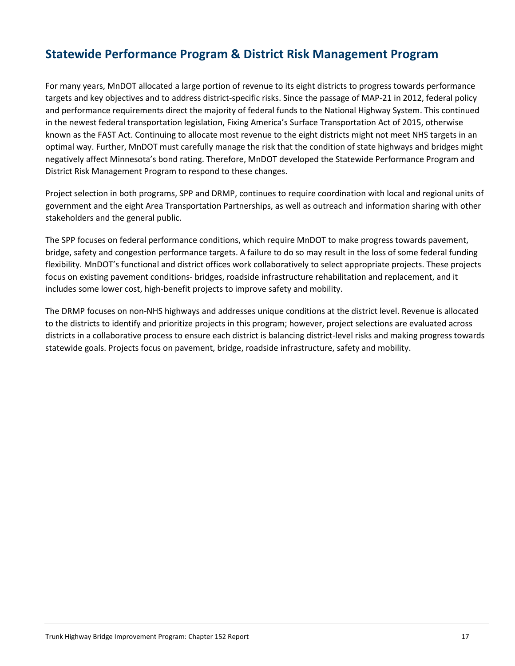# **Statewide Performance Program & District Risk Management Program**

 For many years, MnDOT allocated a large portion of revenue to its eight districts to progress towards performance targets and key objectives and to address district-specific risks. Since the passage of MAP-21 in 2012, federal policy and performance requirements direct the majority of federal funds to the National Highway System. This continued optimal way. Further, MnDOT must carefully manage the risk that the condition of state highways and bridges might negatively affect Minnesota's bond rating. Therefore, MnDOT developed the Statewide Performance Program and District Risk Management Program to respond to these changes. in the newest federal transportation legislation, Fixing America's Surface Transportation Act of 2015, otherwise known as the FAST Act. Continuing to allocate most revenue to the eight districts might not meet NHS targets in an

 government and the eight Area Transportation Partnerships, as well as outreach and information sharing with other Project selection in both programs, SPP and DRMP, continues to require coordination with local and regional units of stakeholders and the general public.

 The SPP focuses on federal performance conditions, which require MnDOT to make progress towards pavement, bridge, safety and congestion performance targets. A failure to do so may result in the loss of some federal funding flexibility. MnDOT's functional and district offices work collaboratively to select appropriate projects. These projects focus on existing pavement conditions- bridges, roadside infrastructure rehabilitation and replacement, and it includes some lower cost, high-benefit projects to improve safety and mobility.

 districts in a collaborative process to ensure each district is balancing district-level risks and making progress towards The DRMP focuses on non-NHS highways and addresses unique conditions at the district level. Revenue is allocated to the districts to identify and prioritize projects in this program; however, project selections are evaluated across statewide goals. Projects focus on pavement, bridge, roadside infrastructure, safety and mobility.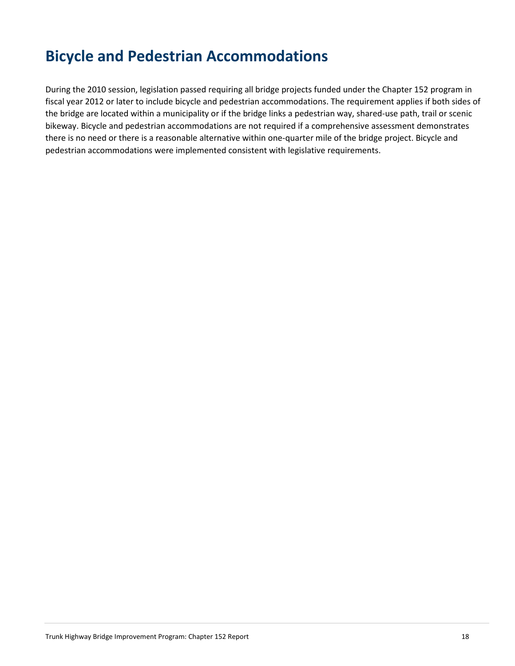# **Bicycle and Pedestrian Accommodations**

 During the 2010 session, legislation passed requiring all bridge projects funded under the Chapter 152 program in fiscal year 2012 or later to include bicycle and pedestrian accommodations. The requirement applies if both sides of there is no need or there is a reasonable alternative within one-quarter mile of the bridge project. Bicycle and the bridge are located within a municipality or if the bridge links a pedestrian way, shared-use path, trail or scenic bikeway. Bicycle and pedestrian accommodations are not required if a comprehensive assessment demonstrates pedestrian accommodations were implemented consistent with legislative requirements.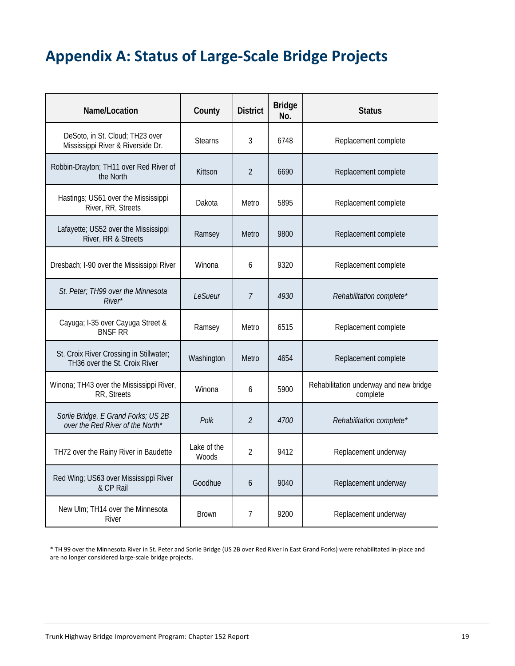# **Appendix A: Status of Large-Scale Bridge Projects**

| Name/Location                                                            | County                      | <b>District</b> | <b>Bridge</b><br>No. | <b>Status</b>                                      |
|--------------------------------------------------------------------------|-----------------------------|-----------------|----------------------|----------------------------------------------------|
| DeSoto, in St. Cloud; TH23 over<br>Mississippi River & Riverside Dr.     | <b>Stearns</b>              | 3               | 6748                 | Replacement complete                               |
| Robbin-Drayton; TH11 over Red River of<br>the North                      | Kittson                     | $\overline{2}$  | 6690                 | Replacement complete                               |
| Hastings; US61 over the Mississippi<br>River, RR, Streets                | Dakota                      | Metro           | 5895                 | Replacement complete                               |
| Lafayette; US52 over the Mississippi<br>River, RR & Streets              | Ramsey                      | Metro           | 9800                 | Replacement complete                               |
| Dresbach; I-90 over the Mississippi River                                | Winona                      | 6               | 9320                 | Replacement complete                               |
| St. Peter; TH99 over the Minnesota<br>River*                             | LeSueur                     | $\overline{7}$  | 4930                 | Rehabilitation complete*                           |
| Cayuga; I-35 over Cayuga Street &<br><b>BNSF RR</b>                      | Ramsey                      | Metro           | 6515                 | Replacement complete                               |
| St. Croix River Crossing in Stillwater;<br>TH36 over the St. Croix River | Washington                  | Metro           | 4654                 | Replacement complete                               |
| Winona; TH43 over the Mississippi River,<br>RR, Streets                  | Winona                      | 6               | 5900                 | Rehabilitation underway and new bridge<br>complete |
| Sorlie Bridge, E Grand Forks; US 2B<br>over the Red River of the North*  | Polk                        | $\overline{2}$  | 4700                 | Rehabilitation complete*                           |
| TH72 over the Rainy River in Baudette                                    | Lake of the<br><b>Woods</b> | $\overline{2}$  | 9412                 | Replacement underway                               |
| Red Wing; US63 over Mississippi River<br>& CP Rail                       | Goodhue                     | 6               | 9040                 | Replacement underway                               |
| New Ulm; TH14 over the Minnesota<br>River                                | <b>Brown</b>                | 7               | 9200                 | Replacement underway                               |

 \* TH 99 over the Minnesota River in St. Peter and Sorlie Bridge (US 2B over Red River in East Grand Forks) were rehabilitated in-place and are no longer considered large-scale bridge projects.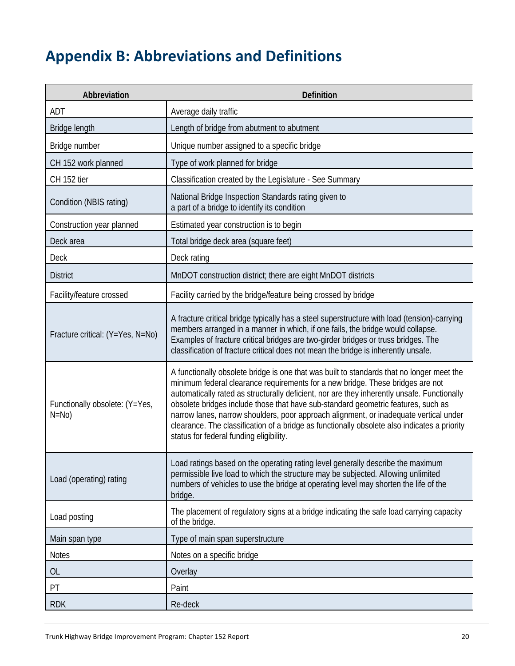# **Appendix B: Abbreviations and Definitions**

| Abbreviation                             | Definition                                                                                                                                                                                                                                                                                                                                                                                                                                                                                                                                                                                          |
|------------------------------------------|-----------------------------------------------------------------------------------------------------------------------------------------------------------------------------------------------------------------------------------------------------------------------------------------------------------------------------------------------------------------------------------------------------------------------------------------------------------------------------------------------------------------------------------------------------------------------------------------------------|
| ADT                                      | Average daily traffic                                                                                                                                                                                                                                                                                                                                                                                                                                                                                                                                                                               |
| Bridge length                            | Length of bridge from abutment to abutment                                                                                                                                                                                                                                                                                                                                                                                                                                                                                                                                                          |
| Bridge number                            | Unique number assigned to a specific bridge                                                                                                                                                                                                                                                                                                                                                                                                                                                                                                                                                         |
| CH 152 work planned                      | Type of work planned for bridge                                                                                                                                                                                                                                                                                                                                                                                                                                                                                                                                                                     |
| CH 152 tier                              | Classification created by the Legislature - See Summary                                                                                                                                                                                                                                                                                                                                                                                                                                                                                                                                             |
| Condition (NBIS rating)                  | National Bridge Inspection Standards rating given to<br>a part of a bridge to identify its condition                                                                                                                                                                                                                                                                                                                                                                                                                                                                                                |
| Construction year planned                | Estimated year construction is to begin                                                                                                                                                                                                                                                                                                                                                                                                                                                                                                                                                             |
| Deck area                                | Total bridge deck area (square feet)                                                                                                                                                                                                                                                                                                                                                                                                                                                                                                                                                                |
| <b>Deck</b>                              | Deck rating                                                                                                                                                                                                                                                                                                                                                                                                                                                                                                                                                                                         |
| <b>District</b>                          | MnDOT construction district; there are eight MnDOT districts                                                                                                                                                                                                                                                                                                                                                                                                                                                                                                                                        |
| Facility/feature crossed                 | Facility carried by the bridge/feature being crossed by bridge                                                                                                                                                                                                                                                                                                                                                                                                                                                                                                                                      |
| Fracture critical: (Y=Yes, N=No)         | A fracture critical bridge typically has a steel superstructure with load (tension)-carrying<br>members arranged in a manner in which, if one fails, the bridge would collapse.<br>Examples of fracture critical bridges are two-girder bridges or truss bridges. The<br>classification of fracture critical does not mean the bridge is inherently unsafe.                                                                                                                                                                                                                                         |
| Functionally obsolete: (Y=Yes,<br>$N=No$ | A functionally obsolete bridge is one that was built to standards that no longer meet the<br>minimum federal clearance requirements for a new bridge. These bridges are not<br>automatically rated as structurally deficient, nor are they inherently unsafe. Functionally<br>obsolete bridges include those that have sub-standard geometric features, such as<br>narrow lanes, narrow shoulders, poor approach alignment, or inadequate vertical under<br>clearance. The classification of a bridge as functionally obsolete also indicates a priority<br>status for federal funding eligibility. |
| Load (operating) rating                  | Load ratings based on the operating rating level generally describe the maximum<br>permissible live load to which the structure may be subjected. Allowing unlimited<br>numbers of vehicles to use the bridge at operating level may shorten the life of the<br>bridge.                                                                                                                                                                                                                                                                                                                             |
| Load posting                             | The placement of regulatory signs at a bridge indicating the safe load carrying capacity<br>of the bridge.                                                                                                                                                                                                                                                                                                                                                                                                                                                                                          |
| Main span type                           | Type of main span superstructure                                                                                                                                                                                                                                                                                                                                                                                                                                                                                                                                                                    |
| <b>Notes</b>                             | Notes on a specific bridge                                                                                                                                                                                                                                                                                                                                                                                                                                                                                                                                                                          |
| <b>OL</b>                                | Overlay                                                                                                                                                                                                                                                                                                                                                                                                                                                                                                                                                                                             |
| PT                                       | Paint                                                                                                                                                                                                                                                                                                                                                                                                                                                                                                                                                                                               |
| <b>RDK</b>                               | Re-deck                                                                                                                                                                                                                                                                                                                                                                                                                                                                                                                                                                                             |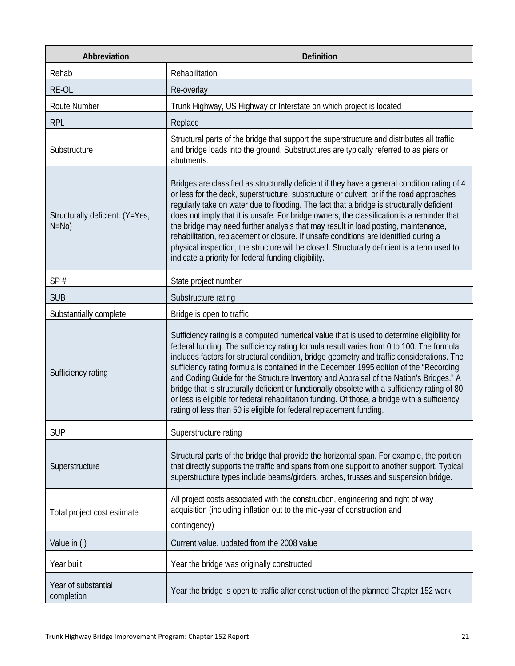| Abbreviation                              | <b>Definition</b>                                                                                                                                                                                                                                                                                                                                                                                                                                                                                                                                                                                                                                                                                                                                  |
|-------------------------------------------|----------------------------------------------------------------------------------------------------------------------------------------------------------------------------------------------------------------------------------------------------------------------------------------------------------------------------------------------------------------------------------------------------------------------------------------------------------------------------------------------------------------------------------------------------------------------------------------------------------------------------------------------------------------------------------------------------------------------------------------------------|
| Rehab                                     | Rehabilitation                                                                                                                                                                                                                                                                                                                                                                                                                                                                                                                                                                                                                                                                                                                                     |
| RE-OL                                     | Re-overlay                                                                                                                                                                                                                                                                                                                                                                                                                                                                                                                                                                                                                                                                                                                                         |
| Route Number                              | Trunk Highway, US Highway or Interstate on which project is located                                                                                                                                                                                                                                                                                                                                                                                                                                                                                                                                                                                                                                                                                |
| <b>RPL</b>                                | Replace                                                                                                                                                                                                                                                                                                                                                                                                                                                                                                                                                                                                                                                                                                                                            |
| Substructure                              | Structural parts of the bridge that support the superstructure and distributes all traffic<br>and bridge loads into the ground. Substructures are typically referred to as piers or<br>abutments.                                                                                                                                                                                                                                                                                                                                                                                                                                                                                                                                                  |
| Structurally deficient: (Y=Yes,<br>$N=No$ | Bridges are classified as structurally deficient if they have a general condition rating of 4<br>or less for the deck, superstructure, substructure or culvert, or if the road approaches<br>regularly take on water due to flooding. The fact that a bridge is structurally deficient<br>does not imply that it is unsafe. For bridge owners, the classification is a reminder that<br>the bridge may need further analysis that may result in load posting, maintenance,<br>rehabilitation, replacement or closure. If unsafe conditions are identified during a<br>physical inspection, the structure will be closed. Structurally deficient is a term used to<br>indicate a priority for federal funding eligibility.                          |
| SP#                                       | State project number                                                                                                                                                                                                                                                                                                                                                                                                                                                                                                                                                                                                                                                                                                                               |
| <b>SUB</b>                                | Substructure rating                                                                                                                                                                                                                                                                                                                                                                                                                                                                                                                                                                                                                                                                                                                                |
| Substantially complete                    | Bridge is open to traffic                                                                                                                                                                                                                                                                                                                                                                                                                                                                                                                                                                                                                                                                                                                          |
| Sufficiency rating                        | Sufficiency rating is a computed numerical value that is used to determine eligibility for<br>federal funding. The sufficiency rating formula result varies from 0 to 100. The formula<br>includes factors for structural condition, bridge geometry and traffic considerations. The<br>sufficiency rating formula is contained in the December 1995 edition of the "Recording<br>and Coding Guide for the Structure Inventory and Appraisal of the Nation's Bridges." A<br>bridge that is structurally deficient or functionally obsolete with a sufficiency rating of 80<br>or less is eligible for federal rehabilitation funding. Of those, a bridge with a sufficiency<br>rating of less than 50 is eligible for federal replacement funding. |
| <b>SUP</b>                                | Superstructure rating                                                                                                                                                                                                                                                                                                                                                                                                                                                                                                                                                                                                                                                                                                                              |
| Superstructure                            | Structural parts of the bridge that provide the horizontal span. For example, the portion<br>that directly supports the traffic and spans from one support to another support. Typical<br>superstructure types include beams/girders, arches, trusses and suspension bridge.                                                                                                                                                                                                                                                                                                                                                                                                                                                                       |
| Total project cost estimate               | All project costs associated with the construction, engineering and right of way<br>acquisition (including inflation out to the mid-year of construction and<br>contingency)                                                                                                                                                                                                                                                                                                                                                                                                                                                                                                                                                                       |
| Value in ()                               | Current value, updated from the 2008 value                                                                                                                                                                                                                                                                                                                                                                                                                                                                                                                                                                                                                                                                                                         |
| Year built                                | Year the bridge was originally constructed                                                                                                                                                                                                                                                                                                                                                                                                                                                                                                                                                                                                                                                                                                         |
| Year of substantial<br>completion         | Year the bridge is open to traffic after construction of the planned Chapter 152 work                                                                                                                                                                                                                                                                                                                                                                                                                                                                                                                                                                                                                                                              |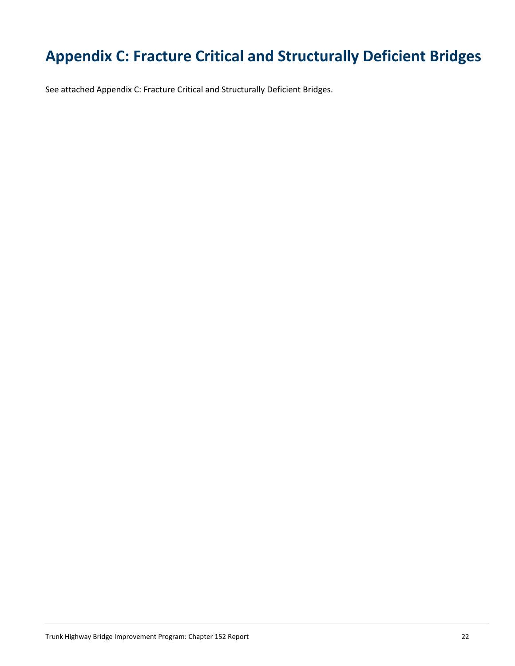# **Appendix C: Fracture Critical and Structurally Deficient Bridges**

See attached Appendix C: Fracture Critical and Structurally Deficient Bridges.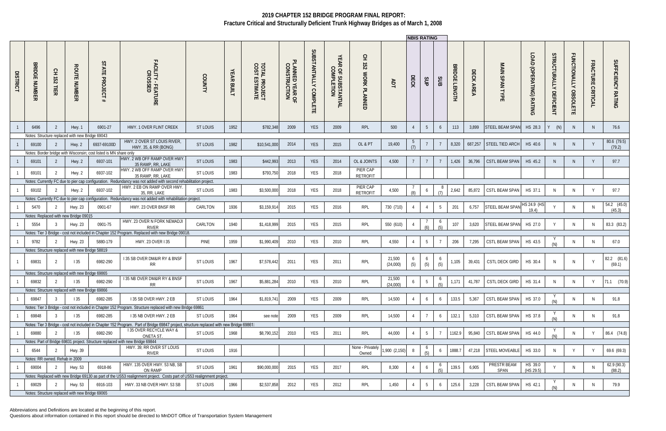Abbreviations and Definitions are located at the beginning of this report.

|                 |                                |                  |                                                 |                                                                   |                                                                                                                                                                              |                 |                             |                                        |                                 |                                  |                                               |                                                                                         |                    | <b>NBIS RATING</b> |                 |                                         |                                |                      |                                          |                              |                                  |                                        |                                   |                       |
|-----------------|--------------------------------|------------------|-------------------------------------------------|-------------------------------------------------------------------|------------------------------------------------------------------------------------------------------------------------------------------------------------------------------|-----------------|-----------------------------|----------------------------------------|---------------------------------|----------------------------------|-----------------------------------------------|-----------------------------------------------------------------------------------------|--------------------|--------------------|-----------------|-----------------------------------------|--------------------------------|----------------------|------------------------------------------|------------------------------|----------------------------------|----------------------------------------|-----------------------------------|-----------------------|
| <b>DISTRICT</b> | <b>BRIDGE</b><br><b>NUMBER</b> | 오<br>251<br>TIER | <b>ROUTE</b><br><b>NUMBER</b>                   | STATE<br><b>PROJE</b><br>$\Omega$                                 | FACILITY-<br><b>:ILITY - FEATURE</b><br>CROSSED                                                                                                                              | <b>COUNTY</b>   | <b>YEAR</b><br><b>BUILT</b> | <b>TOTAL PROJECT<br/>COST ESTIMATE</b> | PLANNED YEAR OF<br>CONSTRUCTION | SUBSTANTIALLY<br><b>COMPLETE</b> | YEAR<br><b>: OF SUBSTANTIAL</b><br>COMPLETION | $\overline{5}$<br>$\overline{\phantom{a}}$<br>$\overline{25}$<br><b>MORK</b><br>PLANNED | ЯDT                | DECK               | SUP             | SUB                                     | <b>BRIDGE</b><br><b>LENGTH</b> | DECK.<br><b>AREA</b> | <b>MAIN SPAN</b><br>HP<br>$\blacksquare$ | (OPERATING)<br><b>RATING</b> | STRUCTURALLY<br><b>DEFICIENT</b> | <b>FUNCTIONALLY</b><br><b>OBSOLETE</b> | <b>FRACTURE</b><br><b>CRITIC.</b> | SUFFICIENCY RATING    |
|                 | 6496                           | -2               | Hwy. 1                                          | 6901-27                                                           | HWY. 1 OVER FLINT CREEK                                                                                                                                                      | <b>ST LOUIS</b> | 1952                        | \$782,348                              | 2009                            | <b>YES</b>                       | 2009                                          | <b>RPL</b>                                                                              | 500                |                    | $5\overline{)}$ | 6                                       | 113                            | 3,899                | <b>STEEL BEAM SPAN</b>                   | HS 28.3                      | (N)                              | N.                                     | N.                                | 76.6                  |
|                 |                                |                  | Notes: Structure replaced with new Bridge 69043 |                                                                   |                                                                                                                                                                              |                 |                             |                                        |                                 |                                  |                                               |                                                                                         |                    |                    |                 |                                         |                                |                      |                                          |                              |                                  |                                        |                                   |                       |
|                 | 69100                          | -2               | Hwy. 2                                          | 6937-69100D                                                       | HWY. 2 OVER ST LOUIS RIVER,<br>HWY. 35, & RR (BONG)                                                                                                                          | <b>ST LOUIS</b> | 1982                        | \$10,541,000                           | 2014                            | YES                              | 2015                                          | OL & PT                                                                                 | 19,400             |                    |                 |                                         | 8,320                          | 687,257              | STEEL TIED ARCH                          | HS 40.6                      | <sup>N</sup>                     | N.                                     | Y                                 | 80.6 (79.5)<br>(79.2) |
|                 |                                |                  |                                                 | Notes: Border bridge with Wisconsin; cost listed is MN share only |                                                                                                                                                                              |                 |                             |                                        |                                 |                                  |                                               |                                                                                         |                    |                    |                 |                                         |                                |                      |                                          |                              |                                  |                                        |                                   |                       |
|                 | 69101                          | -2               | Hwy. 2                                          | 6937-101                                                          | HWY. 2 WB OFF RAMP OVER HWY<br>35 RAMP, RR, LAKE                                                                                                                             | <b>ST LOUIS</b> | 1983                        | \$442,993                              | 2013                            | <b>YES</b>                       | 2014                                          | OL & JOINTS                                                                             | 4,500              |                    |                 |                                         | 1,426                          | 36,796               | <b>CSTL BEAM SPAN</b>                    | HS 45.2                      | -N                               | N.                                     | $\mathsf{Y}$                      | 97.7                  |
|                 | 69101                          | -2               | Hwy. 2                                          | 6937-102                                                          | HWY. 2 WB OFF RAMP OVER HWY<br>35 RAMP, RR, LAKE                                                                                                                             | ST LOUIS        | 1983                        | \$793,750                              | 2018                            | YES                              | 2018                                          | PIER CAP<br><b>RETROFIT</b>                                                             |                    |                    |                 |                                         |                                |                      |                                          |                              |                                  |                                        |                                   |                       |
|                 |                                |                  |                                                 |                                                                   | Notes: Currently FC due to pier cap configuration. Redundancy was not added with second rehabilitation project.                                                              |                 |                             |                                        |                                 |                                  |                                               |                                                                                         |                    |                    |                 |                                         |                                |                      |                                          |                              |                                  |                                        |                                   |                       |
|                 | 69102                          | $\overline{2}$   | Hwy. 2                                          | 6937-102                                                          | HWY. 2 EB ON RAMP OVER HWY<br>35, RR, LAKE                                                                                                                                   | ST LOUIS        | 1983                        | \$3,500,000                            | 2018                            | YES                              | 2018                                          | PIER CAP<br><b>RETROFIT</b>                                                             | 4,500              | $\mathcal{Q}$      | 6               |                                         | 2,642                          | 85,872               | <b>CSTL BEAM SPAN</b>                    | HS 37.1                      | - N                              | N.                                     | $\mathsf{Y}$                      | 97.7                  |
|                 |                                |                  |                                                 |                                                                   | Notes: Currently FC due to pier cap configuration. Redundancy was not added with rehabilitation project.                                                                     |                 |                             |                                        |                                 |                                  |                                               |                                                                                         |                    |                    |                 |                                         |                                |                      |                                          |                              |                                  |                                        |                                   |                       |
|                 | 5470                           | - 2              | Hwy. 23                                         | 0901-67                                                           | HWY. 23 OVER BNSF RR                                                                                                                                                         | CARLTON         | 1936                        | \$3,159,914                            | 2015                            | <b>YES</b>                       | 2016                                          | RPL                                                                                     | 730 (710)          |                    |                 | 5                                       | 201                            | 6,757                | STEEL BEAM SPAN                          | HS 24.9 (HS<br>19.4          |                                  | N.                                     | N                                 | 54.2 (45.0)<br>(45.3) |
|                 |                                |                  | Notes: Replaced with new Bridge 09015           |                                                                   | HWY. 23 OVER N FORK NEMADJ                                                                                                                                                   |                 |                             |                                        |                                 |                                  |                                               |                                                                                         |                    |                    |                 |                                         |                                |                      |                                          |                              |                                  |                                        |                                   |                       |
|                 | 5554                           | - 3              | Hwy. 23                                         | 0901-75                                                           | <b>RIVER</b>                                                                                                                                                                 | CARLTON         | 1940                        | \$1,418,999                            | 2015                            | <b>YES</b>                       | 2015                                          | RPL                                                                                     | 550 (610)          |                    | $\sqrt{4}$      | $\frac{6}{(5)}$                         | 107                            | 3,620                | STEEL BEAM SPAN                          | HS 27.0                      |                                  | N                                      | <sup>N</sup>                      | 83.3 (83.2)           |
|                 |                                |                  |                                                 |                                                                   | Notes: Tier 3 Bridge - cost not included in Chapter 152 Program. Replaced with new Bridge 09018                                                                              |                 |                             |                                        |                                 |                                  |                                               |                                                                                         |                    |                    |                 |                                         |                                |                      |                                          |                              |                                  |                                        |                                   |                       |
|                 | 9782                           | - 2              | Hwy. 23                                         | 5880-179                                                          | HWY. 23 OVER I 35                                                                                                                                                            | PINE            | 1959                        | \$1,990,409                            | 2010                            | <b>YES</b>                       | 2010                                          | RPL                                                                                     | 4,550              | $\overline{4}$     | $5\overline{)}$ | $\overline{7}$                          | 206                            | 7,295                | CSTL BEAM SPAN                           | HS 43.5                      |                                  | <sup>N</sup>                           | <sup>N</sup>                      | 67.0                  |
|                 |                                |                  | Notes: Structure replaced with new Bridge 58819 |                                                                   |                                                                                                                                                                              |                 |                             |                                        |                                 |                                  |                                               |                                                                                         |                    |                    |                 |                                         |                                |                      |                                          |                              |                                  |                                        |                                   |                       |
|                 | 69831                          | $\overline{2}$   | 135                                             | 6982-290                                                          | I 35 SB OVER DM&IR RY & BNSF<br><b>RR</b>                                                                                                                                    | ST LOUIS        | 1967                        | \$7,578,442                            | 2011                            | YES                              | 2011                                          | RPL                                                                                     | 21,500<br>(24,000) | 6<br>(5)           | 6<br>(5)        | 6<br>(5)                                | 1,105                          | 39,431               | <b>CSTL DECK GIRD</b>                    | HS 30.4                      | <sup>N</sup>                     | N                                      | Y                                 | 82.2 (81.6)<br>(69.1) |
|                 |                                |                  | Notes: Structure replaced with new Bridge 69865 |                                                                   |                                                                                                                                                                              |                 |                             |                                        |                                 |                                  |                                               |                                                                                         |                    |                    |                 |                                         |                                |                      |                                          |                              |                                  |                                        |                                   |                       |
|                 | 69832                          | 2                | 135                                             | 6982-290                                                          | I 35 NB OVER DM&IR RY & BNSF<br><b>RR</b>                                                                                                                                    | ST LOUIS        | 1967                        | \$5,881,284                            | 2010                            | <b>YES</b>                       | 2010                                          | RPL                                                                                     | 21,500<br>(24,000) | 6                  | 5               | $\ddot{o}$                              | 1,171                          |                      | 41,787 CSTL DECK GIRD   HS 31.4          |                              | N                                |                                        | $\mathsf{V}$                      | $71.1$ $(70.9)$       |
|                 |                                |                  | Notes: Structure replaced with new Bridge 69866 |                                                                   |                                                                                                                                                                              |                 |                             |                                        |                                 |                                  |                                               |                                                                                         |                    |                    |                 |                                         |                                |                      |                                          |                              |                                  |                                        |                                   |                       |
|                 | 69847                          | 3                | 135                                             | 6982-285                                                          | I 35 SB OVER HWY. 2 EB                                                                                                                                                       | ST LOUIS        | 1964                        | \$1,819,741                            | 2009                            | YES                              | 2009                                          | RPL                                                                                     | 14,500             |                    | 6               | 6                                       | 133.5                          | 5,367                | <b>CSTL BEAM SPAN</b>                    | HS 37.0                      | (N)                              | <sup>N</sup>                           | N                                 | 91.8                  |
|                 |                                |                  |                                                 |                                                                   | Notes: Tier 3 Bridge - cost not included in Chapter 152 Program. Structure replaced with new Bridge 69861                                                                    |                 |                             |                                        |                                 |                                  |                                               |                                                                                         |                    |                    |                 |                                         |                                |                      |                                          |                              |                                  |                                        |                                   |                       |
|                 | 69848                          | - 3              | 135                                             | 6982-285                                                          | I 35 NB OVER HWY. 2 EB                                                                                                                                                       | ST LOUIS        | 1964                        | see note                               | 2009                            | YES                              | 2009                                          | RPL                                                                                     | 14,500             |                    |                 | 6                                       | 132.1                          | 5,310                | <b>CSTL BEAM SPAN</b>                    | HS 37.8                      | (N)                              | N                                      | N                                 | 91.8                  |
|                 |                                |                  |                                                 |                                                                   | Notes: Tier 3 Bridge - cost not included in Chapter 152 Program. Part of Bridge 69847 project, structure replaced with new Bridge 69861<br><b>135 OVER RECYCLE WAY &amp;</b> |                 |                             |                                        |                                 |                                  |                                               |                                                                                         |                    |                    |                 |                                         |                                |                      |                                          |                              |                                  |                                        |                                   |                       |
|                 | 69880                          | $\overline{2}$   | 135                                             | 6982-290                                                          | ONETA ST.                                                                                                                                                                    | ST LOUIS        | 1968                        | \$8,790,152                            | 2010                            | YES                              | 2011                                          | RPL                                                                                     | 44,000             |                    | 5               |                                         | 1162.9                         | 95,840               | <b>CSTL BEAM SPAN</b>                    | HS 44.0                      |                                  | N.                                     | Y                                 | 86.4 (74.8)           |
|                 |                                |                  |                                                 |                                                                   | Notes: Part of Bridge 69831 project. Structure replaced with new Bridge 69844                                                                                                |                 |                             |                                        |                                 |                                  |                                               |                                                                                         |                    |                    |                 |                                         |                                |                      |                                          |                              |                                  |                                        |                                   |                       |
|                 | 6544                           | 2                | Hwy. 39                                         |                                                                   | HWY. 39; RR OVER ST LOUIS<br>RIVER                                                                                                                                           | ST LOUIS        | 1916                        |                                        |                                 |                                  |                                               | None - Privately<br>Owned                                                               | 1,900 (2,150)      | 8                  |                 | 6                                       | 1888.7                         | 47,218               | STEEL MOVEABLE HS 33.0                   |                              | $\mathbb N$                      |                                        | Y                                 | 69.6 (69.3)           |
|                 | Notes: RR owned. Rehab in 2009 |                  |                                                 |                                                                   | HWY. 135 OVER HWY. 53 NB, SB                                                                                                                                                 |                 |                             |                                        |                                 |                                  |                                               |                                                                                         |                    |                    |                 |                                         |                                |                      | PRESTR BEAM                              |                              |                                  |                                        |                                   | 62.9(90.3)            |
|                 | 69004                          | 2                | Hwy. 53                                         | 6918-86                                                           | ON RAMP                                                                                                                                                                      | ST LOUIS        | 1961                        | \$90,000,000                           | 2015                            | YES                              | 2017                                          | RPL                                                                                     | 8,300              |                    | 6               | $\begin{array}{c} 6 \\ (5) \end{array}$ | 139.5                          | 6,905                | SPAN                                     | HS 39.0<br>(HS 29.5)         |                                  |                                        | <sup>N</sup>                      | (88.2)                |
|                 |                                |                  |                                                 |                                                                   | Notes: Replaced with new Bridge 69130 as part of the US53 realignment project. Costs part of US53 realignment project.                                                       |                 |                             |                                        |                                 |                                  |                                               |                                                                                         |                    |                    |                 |                                         |                                |                      |                                          |                              |                                  |                                        |                                   |                       |
|                 | 69029                          | - 2              | Hwy. 53                                         | 6916-103                                                          | HWY. 33 NB OVER HWY. 53 SB                                                                                                                                                   | ST LOUIS        | 1966                        | \$2,537,858                            | 2012                            | YES                              | 2012                                          | RPL                                                                                     | 1,450              |                    | $5\overline{)}$ | 6                                       | 125.6                          | 3,228                | <b>CSTL BEAM SPAN</b>                    | HS 42.1                      |                                  | N.                                     | <sup>N</sup>                      | 79.9                  |
|                 |                                |                  | Notes: Structure replaced with new Bridge 69065 |                                                                   |                                                                                                                                                                              |                 |                             |                                        |                                 |                                  |                                               |                                                                                         |                    |                    |                 |                                         |                                |                      |                                          |                              |                                  |                                        |                                   |                       |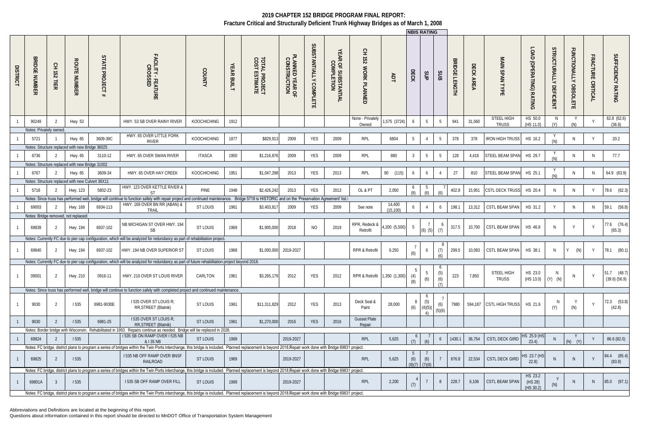|                 |                                |                                 |                                                  |                  |                                                                                                                                                                                                             |                    |                   |                                        |                                 |                                  |                                              |                                  |                     |               | <b>NBIS RATING</b>   |                        |               |           |                            |                                    |                                  |                                        |                             |                                      |
|-----------------|--------------------------------|---------------------------------|--------------------------------------------------|------------------|-------------------------------------------------------------------------------------------------------------------------------------------------------------------------------------------------------------|--------------------|-------------------|----------------------------------------|---------------------------------|----------------------------------|----------------------------------------------|----------------------------------|---------------------|---------------|----------------------|------------------------|---------------|-----------|----------------------------|------------------------------------|----------------------------------|----------------------------------------|-----------------------------|--------------------------------------|
| <b>DISTRICT</b> | <b>BRIDGE</b><br><b>NUMBER</b> | 오<br>251<br>븜<br>$\overline{v}$ | <b>ROUTE NUMBER</b>                              | STATE<br>PROJECT | FACILITY - FEATURE<br>CROSSED                                                                                                                                                                               | COUNTY             | <b>YEAR BUILT</b> | <b>TOTAL PROJECT<br/>COST ESTIMATE</b> | PLANNED YEAR OF<br>CONSTRUCTION | SUBSTANTIALLY<br><b>COMPLETE</b> | YEAR<br><b>ROF SUBSTANTIAL</b><br>COMPLETION | 오<br>도<br>752<br>WORK PLANNED    | ЯDT                 | DECK          | SJP                  | SUB                    | BRIDGE LENGTH | DECK AREA | MAIN<br><b>SPANTYPE</b>    | LOAD<br>D<br>(OPERATING) RATING    | STRUCTURALLY<br><b>DEFICIENT</b> | <b>FUNCTIONALLY</b><br><b>OBSOLETE</b> | <b>FRACTURE</b><br>CRITICAL | SUFFICIENCY RATING                   |
|                 | 90249                          | 2                               | Hwy. 53                                          |                  | HWY. 53 SB OVER RAINY RIVER                                                                                                                                                                                 | <b>KOOCHICHING</b> | 1912              |                                        |                                 |                                  |                                              | None - Privately<br>Owned        | 1,575 (3724)        | -6            | 5                    | $5\overline{)}$        | 941           | 31,560    | STEEL HIGH<br><b>TRUSS</b> | HS 50.0<br>(HS 11.0)               | N<br>(Y)                         | Y<br>(N)                               |                             | 62.8 (62.6)<br>(36.9)                |
|                 | Notes: Privately owned.        |                                 |                                                  |                  |                                                                                                                                                                                                             |                    |                   |                                        |                                 |                                  |                                              |                                  |                     |               |                      |                        |               |           |                            |                                    |                                  |                                        |                             |                                      |
|                 | 5721                           |                                 | Hwy. 65                                          | 3609-39C         | HWY. 65 OVER LITTLE FORK<br><b>RIVER</b>                                                                                                                                                                    | <b>KOOCHICHING</b> | 1877              | \$829,913                              | 2009                            | YES                              | 2009                                         | RPL                              | 6804                | 5             | $\overline{4}$       | $5\phantom{.0}$        | 378           | 378       | <b>IRON HIGH TRUSS</b>     | HS 16.2                            | (N)                              | N                                      |                             | 20.2                                 |
|                 |                                |                                 | Notes: Structure replaced with new Bridge 36025  |                  |                                                                                                                                                                                                             |                    |                   |                                        |                                 |                                  |                                              |                                  |                     |               |                      |                        |               |           |                            |                                    |                                  |                                        |                             |                                      |
|                 | 6736                           |                                 | Hwy. 65                                          | 3110-12          | HWY. 65 OVER SWAN RIVER                                                                                                                                                                                     | <b>ITASCA</b>      | 1950              | \$1,216,876                            | 2009                            | YES                              | 2009                                         | RPL                              | 880                 | 3             | $5\overline{)}$      | $5\overline{)}$        | 128           | 4,416     | STEEL BEAM SPAN            | HS 29.7                            |                                  | <sup>N</sup>                           | N.                          | 77.7                                 |
|                 |                                |                                 | Notes: Structure replaced with new Bridge 31002  |                  |                                                                                                                                                                                                             |                    |                   |                                        |                                 |                                  |                                              |                                  |                     |               |                      |                        |               |           |                            |                                    | (N)                              |                                        |                             |                                      |
|                 |                                |                                 |                                                  |                  |                                                                                                                                                                                                             |                    |                   |                                        |                                 |                                  |                                              |                                  |                     |               |                      |                        |               |           |                            |                                    |                                  |                                        |                             |                                      |
|                 | 6767                           |                                 | Hwy. 65                                          | 3609-34          | HWY. 65 OVER HAY CREEK                                                                                                                                                                                      | <b>KOOCHICHING</b> | 1951              | \$1,047,298                            | 2013                            | <b>YES</b>                       | 2013                                         | RPL                              | 90 (115)            | 6             | 6                    | 4                      | 27            | 810       | STEEL BEAM SPAN            | HS 25.1                            |                                  | N                                      | <sup>N</sup>                | 64.9 (63.9)                          |
|                 |                                |                                 | Notes: Structure replaced with new Culvert 36X11 |                  | HWY. 123 OVER KETTLE RIVER &                                                                                                                                                                                |                    |                   |                                        |                                 |                                  |                                              |                                  |                     | $\ddot{o}$    |                      |                        |               |           |                            |                                    |                                  |                                        |                             |                                      |
|                 | 5718                           |                                 | Hwy. 123                                         | 5802-23          | <b>ST</b>                                                                                                                                                                                                   | PINE               | 1948              | \$2,426,242                            | 2013                            | <b>YES</b>                       | 2013                                         | OL & PT                          | 2,050               |               |                      | (6)                    | 402.8         | 15,951    | <b>CSTL DECK TRUSS</b>     | HS 20.4                            | N                                | <sup>N</sup>                           | Y                           | 78.6 (62.3)                          |
|                 |                                |                                 |                                                  |                  | Notes: Since truss has performed well, bridge will continue to function safely with repair project and continued maintenance. Bridge 5718 is HISTORIC and on the 'Preservation Agreement' list.II           |                    |                   |                                        |                                 |                                  |                                              |                                  |                     |               |                      |                        |               |           |                            |                                    |                                  |                                        |                             |                                      |
|                 | 69003                          |                                 | Hwy. 169                                         | 6934-113         | HWY. 169 OVER BN RR (ABAN) &<br>TRAIL                                                                                                                                                                       | ST LOUIS           | 1961              | \$3,403,817                            | 2009                            | YES                              | 2009                                         | See note                         | 14,400<br>(15, 100) | 6             | $\overline{4}$       | 6                      | 198.1         | 13,312    | CSTL BEAM SPAN             | HS 31.2                            |                                  | <sup>N</sup>                           | N                           | (58.8)<br>59.1                       |
|                 |                                |                                 | Notes: Bridge removed, not replaced              |                  |                                                                                                                                                                                                             |                    |                   |                                        |                                 |                                  |                                              |                                  |                     |               |                      |                        |               |           |                            |                                    |                                  |                                        |                             |                                      |
|                 | 69839                          | 2                               | Hwy. 194                                         | 6937-102         | NB MICHIGAN ST OVER HWY. 194<br><b>SB</b>                                                                                                                                                                   | <b>ST LOUIS</b>    | 1969              | \$1,905,000                            | 2018                            | <b>NO</b>                        | 2019                                         | RPR, Redeck &<br>Retrofit        | 4,200 (5,500)       | 5             | $(6)$ $(5)$          | (7)                    | 317.5         | 10,700    | CSTL BEAM SPAN             | HS 46.8                            | <sup>N</sup>                     | Y                                      | $\mathsf{V}$                | 77.6 (76.4)<br>(65.3)                |
|                 |                                |                                 |                                                  |                  | Notes: Currently FC due to pier cap configuration, which will be analyzed for redundancy as part of rehabilitation project.                                                                                 |                    |                   |                                        |                                 |                                  |                                              |                                  |                     |               |                      |                        |               |           |                            |                                    |                                  |                                        |                             |                                      |
|                 | 69840                          | 2                               | Hwy. 194                                         | 6937-102         | HWY. 194 NB OVER SUPERIOR ST                                                                                                                                                                                | <b>ST LOUIS</b>    | 1968              |                                        | \$1,000,000 2019-2027           |                                  |                                              | RPR & Retrofit                   | 9,250               | (6)           | 6                    | (7)<br>(A)             | 299.5         | 10,093    | CSTL BEAM SPAN             | HS 38.1                            | N                                | Y.<br>(N)                              | Y                           | 78.1 (80.1)                          |
|                 |                                |                                 |                                                  |                  | Notes: Currently FC due to pier cap configuration, which will be analyzed for redundancy as part of future rehabilitation project beyond 2018.                                                              |                    |                   |                                        |                                 |                                  |                                              |                                  |                     |               |                      |                        |               |           |                            |                                    |                                  |                                        |                             |                                      |
|                 | 09001                          | $\overline{2}$                  | Hwy. 210                                         | 0916-11          | HWY. 210 OVER ST LOUIS RIVER                                                                                                                                                                                | CARLTON            | 1961              | \$3,265,179                            | 2012                            | YES                              | 2012                                         | RPR & Retrofit 1,350 (1,300) (4) |                     | 5<br>(8)      | 5<br>(6)             | 6<br>(5)<br>(6)<br>(7) | 223           | 7,850     | STEEL HIGH<br><b>TRUSS</b> | HS 23.0<br>$(HS 13.0)$ $(Y)$ $(N)$ | N                                | - IN                                   |                             | $51.7$ $(48.7)$<br>$(39.6)$ $(56.9)$ |
|                 |                                |                                 |                                                  |                  | Notes: Since truss has performed well, bridge will continue to function safely with completed project and continued maintenance.                                                                            |                    |                   |                                        |                                 |                                  |                                              |                                  |                     |               |                      |                        |               |           |                            |                                    |                                  |                                        |                             |                                      |
|                 | 9030                           | $\overline{2}$                  | <b>1535</b>                                      | 6981-9030E       | 1535 OVER ST LOUIS R;<br>RR, STREET (Blatnik)                                                                                                                                                               | ST LOUIS           | 1961              | \$11,311,829                           | 2012                            | <b>YES</b>                       | 2013                                         | Deck Seal &<br>Paint             | 28,000              | (6)           | (5)<br>(4)(5)(<br>4) | (6)<br>(5)(6)          | 7980          |           | 594,187 CSTL HIGH TRUSS    | HS 21.6                            | <sup>N</sup><br>(Y)              | (N)                                    |                             | 72.3 (53.8)<br>(42.8)                |
|                 | 9030                           | $\overline{2}$                  | 1535                                             | 6981-25          | I 535 OVER ST LOUIS R;<br>RR, STREET (Blatnik)                                                                                                                                                              | ST LOUIS           | 1961              | \$1,270,000                            | 2016                            | <b>YES</b>                       | 2016                                         | <b>Gusset Plate</b><br>Repair    |                     |               |                      |                        |               |           |                            |                                    |                                  |                                        |                             |                                      |
|                 |                                |                                 |                                                  |                  | Notes: Border bridge with Wisconsin. Rehabilitated in 1993. Repairs continue as needed. Bridge will be replaced in 2028.<br>1535 SB ON RAMP OVER I 535 NB                                                   |                    |                   |                                        |                                 |                                  |                                              |                                  |                     |               |                      |                        |               |           |                            |                                    |                                  |                                        |                             |                                      |
|                 | 69824                          |                                 | 1535                                             |                  | & I 35 NB                                                                                                                                                                                                   | ST LOUIS           | 1969              |                                        | 2019-2027                       |                                  |                                              | RPL                              | 5,625               | (7)           | (6)                  | 6                      | 1430.1        | 36,754    | <b>CSTL DECK GIRD</b>      | HS 25.9 (HS<br>23.4                |                                  | $(N)$ $(Y)$                            |                             | 86.6 (82.0)                          |
|                 |                                |                                 |                                                  |                  | Notes: FC bridge, district plans to program a series of bridges within the Twin Ports interchange, this bridge is included. Planned replacement is beyond 2018. Repair work done with Bridge 69831 project. |                    |                   |                                        |                                 |                                  |                                              |                                  |                     |               |                      |                        |               |           |                            |                                    |                                  |                                        |                             |                                      |
|                 | 69825                          | - 2                             | 535                                              |                  | <b>1535 NB OFF RAMP OVER BNSF</b><br>RAILROAD                                                                                                                                                               | ST LOUIS           | 1969              |                                        | 2019-2027                       |                                  |                                              | <b>RPL</b>                       | 5,625               | (6)<br>(8)(7) | (6)<br>(7)(6)        |                        | 876.8         | 22,534    | <b>CSTL DECK GIRD</b>      | HS 23.7 (HS<br>22.8)               |                                  |                                        |                             | 84.4 (85.4)<br>(83.9)                |
|                 |                                |                                 |                                                  |                  | Notes: FC bridge, district plans to program a series of bridges within the Twin Ports interchange, this bridge is included. Planned replacement is beyond 2018. Repair work done with Bridge 69831 project. |                    |                   |                                        |                                 |                                  |                                              |                                  |                     |               |                      |                        |               |           |                            |                                    |                                  |                                        |                             |                                      |
|                 | 69801A                         | -3                              | 1535                                             |                  | <b>1535 SB OFF RAMP OVER FILL</b>                                                                                                                                                                           | ST LOUIS           | 1969              |                                        | 2019-2027                       |                                  |                                              | <b>RPL</b>                       | 2,200               |               |                      | 8                      | 228.7         | 6,106     | <b>CSTL BEAM SPAN</b>      | HS 23.2<br>(HS 28)<br>(HS 30.2)    |                                  |                                        | <sup>N</sup>                | 85.0 (97.1)                          |
|                 |                                |                                 |                                                  |                  | Notes: FC bridge, district plans to program a series of bridges within the Twin Ports interchange, this bridge is included. Planned replacement is beyond 2018. Repair work done with Bridge 69831 project. |                    |                   |                                        |                                 |                                  |                                              |                                  |                     |               |                      |                        |               |           |                            |                                    |                                  |                                        |                             |                                      |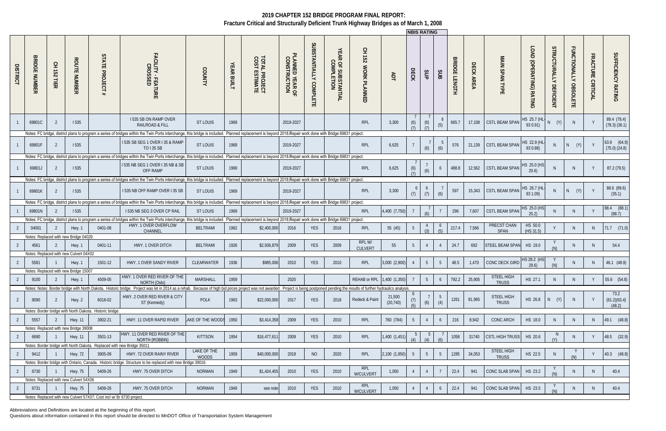Abbreviations and Definitions are located at the beginning of this report.

|                 |                                |                                 |                                        |                                                                        |                                                                                                                                                                                                                                                |                             |               |                                        |                                 |                        |                                              |                                                 |                     |            | <b>INBIS RATING</b> |                |                                |           |                                   |                                 |                                  |                       |                                    |                                     |
|-----------------|--------------------------------|---------------------------------|----------------------------------------|------------------------------------------------------------------------|------------------------------------------------------------------------------------------------------------------------------------------------------------------------------------------------------------------------------------------------|-----------------------------|---------------|----------------------------------------|---------------------------------|------------------------|----------------------------------------------|-------------------------------------------------|---------------------|------------|---------------------|----------------|--------------------------------|-----------|-----------------------------------|---------------------------------|----------------------------------|-----------------------|------------------------------------|-------------------------------------|
| <b>DISTRICT</b> | <b>BRIDGE</b><br><b>NUMBER</b> | 오<br>152<br>뷰<br>$\overline{z}$ | <b>ROUTE</b><br><b>NUMBER</b>          | STATE<br><b>PROJECT</b>                                                | FACILITY - FEATURE<br>CROSSED                                                                                                                                                                                                                  | COUNTY                      | YEAR<br>BUILT | <b>TOTAL PROJECT<br/>COST ESTIMATE</b> | PLANNED YEAR OF<br>CONSTRUCTION | SUBSTANTIALLY COMPLETE | YEAR<br><b>ROF SUBSTANTIAL</b><br>COMPLETION | $\overline{5}$<br>152<br><b>WORK</b><br>PLANNED | ЯDT                 | DECK       | SUP                 | SUB            | <b>BRIDGE</b><br><b>LENGTH</b> | DECK AREA | MAIN SPAN TYPE                    | LOAD<br>D<br>(OPERATING) RATING | STRUCTURALLY<br><b>DEFICIENT</b> | FUNCTIONALLY OBSOLETE | <b>FRACTURE</b><br><b>CRITICAL</b> | <b>SUFFICIENCY</b><br><b>RATING</b> |
|                 | 69801C                         | -2                              | 1535                                   |                                                                        | <b>1535 SB ON RAMP OVER</b><br>RAILROAD & FILL                                                                                                                                                                                                 | <b>ST LOUIS</b>             | 1969          |                                        | 2019-2027                       |                        |                                              | <b>RPL</b>                                      | 3,300               | (6)        | (6)                 | (5)            | 665.7                          | 17,108    | <b>CSTL BEAM SPAN</b>             | HS 25.7 (HL-<br>93 0.91)        | $N$ $(Y)$                        | N.                    |                                    | 89.4 (78.4)<br>$(78.3)$ $(36.1)$    |
|                 |                                |                                 |                                        |                                                                        | Notes: FC bridge, district plans to program a series of bridges within the Twin Ports interchange, this bridge is included. Planned replacement is beyond 2018. Repair work done with Bridge 69831 project.                                    |                             |               |                                        |                                 |                        |                                              |                                                 |                     |            |                     |                |                                |           |                                   |                                 |                                  |                       |                                    |                                     |
|                 | 69801F                         | 2                               | 1535                                   |                                                                        | 1535 SB SEG 1 OVER I 35 & RAMP<br>TO I 35 SB                                                                                                                                                                                                   | <b>ST LOUIS</b>             | 1969          |                                        | 2019-2027                       |                        |                                              | <b>RPL</b>                                      | 6,625               |            | (6)                 | (6)            | 576                            | 21,139    | <b>CSTL BEAM SPAN</b>             | HS 22.9 (HL<br>93 0.88)         |                                  | (Y)<br>N.             |                                    | 63.9 (64.9)<br>$(75.0)$ $(24.8)$    |
|                 |                                |                                 |                                        |                                                                        | Notes: FC bridge, district plans to program a series of bridges within the Twin Ports interchange, this bridge is included. Planned replacement is beyond 2018. Repair work done with Bridge 69831 project.                                    |                             |               |                                        |                                 |                        |                                              |                                                 |                     |            |                     |                |                                |           |                                   |                                 |                                  |                       |                                    |                                     |
|                 | 69801J                         |                                 | 1535                                   |                                                                        | 1535 NB SEG 1 OVER I 35 NB & SB<br>OFF RAMP                                                                                                                                                                                                    | <b>ST LOUIS</b>             | 1969          |                                        | 2019-2027                       |                        |                                              | <b>RPL</b>                                      | 6,625               | (6)<br>(7) | (6)                 | 6              | 488.8                          | 12,562    | <b>CSTL BEAM SPAN</b>             | HS 25.0 (HS<br>20.6             |                                  | <sup>N</sup>          |                                    | 87.2 (79.5)                         |
|                 |                                |                                 |                                        |                                                                        | Notes: FC bridge, district plans to program a series of bridges within the Twin Ports interchange, this bridge is included. Planned replacement is beyond 2018. Repair work done with Bridge 69831 project.                                    |                             |               |                                        |                                 |                        |                                              |                                                 |                     |            |                     |                |                                |           |                                   |                                 |                                  |                       |                                    |                                     |
|                 | 69801K                         | 2                               | 1535                                   |                                                                        | 1535 NB OFF RAMP OVER 135 SB                                                                                                                                                                                                                   | <b>ST LOUIS</b>             | 1969          |                                        | 2019-2027                       |                        |                                              | <b>RPL</b>                                      | 3,300               | 6<br>(7)   | 6<br>(7)            | (6)            | 597                            | 15,343    | <b>CSTL BEAM SPAN</b>             | HS 26.7 (HL-<br>93 1.09)        |                                  | N<br>(Y)              |                                    | 88.6 (89.6)<br>(35.1)               |
|                 |                                |                                 |                                        |                                                                        | Notes: FC bridge, district plans to program a series of bridges within the Twin Ports interchange, this bridge is included. Planned replacement is beyond 2018. Repair work done with Bridge 69831 project.                                    |                             |               |                                        |                                 |                        |                                              |                                                 |                     |            |                     |                |                                |           |                                   |                                 |                                  |                       |                                    |                                     |
|                 | 69801N                         |                                 | 1535                                   |                                                                        | I 535 NB SEG 3 OVER CP RAIL                                                                                                                                                                                                                    | <b>ST LOUIS</b>             | 1969          |                                        | 2019-2027                       |                        |                                              | <b>RPL</b>                                      | 4,400 (7,750)       |            |                     |                | 296                            | 7,607     | <b>CSTL BEAM SPAN</b>             | HS 25.0 (HS<br>25.2             |                                  |                       |                                    | 88.4<br>(88.1)<br>(88.7)            |
|                 |                                |                                 |                                        |                                                                        | Notes: FC bridge, district plans to program a series of bridges within the Twin Ports interchange, this bridge is included. Planned replacement is beyond 2018. Repair work done with Bridge 69831 project.                                    |                             |               |                                        |                                 |                        |                                              |                                                 |                     |            |                     |                |                                |           |                                   |                                 |                                  |                       |                                    |                                     |
|                 | 04001                          |                                 | Hwy. 1                                 | 0401-08                                                                | HWY. 1 OVER OVERFLOW                                                                                                                                                                                                                           | <b>BELTRAMI</b>             | 1962          | \$2,400,000                            | 2016                            | <b>YES</b>             | 2016                                         | RPL                                             | 55 (45)             | .5         |                     | $\circ$        | 217.4                          | 7,566     | PRECST CHAN                       | HS 50.0                         |                                  | N.                    | N                                  | $71.7$ $(71.0)$                     |
|                 |                                |                                 | Notes: Replaced with new Bridge 04029  |                                                                        | CHANNEL                                                                                                                                                                                                                                        |                             |               |                                        |                                 |                        |                                              |                                                 |                     |            | (2)                 | (5)            |                                |           | <b>SPAN</b>                       | (HS 31.5)                       |                                  |                       |                                    |                                     |
|                 |                                |                                 |                                        |                                                                        | HWY. 1 OVER DITCH                                                                                                                                                                                                                              |                             |               |                                        |                                 |                        |                                              | RPL W/                                          | 55                  | 5          |                     | $\overline{4}$ | 24.7                           | 692       | <b>STEEL BEAM SPAN</b>            | HS 19.0                         |                                  |                       |                                    | 54.4                                |
|                 | 4561                           |                                 | Hwy. 1                                 | 0401-11                                                                |                                                                                                                                                                                                                                                | <b>BELTRAMI</b>             | 1926          | \$2,936,879                            | 2009                            | <b>YES</b>             | 2009                                         | <b>CULVERT</b>                                  |                     |            |                     |                |                                |           |                                   |                                 |                                  | N.                    |                                    |                                     |
|                 |                                |                                 | Notes: Replaced with new Culvert 04X02 |                                                                        |                                                                                                                                                                                                                                                |                             |               |                                        |                                 |                        |                                              |                                                 |                     |            |                     |                |                                |           |                                   |                                 |                                  |                       |                                    |                                     |
|                 | 5581                           |                                 | Hwy. 1                                 | 1501-12                                                                | HWY. 1 OVER SANDY RIVER                                                                                                                                                                                                                        | CLEARWATER                  | 1936          | \$985,006                              | 2010                            | <b>YES</b>             | 2010                                         | RPL                                             | 3,000 (2,900)       |            | 5 <sup>5</sup>      | - 5            | 48.5                           | 1,470     | CONC DECK GIRD                    | HS 28.2 (HS<br>29.6             |                                  | N.                    | N                                  | 46.1 (48.9)                         |
|                 |                                |                                 | Notes: Replaced with new Bridge 15007  |                                                                        |                                                                                                                                                                                                                                                |                             |               |                                        |                                 |                        |                                              |                                                 |                     |            |                     |                |                                |           |                                   |                                 |                                  |                       |                                    |                                     |
| $\overline{2}$  | 9100                           |                                 | Hwy. 1                                 | 4509-05                                                                | HWY. 1 OVER RED RIVER OF THE                                                                                                                                                                                                                   | MARSHALL                    | 1959          |                                        | 2025                            |                        |                                              | REHAB or RPL 1,400 (1,350)                      |                     |            | 5 <sup>5</sup>      | 6              | 792.2                          | 25,905    | STEEL HIGH                        | HS 27.1                         |                                  | <sup>N</sup>          |                                    | 55.6 (54.8)                         |
|                 |                                |                                 |                                        |                                                                        | NORTH (Oslo)<br>Notes: Notes: Border bridge with North Dakota. Historic bridge. Project was let in 2014 as a rehab. Because of high bid prices project was not awarded. Project is being postponed pending the results of further hydraulics a |                             |               |                                        |                                 |                        |                                              |                                                 |                     |            |                     |                |                                |           | <b>TRUSS</b>                      |                                 |                                  |                       |                                    |                                     |
|                 |                                |                                 |                                        |                                                                        |                                                                                                                                                                                                                                                |                             |               |                                        |                                 |                        |                                              |                                                 |                     |            |                     |                |                                |           |                                   |                                 |                                  |                       |                                    | 73.2                                |
| $\overline{2}$  | 9090                           | $\overline{2}$                  | Hwy. 2                                 | 6018-02                                                                | HWY. 2 OVER RED RIVER & CITY<br>ST (Kennedy)                                                                                                                                                                                                   | POLK                        | 1963          | \$22,000,000                           | 2017                            | YES                    | 2018                                         | Redeck & Paint                                  | 21,500<br>(20, 740) | (7)<br>(5) | (6)                 | - 5<br>(4)     | 1261                           | 81,965    | STEEL HIGH<br><b>TRUSS</b>        | HS 26.8                         | (Y)<br>N                         | N                     | $\mathsf{Y}$                       | (61.2)(63.4)<br>(48.2)              |
|                 |                                |                                 |                                        | Notes: Border bridge with North Dakota. Historic bridge                |                                                                                                                                                                                                                                                |                             |               |                                        |                                 |                        |                                              |                                                 |                     |            |                     |                |                                |           |                                   |                                 |                                  |                       |                                    |                                     |
|                 | 5557                           | -2                              | <b>Hwy. 11</b>                         | 3902-21                                                                | HWY. 11 OVER RAPID RIVER                                                                                                                                                                                                                       | AKE OF THE WOODS            | 1950          | \$3,414,358                            | 2009                            | YES                    | 2010                                         | RPL                                             | 760 (784)           | 5          |                     | 6              | 216                            | 8,942     | CONC ARCH                         | HS 18.0                         |                                  | N.                    | N                                  | 49.1 (48.8)                         |
|                 |                                |                                 | Notes: Replaced with new Bridge 39008  |                                                                        |                                                                                                                                                                                                                                                |                             |               |                                        |                                 |                        |                                              |                                                 |                     |            |                     |                |                                |           |                                   |                                 |                                  |                       |                                    |                                     |
| -2              | 6690                           |                                 | <b>Hwy. 11</b>                         | 3501-13                                                                | HWY. 11 OVER RED RIVER OF THE<br>NORTH (ROBBIN)                                                                                                                                                                                                | <b>KITTSON</b>              | 1954          | \$16,477,61                            | 2009                            | <b>YES</b>             | 2010                                         | RPL                                             | 1,400 (1,451)       |            |                     |                | 1058                           | 31740     | <b>CSTL HIGH TRUSS</b>            | HS 20.6                         |                                  | N.                    | - Y                                | 48.5 (32.9)                         |
|                 |                                |                                 |                                        | Notes: Border bridge with North Dakota. Replaced with new Bridge 35011 |                                                                                                                                                                                                                                                |                             |               |                                        |                                 |                        |                                              |                                                 |                     |            |                     |                |                                |           |                                   |                                 |                                  |                       |                                    |                                     |
| $\sqrt{2}$      | 9412                           |                                 | <b>Hwy. 72</b>                         | 3905-09                                                                | HWY. 72 OVER RAINY RIVER                                                                                                                                                                                                                       | LAKE OF THE<br><b>WOODS</b> | 1959          | \$40,000,000                           | 2018                            | N <sub>O</sub>         | 2020                                         | RPL                                             | 2,100 (1,950)       | 5          | 5 <sup>5</sup>      | 5              | 1285                           | 34,053    | <b>STEEL HIGH</b><br><b>TRUSS</b> | HS 22.5                         |                                  | (N)                   |                                    | 40.3 (48.8)                         |
|                 |                                |                                 |                                        |                                                                        | Notes: Border bridge with Ontario, Canada. Historic bridge. Structure to be replaced with new Bridge 39016.                                                                                                                                    |                             |               |                                        |                                 |                        |                                              |                                                 |                     |            |                     |                |                                |           |                                   |                                 |                                  |                       |                                    |                                     |
|                 | 6730                           |                                 | <b>Hwy. 75</b>                         | 5409-26                                                                | HWY. 75 OVER DITCH                                                                                                                                                                                                                             | <b>NORMAN</b>               | 1949          | \$1,424,455                            | 2010                            | <b>YES</b>             | 2010                                         | RPL                                             | 1,050               |            |                     |                | 22.4                           | 941       | CONC SLAB SPAN                    | HS 23.2                         |                                  | N.                    | N                                  | 40.4                                |
|                 |                                |                                 | Notes: Replaced with new Culvert 54X06 |                                                                        |                                                                                                                                                                                                                                                |                             |               |                                        |                                 |                        |                                              | W/CULVERT                                       |                     |            |                     |                |                                |           |                                   |                                 | (N)                              |                       |                                    |                                     |
|                 | 6731                           |                                 | Hwy. 75                                | 5409-26                                                                | HWY. 75 OVER DITCH                                                                                                                                                                                                                             | <b>NORMAN</b>               | 1949          |                                        | 2010                            | YES                    | 2010                                         | RPL                                             | 1,050               |            |                     | 6              | 22.4                           | 941       | CONC SLAB SPAN                    | HS 23.5                         |                                  | N.                    | N.                                 | 40.4                                |
|                 |                                |                                 |                                        |                                                                        |                                                                                                                                                                                                                                                |                             |               | see note                               |                                 |                        |                                              | W/CULVERT                                       |                     |            |                     |                |                                |           |                                   |                                 | (N)                              |                       |                                    |                                     |
|                 |                                |                                 |                                        | Notes: Replaced with new Culvert 57X07; Cost incl w/ Br 6730 project.  |                                                                                                                                                                                                                                                |                             |               |                                        |                                 |                        |                                              |                                                 |                     |            |                     |                |                                |           |                                   |                                 |                                  |                       |                                    |                                     |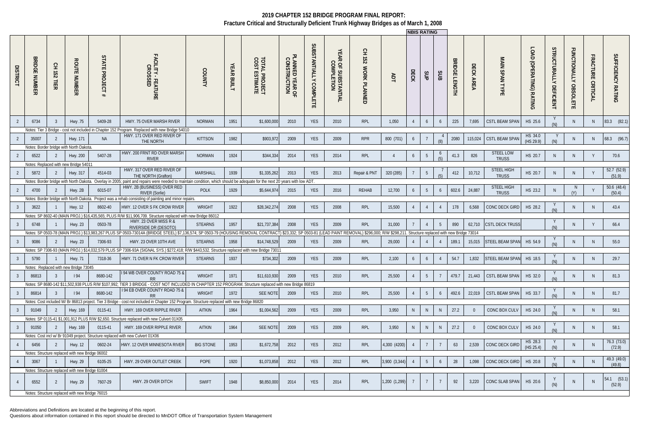Abbreviations and Definitions are located at the beginning of this report.

|                 |                                       |                         |                                                 |                              |                                                                                                                                                              |                  |                      |                                        |                                             |                                  |                                   |                                                                                                              |                | <b>INBIS RATING</b> |                |                |                                |                     |                               |                                 |                                  |                                        |                                    |                       |
|-----------------|---------------------------------------|-------------------------|-------------------------------------------------|------------------------------|--------------------------------------------------------------------------------------------------------------------------------------------------------------|------------------|----------------------|----------------------------------------|---------------------------------------------|----------------------------------|-----------------------------------|--------------------------------------------------------------------------------------------------------------|----------------|---------------------|----------------|----------------|--------------------------------|---------------------|-------------------------------|---------------------------------|----------------------------------|----------------------------------------|------------------------------------|-----------------------|
| <b>DISTRICT</b> | ᢘ<br>증<br>റ<br>ш<br><b>RIMDR</b><br>m | 오<br><b>152</b><br>TIER | <b>ROUTE</b><br>NUMBER                          | STATE<br><b>PROJECT</b><br># | FACILITY - FEATURE<br>CROSSED                                                                                                                                | <b>COUNTY</b>    | YEAR<br><b>BUILT</b> | <b>TOTAL PROJECT<br/>COST ESTIMATE</b> | <sup>D</sup> LANNED YEAR OF<br>CONSTRUCTION | SUBSTANTIALLY<br><b>COMPLETE</b> | YEAR OF SUBSTANTIAL<br>COMPLETION | 오<br>도<br>152<br><b>WORK</b><br>PLANNED                                                                      | ЯDT            | ECK                 | SUP            | SUB            | <b>BRIDGE</b><br><b>LENGTH</b> | DECK<br><b>AREA</b> | MAIN<br><b>SPAN</b><br>TYPE   | LOAD<br>O<br>(OPERATING) RATING | STRUCTURALLY<br><b>DEFICIENT</b> | <b>FUNCTIONALLY</b><br><b>OBSOLETE</b> | <b>FRACTURE</b><br><b>CRITICAL</b> | SUFFICIENCY<br>RATING |
|                 | 6734                                  | -3                      | Hwy .75                                         | 5409-28                      | HWY. 75 OVER MARSH RIVER                                                                                                                                     | <b>NORMAN</b>    | 1951                 | \$1,600,000                            | 2010                                        | <b>YES</b>                       | 2010                              | <b>RPL</b>                                                                                                   | 1,050          |                     | 6              | 6              | 225                            | 7,695               | <b>CSTL BEAM SPAN</b>         | HS 25.6                         |                                  | N.                                     | N.                                 | 83.3 (82.1)           |
|                 |                                       |                         |                                                 |                              | Notes: Tier 3 Bridge - cost not included in Chapter 152 Program. Replaced with new Bridge 54010                                                              |                  |                      |                                        |                                             |                                  |                                   |                                                                                                              |                |                     |                |                |                                |                     |                               |                                 |                                  |                                        |                                    |                       |
|                 | 35007                                 |                         | Hwy. 171                                        | <b>NA</b>                    | HWY. 171 OVER RED RIVER OF<br>THE NORTH                                                                                                                      | KITTSON          | 1982                 | \$903,972                              | 2009                                        | <b>YES</b>                       | 2009                              | <b>RPR</b>                                                                                                   | 800 (701)      | 6                   |                | (8)            | 2080                           | 115,024             | <b>CSTL BEAM SPAN</b>         | HS 34.0<br>(HS 29.9)            |                                  | N.                                     | <sup>N</sup>                       | 68.3 (96.7)           |
|                 |                                       |                         | Notes: Border bridge with North Dakota          |                              |                                                                                                                                                              |                  |                      |                                        |                                             |                                  |                                   |                                                                                                              |                |                     |                |                |                                |                     |                               |                                 |                                  |                                        |                                    |                       |
|                 | 6522                                  | $\mathcal{L}$           | <b>Hwy. 200</b>                                 | 5407-28                      | HWY. 200 FRNT RD OVER MARSH                                                                                                                                  | <b>NORMAN</b>    | 1924                 | \$344,334                              | 2014                                        | <b>YES</b>                       | 2014                              | RPL                                                                                                          | $\overline{4}$ | 6                   | -5             | $\circ$<br>(5) | 41.3                           | 826                 | <b>STEEL LOW</b>              | HS 20.7                         |                                  | N.                                     | Y                                  | 70.6                  |
|                 |                                       |                         | Notes: Replaced with new Bridge 54011           |                              | <b>RIVER</b>                                                                                                                                                 |                  |                      |                                        |                                             |                                  |                                   |                                                                                                              |                |                     |                |                |                                |                     | <b>TRUSS</b>                  |                                 |                                  |                                        |                                    |                       |
|                 | 5872                                  |                         | Hwy. 317                                        | 4514-03                      | HWY. 317 OVER RED RIVER OF                                                                                                                                   | <b>MARSHALL</b>  | 1939                 | \$1,335,262                            | 2013                                        | <b>YES</b>                       | 2013                              | Repair & PNT                                                                                                 | 320 (285)      |                     | 5              |                | 412                            | 10,712              | STEEL HIGH                    | HS 20.7                         |                                  | N.                                     | Y                                  | 52.7(52.9)            |
|                 |                                       |                         |                                                 |                              | THE NORTH (Grafton)                                                                                                                                          |                  |                      |                                        |                                             |                                  |                                   |                                                                                                              |                |                     |                | (5)            |                                |                     | <b>TRUSS</b>                  |                                 |                                  |                                        |                                    | (51.9)                |
|                 | Notes: Border bridge                  |                         | with North Dakot                                | Overlav in 2005              | and repairs were needed to maintain condition, which<br>HWY. 2B (BUSINESS) OVER RED                                                                          |                  |                      | for the next                           | years with low ADT.                         |                                  |                                   |                                                                                                              |                |                     |                |                |                                |                     | STEEL HIGH                    |                                 |                                  | N,                                     |                                    | 50.6(48.4)            |
|                 | 4700                                  |                         | Hwy. 2B                                         | 6015-07                      | <b>RIVER (Sorlie)</b>                                                                                                                                        | <b>POLK</b>      | 1929                 | \$5,644,97                             | 2015                                        | <b>YES</b>                       | 2016                              | REHAB                                                                                                        | 12,700         | 6                   | $\overline{5}$ | 6              | 602.6                          | 24,887              | <b>TRUSS</b>                  | HS 23.2                         |                                  |                                        |                                    | (50.4)                |
|                 |                                       |                         | Notes: Border bridge with North Dakota          |                              | Project was a rehab consisting of painting and minor repairs.                                                                                                |                  |                      |                                        |                                             |                                  |                                   |                                                                                                              |                |                     |                |                |                                |                     |                               |                                 |                                  |                                        |                                    |                       |
|                 | 3622                                  |                         | <b>Hwy. 12</b>                                  | 8602-40                      | HWY. 12 OVER S FK CROW RIVER                                                                                                                                 | <b>WRIGHT</b>    | 1922                 | \$28,342,27                            | 2008                                        | <b>YES</b>                       | 2008                              | RPL                                                                                                          | 15,500         |                     | $\overline{4}$ | $\overline{4}$ | 178                            | 6,568               | CONC DECK GIRD                | HS 28.2                         |                                  | N.                                     | <sup>N</sup>                       | 43.4                  |
|                 |                                       |                         |                                                 |                              | Notes: SP 8602-40 (MAIN PROJ.) \$16,435,565; PLUS R/W \$11,906,709. Structure replaced with new Bridge 86012                                                 |                  |                      |                                        |                                             |                                  |                                   |                                                                                                              |                |                     |                |                |                                |                     |                               |                                 |                                  |                                        |                                    |                       |
|                 | 6748                                  |                         | <b>Hwy. 23</b>                                  | 0503-78                      | HWY. 23 OVER MISS R &                                                                                                                                        | <b>STEARNS</b>   | 1957                 | \$21,737,384                           | 2008                                        | YES                              | 2009                              | <b>RPL</b>                                                                                                   | 31,000         |                     |                | 5              | 890                            | 62,710              | <b>CSTL DECK TRUSS</b>        |                                 |                                  | N.                                     |                                    | 66.4                  |
|                 |                                       |                         |                                                 |                              | RIVERSIDE DR (DESOTO)<br>Notes: SP 0503-78 (MAIN PROJ.) \$13,983,267 PLUS SP 0503-73014A (BRIDGE STEEL) \$7,136,574: SP 0503-79 (HOI                         |                  |                      | <b>JSING REMOVAL CONTRACT</b>          |                                             |                                  |                                   | \$23,332; SP 0503-81 (LEAD PAINT REMOVAL) \$296,000; R/W \$298,211. Structure replaced with new Bridge 73014 |                |                     |                |                |                                |                     |                               |                                 |                                  |                                        |                                    |                       |
|                 |                                       |                         |                                                 |                              |                                                                                                                                                              |                  |                      |                                        |                                             |                                  |                                   |                                                                                                              |                |                     |                |                |                                |                     |                               |                                 |                                  |                                        |                                    |                       |
|                 | 9086                                  | $\overline{2}$          | <b>Hwy. 23</b>                                  | 7306-93                      | HWY. 23 OVER 10TH AVE                                                                                                                                        | <b>STEARNS</b>   | 1958                 | \$14,748,529                           | 2009                                        | YES                              | 2009                              | <b>RPL</b>                                                                                                   | 29,000         |                     |                |                | 189.                           | 15,015              | <b>STEEL BEAM SPAN</b>        | HS 54.9                         | (M)                              | N.                                     | -N                                 | 55.0                  |
|                 |                                       |                         |                                                 |                              | Notes: SP 7306-93 (MAIN PROJ.) \$14,032,579 PLUS SP 7306-93A (SIGNAL SYS.) \$272,418; RM \$443,532. Structure replaced with new Bridge 73011                 |                  |                      |                                        |                                             |                                  |                                   |                                                                                                              |                |                     |                |                |                                |                     |                               |                                 |                                  |                                        |                                    |                       |
|                 | 5790                                  |                         | <b>Hwy. 71</b>                                  | 7318-36                      | HWY. 71 OVER N FK CROW RIVER                                                                                                                                 | <b>STEARNS</b>   | 1937                 | \$734,302                              | 2009                                        | <b>YES</b>                       | 2009                              | RPL                                                                                                          | 2,100          | 6                   | 6              | $\overline{4}$ | 54.7                           | 1,832               | <b>STEEL BEAM SPAN</b>        | HS 18.5                         |                                  | N                                      |                                    | 29.7                  |
|                 |                                       |                         | Notes: Replaced with new Bridge 73045           |                              |                                                                                                                                                              |                  |                      |                                        |                                             |                                  |                                   |                                                                                                              |                |                     |                |                |                                |                     |                               |                                 |                                  |                                        |                                    |                       |
|                 | 86813 3 194                           |                         |                                                 | 8680-142                     | 194 WB OVER COUNTY ROAD 75 &                                                                                                                                 | WRIGHT           | $\vert$ 1971         | \$11,610,930                           | 2009                                        | YES                              | 2010                              | RPL                                                                                                          | 25,500         |                     |                |                | 479.7                          |                     | 21,443 CSTL BEAM SPAN HS 32.0 |                                 |                                  | IN.                                    | IN 1                               | 81.3                  |
|                 |                                       |                         |                                                 |                              | RR<br>Notes: SP 8680-142 \$11,502,938 PLUS R/W \$107,992; TIER 3 BRIDGE - COST NOT INCLUDED IN CHAPTER 152 PROGRAM. Structure replaced with new Bridge 86819 |                  |                      |                                        |                                             |                                  |                                   |                                                                                                              |                |                     |                |                |                                |                     |                               |                                 |                                  |                                        |                                    |                       |
| - 3             | 86814                                 | $\mathcal{R}$           | 94                                              | 8680-142                     | 194 EB OVER COUNTY ROAD 75 &                                                                                                                                 | <b>WRIGHT</b>    | 1972                 | SEE NOTE                               | 2009                                        | <b>YES</b>                       | 2010                              | <b>RPL</b>                                                                                                   | 25,500         |                     | 5              | 6              | 492.6                          | 22,019              | CSTL BEAM SPAN   HS 33.7      |                                 |                                  | N.                                     | N                                  | 81.7                  |
|                 |                                       |                         |                                                 |                              | RR                                                                                                                                                           |                  |                      |                                        |                                             |                                  |                                   |                                                                                                              |                |                     |                |                |                                |                     |                               |                                 | (N)                              |                                        |                                    |                       |
|                 |                                       |                         |                                                 |                              | Notes: Cost included W/ Br 86813 project. Tier 3 Bridge - cost not included in Chapter 152 Program. Structure replaced with new Bridge 86820                 |                  |                      |                                        |                                             |                                  |                                   |                                                                                                              |                |                     |                |                |                                |                     |                               |                                 |                                  |                                        |                                    |                       |
|                 | 91049                                 | 2                       | Hwy. 169                                        | 0115-41                      | HWY. 169 OVER RIPPLE RIVER                                                                                                                                   | AITKIN           | 1964                 | \$1,004,562                            | 2009                                        | <b>YES</b>                       | 2009                              | <b>RPL</b>                                                                                                   | 3,950          | N                   | N              | N              | 27.2                           |                     | CONC BOX CULV                 | HS 24.0                         | (M)                              | N.                                     | N.                                 | 58.1                  |
|                 |                                       |                         |                                                 |                              | Notes: SP 0115-41 \$1,001,912 PLUS R/W \$2,650. Structure replaced with new Culvert 01X05                                                                    |                  |                      |                                        |                                             |                                  |                                   |                                                                                                              |                |                     |                |                |                                |                     |                               |                                 |                                  |                                        |                                    |                       |
|                 | 91050                                 | 2                       | Hwy. 169                                        | 0115-41                      | HWY. 169 OVER RIPPLE RIVER                                                                                                                                   | AITKIN           | 1964                 | SEE NOTE                               | 2009                                        | <b>YES</b>                       | 2009                              | RPL                                                                                                          | 3,950          | N                   | N              | N              | 27.2                           |                     | CONC BOX CULV                 | HS 24.0                         |                                  | N.                                     |                                    | 58.1                  |
|                 |                                       |                         |                                                 |                              | Notes: Cost incl w/ Br 91049 project. Structure replaced with new Culvert 01X06                                                                              |                  |                      |                                        |                                             |                                  |                                   |                                                                                                              |                |                     |                |                |                                |                     |                               |                                 |                                  |                                        |                                    |                       |
|                 | 6456                                  | 2                       | <b>Hwy. 12</b>                                  | 0602-24                      | HWY. 12 OVER MINNESOTA RIVER                                                                                                                                 | <b>BIG STONE</b> | 1953                 | \$1,672,758                            | 2012                                        | <b>YES</b>                       | 2012                              | <b>RPL</b>                                                                                                   | 4,300 (4200)   |                     |                |                | 63                             | 2,539               | CONC DECK GIRD                | HS 28.3                         | (N)                              | N.                                     |                                    | 76.3(73.0)            |
|                 |                                       |                         | Notes: Structure replaced with new Bridge 06002 |                              |                                                                                                                                                              |                  |                      |                                        |                                             |                                  |                                   |                                                                                                              |                |                     |                |                |                                |                     |                               | (HS 25.4)                       |                                  |                                        |                                    | (72.9)                |
|                 | 3067                                  |                         | <b>Hwy. 29</b>                                  | 6105-25                      | HWY. 29 OVER OUTLET CREEK                                                                                                                                    | POPE             | 1920                 | \$1,073,858                            | 2012                                        | <b>YES</b>                       | 2012                              | <b>RPL</b>                                                                                                   | 3,900 (3,344)  |                     | 5              | 6              | 28                             | 1,098               | CONC DECK GIRD                | HS 20.8                         |                                  | N.                                     | N.                                 | 49.3 (49.0)           |
|                 |                                       |                         | Notes: Structure replaced with new Bridge 61004 |                              |                                                                                                                                                              |                  |                      |                                        |                                             |                                  |                                   |                                                                                                              |                |                     |                |                |                                |                     |                               |                                 | (N)                              |                                        |                                    | (49.8)                |
|                 |                                       |                         |                                                 |                              |                                                                                                                                                              |                  |                      |                                        |                                             |                                  |                                   |                                                                                                              |                |                     |                |                |                                |                     |                               |                                 |                                  |                                        |                                    |                       |
|                 | 6552                                  | 2                       | <b>Hwy. 29</b>                                  | 7607-29                      | HWY. 29 OVER DITCH                                                                                                                                           | SWIFT            | 1948                 | \$8,850,000                            | 2014                                        | YES                              | 2014                              | RPL                                                                                                          | 1,200 (1,299)  |                     | 7              | $\overline{7}$ | 92                             | 3,220               | CONC SLAB SPAN   HS 20.6      |                                 | (N)                              |                                        |                                    | 54.1 (53.1)<br>(52.9) |
|                 |                                       |                         | Notes: Structure replaced with new Bridge 76015 |                              |                                                                                                                                                              |                  |                      |                                        |                                             |                                  |                                   |                                                                                                              |                |                     |                |                |                                |                     |                               |                                 |                                  |                                        |                                    |                       |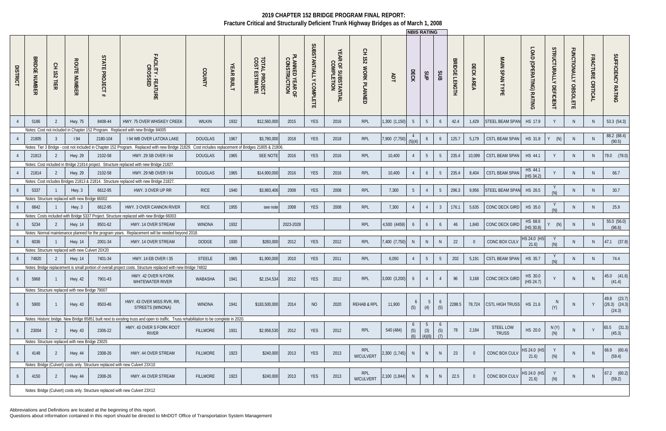Abbreviations and Definitions are located at the beginning of this report.

|                 |                                |                  |                                                  |                                           |                                                                                                                                        |                 |                   |                                                     |                                 |                        |                                   |                               |               | <b>INBIS RATING</b> |                        |                 |                                |           |                           |                         |                                  |                                        |                                    |                                            |
|-----------------|--------------------------------|------------------|--------------------------------------------------|-------------------------------------------|----------------------------------------------------------------------------------------------------------------------------------------|-----------------|-------------------|-----------------------------------------------------|---------------------------------|------------------------|-----------------------------------|-------------------------------|---------------|---------------------|------------------------|-----------------|--------------------------------|-----------|---------------------------|-------------------------|----------------------------------|----------------------------------------|------------------------------------|--------------------------------------------|
| <b>DISTRICT</b> | <b>BRIDGE</b><br><b>NUMBER</b> | 오<br>152<br>TIER | <b>ROUTE NUMBER</b>                              | ပ္ပ<br><b>TATE</b><br><b>PROJECT</b><br># | FACILITY - I<br>- FEATURE<br>SED                                                                                                       | COUNTY          | <b>YEAR BUILT</b> | <b>TOTAL PROJECT<br/>COST ESTIMATE</b>              | PLANNED YEAR OF<br>CONSTRUCTION | SUBSTANTIALLY COMPLETE | YEAR OF SUBSTANTIAL<br>COMPLETION | 오<br>도<br>251<br>WORK PLANNED | ЯDT           | DECK                | SUP                    | SUB             | <b>BRIDGE</b><br><b>LENGTH</b> | DECK AREA | MAIN SPAN TYPE            | LOAD (OPERATING) RATING | STRUCTURALLY<br><b>DEFICIENT</b> | <b>FUNCTIONALLY</b><br><b>OBSOLETE</b> | <b>FRACTURE</b><br><b>CRITICAL</b> | SUFFICIENCY RATING                         |
|                 | 5186                           | -2               | Hwy. 75                                          | 8408-44                                   | HWY. 75 OVER WHISKEY CREEK                                                                                                             | WILKIN          | 1932              | \$12,560,000                                        | 2015                            | <b>YES</b>             | 2016                              | <b>RPL</b>                    | 1,300 (1,150) | 5                   | 5 <sup>5</sup>         | 6               | 42.4                           | 1,429     | <b>STEEL BEAM SPAN</b>    | HS 17.9                 |                                  | N.                                     | <sup>N</sup>                       | 53.3(54.3)                                 |
|                 |                                |                  |                                                  |                                           | Notes: Cost not included in Chapter 152 Program. Replaced with new Bridge 84005                                                        |                 |                   |                                                     |                                 |                        |                                   |                               |               |                     |                        |                 |                                |           |                           |                         |                                  |                                        |                                    |                                            |
|                 | 21805                          | -3               | 194                                              | 2180-104                                  | <b>194 WB OVER LATOKA LAKE</b>                                                                                                         | <b>DOUGLAS</b>  | 1967              | \$3,780,000                                         | 2018                            | <b>YES</b>             | 2018                              | <b>RPL</b>                    | 7,900 (7,750  |                     | 6                      | 6               | 125.7                          | 5,179     | <b>CSTL BEAM SPAN</b>     | HS 31.8                 | (N)<br>Y                         | N.                                     | N                                  | 88.2 (88.4)<br>(90.5)                      |
|                 |                                |                  |                                                  |                                           | Notes: Tier 3 Bridge - cost not included in Chapter 152 Program. Replaced with new Bridge 21829.                                       |                 |                   | Cost includes replacement of Bridges 21805 & 21806. |                                 |                        |                                   |                               |               |                     |                        |                 |                                |           |                           |                         |                                  |                                        |                                    |                                            |
|                 | 21813                          | $\overline{2}$   | <b>Hwy. 29</b>                                   | 2102-58                                   | HWY. 29 SB OVER I 94                                                                                                                   | <b>DOUGLAS</b>  | 1965              | <b>SEE NOTE</b>                                     | 2016                            | <b>YES</b>             | 2016                              | <b>RPL</b>                    | 10,400        |                     | 5 <sup>5</sup>         | $5\overline{)}$ | 235.4                          | 10,099    | <b>CSTL BEAM SPAN</b>     | HS 44.1                 |                                  | N.                                     | N                                  | 79.0 (78.0)                                |
|                 |                                |                  |                                                  |                                           | Notes: Cost included in Bridge 21814 project. Structure replaced with new Bridge 21827.                                                |                 |                   |                                                     |                                 |                        |                                   |                               |               |                     |                        |                 |                                |           |                           |                         |                                  |                                        |                                    |                                            |
|                 | 21814                          |                  | Hwy. 29                                          | 2102-58                                   | HWY. 29 NB OVER 194                                                                                                                    | <b>DOUGLAS</b>  | 1965              | \$14,900,000                                        | 2016                            | YES                    | 2016                              | <b>RPL</b>                    | 10,400        | $\overline{4}$      | 6                      | $5\overline{)}$ | 235.4                          | 8,404     | <b>CSTL BEAM SPAN</b>     | HS 44.1                 |                                  | N                                      | N.                                 | 66.7                                       |
|                 |                                |                  |                                                  |                                           | Notes: Cost includes Bridges 21813 & 21814. Structure replaced with new Bridge 21827                                                   |                 |                   |                                                     |                                 |                        |                                   |                               |               |                     |                        |                 |                                |           |                           | (HS 34.2)               |                                  |                                        |                                    |                                            |
|                 | 5337                           |                  | Hwy. 3                                           | 6612-95                                   | HWY. 3 OVER UP RR                                                                                                                      | <b>RICE</b>     | 1940              | \$3,883,406                                         | 2008                            | <b>YES</b>             | 2008                              | <b>RPL</b>                    | 7,300         | 5 <sup>5</sup>      |                        | $5\overline{)}$ | 296.3                          | 9,956     | STEEL BEAM SPAN           | HS 26.5                 |                                  | N                                      | N                                  | 30.7                                       |
|                 |                                |                  | Notes: Structure replaced with new Bridge 66002  |                                           |                                                                                                                                        |                 |                   |                                                     |                                 |                        |                                   |                               |               |                     |                        |                 |                                |           |                           |                         |                                  |                                        |                                    |                                            |
|                 | 6842                           |                  | Hwy. $3$                                         | 6612-95                                   | HWY. 3 OVER CANNON RIVER                                                                                                               | <b>RICE</b>     | 1955              | see note                                            | 2008                            | <b>YES</b>             | 2008                              | <b>RPL</b>                    | 7,300         |                     | $\overline{4}$         | $\mathbf{3}$    | 176.1                          | 5,635     | CONC DECK GIRD            | HS 35.0                 |                                  | N                                      | N.                                 | 25.9                                       |
|                 |                                |                  |                                                  |                                           | Notes: Costs included with Bridge 5337 Project. Structure replaced with new Bridge 66003                                               |                 |                   |                                                     |                                 |                        |                                   |                               |               |                     |                        |                 |                                |           |                           |                         |                                  |                                        |                                    |                                            |
|                 | 5234                           |                  | Hwy. 14                                          | 8501-62                                   | HWY. 14 OVER STREAM                                                                                                                    | <b>WINONA</b>   | 1932              |                                                     | 2023-2028                       |                        |                                   | <b>RPL</b>                    | 4,500 (4459)  | 6                   | 6                      | 6               | 46                             | 1,840     | CONC DECK GIRD            | HS 68.6<br>(HS 30.8)    | (N)                              | N.                                     | <sup>N</sup>                       | 55.0 (56.0)<br>(96.6)                      |
|                 |                                |                  |                                                  |                                           | Notes: Normal maintenance planned for the program years. Replacement will be needed beyond 2018.                                       |                 |                   |                                                     |                                 |                        |                                   |                               |               |                     |                        |                 |                                |           |                           |                         |                                  |                                        |                                    |                                            |
|                 | 6036                           |                  | Hwy. 14                                          | 2001-34                                   | HWY. 14 OVER STREAM                                                                                                                    | <b>DODGE</b>    | 1930              | \$283,000                                           | 2012                            | YES                    | 2012                              | <b>RPL</b>                    | 7,400 (7,750) | $\mathsf{N}$        | $\mathsf{N}$           | N               | 22                             |           | CONC BOX CULV             | HS 24.0 (HS<br>21.6     |                                  | N.                                     | N.                                 | $47.1$ $(37.8)$                            |
|                 |                                |                  | Notes: Structure replaced with new Culvert 20X20 |                                           |                                                                                                                                        |                 |                   |                                                     |                                 |                        |                                   |                               |               |                     |                        |                 |                                |           |                           |                         |                                  |                                        |                                    |                                            |
|                 | 74820                          |                  | <b>Hwy. 14</b>                                   | 7401-34                                   | <b>HWY. 14 EB OVER I 35</b>                                                                                                            | <b>STEELE</b>   | 1965              | \$1,900,000                                         | 2010                            | <b>YES</b>             | 2011                              | <b>RPL</b>                    | 6,050         |                     | $5\overline{)}$        | $5\overline{)}$ | 202                            | 5,191     | <b>CSTL BEAM SPAN</b>     | HS 35.7                 |                                  | N                                      | <sup>N</sup>                       | 74.4                                       |
|                 |                                |                  |                                                  |                                           | Notes: Bridge replacement is small portion of overall project costs. Structure replaced with new Bridge 74832                          |                 |                   |                                                     |                                 |                        |                                   |                               |               |                     |                        |                 |                                |           |                           |                         |                                  |                                        |                                    |                                            |
|                 | 5968                           |                  | <b>Hwy. 42</b>                                   | 7901-43                                   | HWY. 42 OVER N FORK<br>WHITEWATER RIVER                                                                                                | WABASHA         | 1941              | \$2,154,534                                         | 2012                            | YES                    | 2012                              | <b>RPL</b>                    | 3,000(3,200)  | 6                   | $\overline{4}$         | 4               | 96                             | 3,168     | CONC DECK GIRD            | HS 30.0<br>(HS 24.7)    |                                  | <sup>N</sup>                           |                                    | 45.0 (41.6)<br>(41.4)                      |
|                 |                                |                  | Notes: Structure replaced with new Bridge 79007  |                                           |                                                                                                                                        |                 |                   |                                                     |                                 |                        |                                   |                               |               |                     |                        |                 |                                |           |                           |                         |                                  |                                        |                                    |                                            |
| 6               | 5900                           |                  | <b>Hwy. 43</b>                                   | 8503-46                                   | HWY. 43 OVER MISS RVR, RR,<br>STREETS (WINONA)                                                                                         | <b>WINONA</b>   | 1941              | \$183,500,000                                       | 2014                            | <b>NO</b>              | 2020                              | REHAB & RPL                   | 11,900        | 6<br>(5)            | $5\overline{)}$<br>(4) | 6<br>(5)        | 2288.5                         | 78,724    | CSTL HIGH TRUSS   HS 21.6 |                         | N.<br>(Y)                        | <sup>N</sup>                           |                                    | 49.8 (23.7)<br>$(26.3)$ $(24.3)$<br>(24.3) |
|                 |                                |                  |                                                  |                                           | Notes: Historic bridge. New Bridge 85851 built next to existing truss and open to traffic. Truss rehabilitation to be complete in 2020 |                 |                   |                                                     |                                 |                        |                                   |                               |               |                     |                        |                 |                                |           |                           |                         |                                  |                                        |                                    |                                            |
|                 | 23004                          | 2                | Hwy. 43                                          | 2306-22                                   | HWY. 43 OVER S FORK ROOT<br>RIVER                                                                                                      | <b>FILLMORE</b> | 1931              | \$2,958,530                                         | 2012                            | <b>YES</b>             | 2012                              | <b>RPL</b>                    | 540 (484)     | (5)<br>(6)          | (3)<br>(4)(6)          | (5)<br>(7)      | 78                             | 2,184     | STEEL LOW<br><b>TRUSS</b> | HS 20.0                 | N(Y)<br>(N)                      |                                        |                                    | 65.5 (31.3)<br>(45.3)                      |
|                 |                                |                  | Notes: Structure replaced with new Bridge 23025  |                                           |                                                                                                                                        |                 |                   |                                                     |                                 |                        |                                   |                               |               |                     |                        |                 |                                |           |                           |                         |                                  |                                        |                                    |                                            |
|                 | 4148                           | 2                | <b>Hwy. 44</b>                                   | 2308-26                                   | HWY. 44 OVER STREAM                                                                                                                    | <b>FILLMORE</b> | 1923              | \$240,000                                           | 2013                            | YES                    | 2013                              | RPL<br>W/CULVERT              | 2,300 (1,745) | N                   | N                      | N               | 23                             |           | CONC BOX CULV             | HS 24.0 (HS<br>21.6)    | (N)                              |                                        |                                    | $66.9$ $(60.4)$<br>(59.4)                  |
|                 |                                |                  |                                                  |                                           | Notes: Bridge (Culvert) costs only. Structure replaced with new Culvert 23X10                                                          |                 |                   |                                                     |                                 |                        |                                   |                               |               |                     |                        |                 |                                |           |                           |                         |                                  |                                        |                                    |                                            |
|                 | 4150                           | 2                | <b>Hwy. 44</b>                                   | 2308-26                                   | HWY. 44 OVER STREAM                                                                                                                    | <b>FILLMORE</b> | 1923              | \$240,000                                           | 2013                            | YES                    | 2013                              | RPL<br>W/CULVERT              | 2,100 (1,844) | N                   | N                      | N               | 22.5                           |           | CONC BOX CULV             | HS 24.0 (HS<br>21.6)    | (N)                              | N.                                     |                                    | $67.2$ $(60.2)$<br>(59.2)                  |
|                 |                                |                  |                                                  |                                           | Notes: Bridge (Culvert) costs only. Structure replaced with new Culvert 23X12                                                          |                 |                   |                                                     |                                 |                        |                                   |                               |               |                     |                        |                 |                                |           |                           |                         |                                  |                                        |                                    |                                            |
|                 |                                |                  |                                                  |                                           |                                                                                                                                        |                 |                   |                                                     |                                 |                        |                                   |                               |               |                     |                        |                 |                                |           |                           |                         |                                  |                                        |                                    |                                            |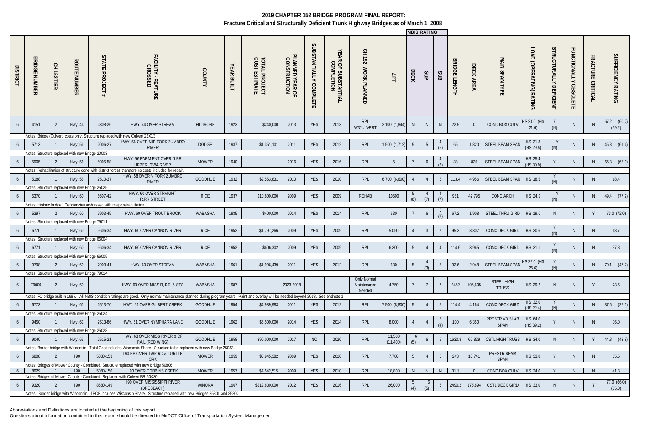Abbreviations and Definitions are located at the beginning of this report.

|                 |                                                       |                  |                                                            |                                                                          |                                                                                                                                                                                        |                 |                   |                                                 |                                       |                                  |                                                |                                      |                     |                | <b>NBIS RATING</b> |                 |                               |                      |                                    |                                           |                                         |                                        |                                   |                       |
|-----------------|-------------------------------------------------------|------------------|------------------------------------------------------------|--------------------------------------------------------------------------|----------------------------------------------------------------------------------------------------------------------------------------------------------------------------------------|-----------------|-------------------|-------------------------------------------------|---------------------------------------|----------------------------------|------------------------------------------------|--------------------------------------|---------------------|----------------|--------------------|-----------------|-------------------------------|----------------------|------------------------------------|-------------------------------------------|-----------------------------------------|----------------------------------------|-----------------------------------|-----------------------|
| <b>DISTRICT</b> | <b>BRIDGI</b><br>$\blacksquare$<br><b>NUMBEI</b><br>ᄍ | 오<br>152<br>TIER | <b>ROUTE</b><br><b>NUMBER</b>                              | STATE<br><b>PROJECT</b><br>#                                             | FACILITY - FEAT<br>CROSSED<br>TURE                                                                                                                                                     | <b>COUNT</b>    | <b>YEAR BUILT</b> | <b>TOTAL</b><br>COST I<br>L PROJECT<br>ESTIMATE | ᠊ᠣ<br>PLANNED YEAR OF<br>CONSTRUCTION | SUBSTANTIALLY<br><b>COMPLETE</b> | YEAR C<br><b>ROF SUBSTANTIAL</b><br>COMPLETION | 오<br>도<br><b>152</b><br>WORK PLANNED | ADT                 | ECK            | SUP                | SUB             | <b>RIDGE</b><br><b>LENGTH</b> | DECK.<br><b>AREA</b> | MAIN<br>SPAN TYP<br>$\blacksquare$ | LOAD<br>D<br>(OPERATING)<br><b>RATING</b> | <b>STRUCTURALLY</b><br><b>DEFICIENT</b> | <b>FUNCTIONALLY</b><br><b>OBSOLETE</b> | <b>FRACTURE</b><br><b>CRITIC.</b> | SUFFICIENCY RATING    |
| -6              | 4151                                                  | 2                | Hwy. 44                                                    | 2308-26                                                                  | HWY. 44 OVER STREAM                                                                                                                                                                    | <b>FILLMORE</b> | 1923              | \$240,000                                       | 2013                                  | YES                              | 2013                                           | RPL<br>W/CULVERT                     | 2,100 (1,844)       | N <sub>1</sub> | -N                 | N               | 22.5                          |                      | CONC BOX CULV                      | HS 24.0 (HS<br>21.6)                      | (N)                                     | N.                                     | <sup>N</sup>                      | 67.2 (60.2)<br>(59.2) |
|                 |                                                       |                  |                                                            |                                                                          | Notes: Bridge (Culvert) costs only. Structure replaced with new Culvert 23X13                                                                                                          |                 |                   |                                                 |                                       |                                  |                                                |                                      |                     |                |                    |                 |                               |                      |                                    |                                           |                                         |                                        |                                   |                       |
| -6              | 5713                                                  |                  | <b>Hwy. 56</b>                                             | 2006-27                                                                  | HWY. 56 OVER MID FORK ZUMBRO<br><b>RIVER</b>                                                                                                                                           | <b>DODGE</b>    | 1937              | \$1,351,101                                     | 2011                                  | <b>YES</b>                       | 2012                                           | <b>RPL</b>                           | 1,500 (1,712        | 5              | 5                  | (5)             | 65                            | 1,820                | <b>STEEL BEAM SPAN</b>             | HS 31.3<br>(HS 29.5)                      |                                         | N.                                     | N                                 | 45.8 (61.4)           |
| -6              | 5905                                                  | 2                | Notes: Structure replaced with new Bridge 20003<br>Hwy. 56 | 5005-58                                                                  | HWY. 56 FARM ENT OVER N BR                                                                                                                                                             | <b>MOWER</b>    | 1940              |                                                 | 2016                                  | YES                              | 2016                                           | <b>RPL</b>                           | -5                  |                | 6                  |                 | 38                            | 825                  | STEEL BEAM SPAN                    | HS 25.4                                   |                                         | N.                                     | N                                 | 66.3 (68.9)           |
|                 |                                                       |                  |                                                            |                                                                          | <b>UPPER IOWA RIVER</b><br>Notes: Rehabilitation of structure done with district forces therefore no costs included for repair                                                         |                 |                   |                                                 |                                       |                                  |                                                |                                      |                     |                |                    |                 |                               |                      |                                    | (HS 30.9)                                 |                                         |                                        |                                   |                       |
| -6              | 5188                                                  |                  | <b>Hwy. 58</b>                                             | 2510-37                                                                  | HWY. 58 OVER N FORK ZUMBRO<br><b>RIVER</b>                                                                                                                                             | <b>GOODHUE</b>  | 1932              | \$2,553,83                                      | 2010                                  | <b>YES</b>                       | 2010                                           | <b>RPL</b>                           | 6,700 (6,600        |                | 4                  | $5\overline{)}$ | 113.4                         | 4,956                | STEEL BEAM SPAN                    | HS 18.5                                   | (M)                                     | N.                                     | N                                 | 18.4                  |
|                 |                                                       |                  | Notes: Structure replaced with new Bridge 25025            |                                                                          |                                                                                                                                                                                        |                 |                   |                                                 |                                       |                                  |                                                |                                      |                     |                |                    |                 |                               |                      |                                    |                                           |                                         |                                        |                                   |                       |
| -6              | 5370                                                  |                  | Hwy. 60                                                    | 6607-42                                                                  | HWY. 60 OVER STRAIGHT<br><b>R.RR.STREET</b>                                                                                                                                            | <b>RICE</b>     | 1937              | \$10,800,000                                    | 2009                                  | <b>YES</b>                       | 2009                                           | REHAB                                | 10500               | C<br>(8)       | (7)                | (7)             | 951                           | 42,795               | <b>CONC ARCH</b>                   | HS 24.9                                   |                                         | N                                      | N                                 | 49.4 (77.2)           |
|                 |                                                       |                  |                                                            | Notes: Historic bridge. Deficiencies addressed with major rehabilitation |                                                                                                                                                                                        |                 |                   |                                                 |                                       |                                  |                                                |                                      |                     |                |                    |                 |                               |                      |                                    |                                           |                                         |                                        |                                   |                       |
| -6              | 5397                                                  | 2                | Hwy. 60                                                    | 7903-45                                                                  | HWY. 60 OVER TROUT BROOK                                                                                                                                                               | WABASHA         | 1935              | \$400,000                                       | 2014                                  | <b>YES</b>                       | 2014                                           | <b>RPL</b>                           | 630                 |                | 6                  | $\circ$         | 67.2                          | 1,908                | STEEL THRU GIRD                    | HS 19.0                                   | <sup>N</sup>                            | N                                      | Y                                 | 73.0 (72.0)           |
|                 |                                                       |                  | Notes: Structure replaced with new Bridge 79011            |                                                                          |                                                                                                                                                                                        |                 |                   |                                                 |                                       |                                  |                                                |                                      |                     |                |                    |                 |                               |                      |                                    |                                           |                                         |                                        |                                   |                       |
| 6               | 6770                                                  |                  | Hwy. 60                                                    | 6606-34                                                                  | HWY. 60 OVER CANNON RIVER                                                                                                                                                              | <b>RICE</b>     | 1952              | \$1,797,266                                     | 2009                                  | <b>YES</b>                       | 2009                                           | <b>RPL</b>                           | 5,050               |                | $\overline{3}$     | - 7             | 95.3                          | 3,307                | CONC DECK GIRD                     | HS 30.6                                   |                                         | N.                                     | N <sub>1</sub>                    | 18.7                  |
|                 |                                                       |                  | Notes: Structure replaced with new Bridge 66004            |                                                                          |                                                                                                                                                                                        |                 |                   |                                                 |                                       |                                  |                                                |                                      |                     |                |                    |                 |                               |                      |                                    |                                           |                                         |                                        |                                   |                       |
| -6              | 6771                                                  |                  | Hwy. 60                                                    | 6606-34                                                                  | HWY. 60 OVER CANNON RIVER                                                                                                                                                              | <b>RICE</b>     | 1952              | \$606,302                                       | 2009                                  | <b>YES</b>                       | 2009                                           | <b>RPL</b>                           | 6,300               | 5              | 4                  | $\overline{4}$  | 114.6                         | 3,965                | CONC DECK GIRD                     | HS 31.1                                   | (M)                                     | N.                                     | N                                 | 37.8                  |
|                 |                                                       |                  | Notes: Structure replaced with new Bridge 66005            |                                                                          |                                                                                                                                                                                        |                 |                   |                                                 |                                       |                                  |                                                |                                      |                     |                |                    |                 |                               |                      |                                    |                                           |                                         |                                        |                                   |                       |
|                 | 9798                                                  | -2               | Hwy. 60                                                    | 7903-41                                                                  | HWY. 60 OVER STREAM                                                                                                                                                                    | WABASHA         | 1961              | \$1,996,439                                     | 2011                                  | <b>YES</b>                       | 2012                                           | <b>RPL</b>                           | 630                 | 5              |                    | -5              | 93.6                          | 2,948                | <b>STEEL BEAM SPAN</b>             | HS 27.0 (HS<br>26.6                       |                                         | N                                      | N                                 | $70.1$ $(47.7)$       |
|                 |                                                       |                  | Notes: Structure replaced with new Bridge 79014            |                                                                          |                                                                                                                                                                                        |                 |                   |                                                 |                                       |                                  |                                                | Only Normal                          |                     |                |                    |                 |                               |                      | STEEL HIGH                         |                                           |                                         |                                        |                                   |                       |
| 6               | 79000                                                 | 2                | Hwy. 60                                                    |                                                                          | HWY. 60 OVER MISS R, RR, & STS                                                                                                                                                         | WABASHA         | 1987              |                                                 | 2023-2028                             |                                  |                                                | Maintenance<br>Needed                | 4,750               |                |                    |                 | 2462                          | 106,605              | <b>TRUSS</b>                       | HS 39.2                                   |                                         | N.                                     | $\vee$                            | 73.5                  |
|                 |                                                       |                  |                                                            |                                                                          | Notes: FC bridge built in 1987. All NBIS condition ratings are good. Only normal maintenance planned during program years. Paint and overlay will be needed beyond 2018. See endnote 1 |                 |                   |                                                 |                                       |                                  |                                                |                                      |                     |                |                    |                 |                               |                      |                                    |                                           |                                         |                                        |                                   |                       |
| 6               | 6773                                                  |                  | Hwy. 61                                                    | 2513-70                                                                  | HWY. 61 OVER GILBERT CREEK                                                                                                                                                             | GOODHUE         | 1954              | \$4,989,983                                     | 2011                                  | <b>YES</b>                       | 2012                                           | <b>RPL</b>                           | 7,500 (8,800)       | 5              |                    | $5\phantom{.0}$ | 114.4                         | 4,164                | CONC DECK GIRD                     | HS 32.0<br>(HS 22.4)                      | (N)                                     | <sup>N</sup>                           | N                                 | $37.6$ $(27.1)$       |
|                 |                                                       |                  | Notes: Structure replaced with new Bridge 25024            |                                                                          |                                                                                                                                                                                        |                 |                   |                                                 |                                       |                                  |                                                |                                      |                     |                |                    |                 |                               |                      |                                    |                                           |                                         |                                        |                                   |                       |
| 6               | 9450                                                  |                  | Hwy. 61                                                    | 2513-86                                                                  | HWY. 61 OVER NYMPHARA LANE                                                                                                                                                             | <b>GOODHUE</b>  | 1962              | \$5,500,000                                     | 2014                                  | <b>YES</b>                       | 2014                                           | <b>RPL</b>                           | 8,000               |                |                    | $\circ$<br>(4)  | 100                           | 6,350                | PRESTR VD SLAB<br>SPAN             | HS 64.0<br>(HS 39.2)                      |                                         | N.                                     | N                                 | 36.0                  |
|                 |                                                       |                  | Notes: Structure replaced with new Bridge 25028            |                                                                          |                                                                                                                                                                                        |                 |                   |                                                 |                                       |                                  |                                                |                                      |                     |                |                    |                 |                               |                      |                                    |                                           |                                         |                                        |                                   |                       |
| 6               | 9040                                                  |                  | Hwy. 63                                                    | 2515-21                                                                  | HWY. 63 OVER MISS RIVER & CP<br>RAIL (RED WING)                                                                                                                                        | GOODHUE         | 1958              | \$90,000,000                                    | 2017                                  | <b>NO</b>                        | 2020                                           | <b>RPL</b>                           | 11,500<br>(11, 400) | (5)            | 6                  | 5               | 1630.8                        | 60,829               | CSTL HIGH TRUSS                    | HS 34.0                                   | <sup>N</sup>                            | N                                      |                                   | 44.8 (43.8)           |
|                 |                                                       |                  | Notes: Border bridge with Wisconsin.                       |                                                                          | Total Cost includes Wisconsin Share. Structure to be replaced with new Bridge 25033.                                                                                                   |                 |                   |                                                 |                                       |                                  |                                                |                                      |                     |                |                    |                 |                               |                      |                                    |                                           |                                         |                                        |                                   |                       |
| 6               | 6808                                                  | 2                | 190                                                        | 5080-153                                                                 | I 90 EB OVER TWP RD & TURTLE<br><b>CRK</b>                                                                                                                                             | <b>MOWER</b>    | 1959              | \$3,945,382                                     | 2009                                  | YES                              | 2010                                           | RPL                                  | 7,700               | 5              |                    | $5\phantom{.0}$ | 243                           | 10,741               | PRESTR BEAM<br>SPAN                | HS 33.0                                   |                                         | N                                      | N                                 | 65.5                  |
| 6               | 8929                                                  |                  | 190                                                        | 5080-150                                                                 | Notes: Bridges of Mower County - Combined. Structure replaced with new Bridge 50806<br><b>190 OVER DOBBINS CREEK</b>                                                                   | <b>MOWER</b>    | 1957              | \$4,542,515                                     | 2009                                  | <b>YES</b>                       | 2010                                           | <b>RPL</b>                           | 18,800              | N.             | <sup>N</sup>       | N               | 31.1                          |                      | CONC BOX CULV                      | HS 24.0                                   |                                         | N                                      | N                                 | 41.3                  |
|                 |                                                       |                  |                                                            |                                                                          | Notes: Bridges of Mower County - Combined; Replaced with Culvert BR 50X30                                                                                                              |                 |                   |                                                 |                                       |                                  |                                                |                                      |                     |                |                    |                 |                               |                      |                                    |                                           |                                         |                                        |                                   |                       |
| 6               | 9320                                                  | 2                | 190                                                        | 8580-149                                                                 | <b>190 OVER MISSISSIPPI RIVER</b><br>(DRESBACH)                                                                                                                                        | <b>WINONA</b>   | 1967              | \$212,800,000                                   | 2012                                  | <b>YES</b>                       | 2016                                           | RPL                                  | 26,000              |                |                    | 6               | 2490.2                        | 175,894              | CSTL DECK GIRD                     | HS 33.0                                   | N                                       | N                                      |                                   | 77.0 (66.0)<br>(65.0) |
|                 |                                                       |                  |                                                            |                                                                          | Notes: Border bridge with Wisconsin. TPCE includes Wisconsin Share. Structure replaced with new Bridges 85801 and 85802.                                                               |                 |                   |                                                 |                                       |                                  |                                                |                                      |                     |                |                    |                 |                               |                      |                                    |                                           |                                         |                                        |                                   |                       |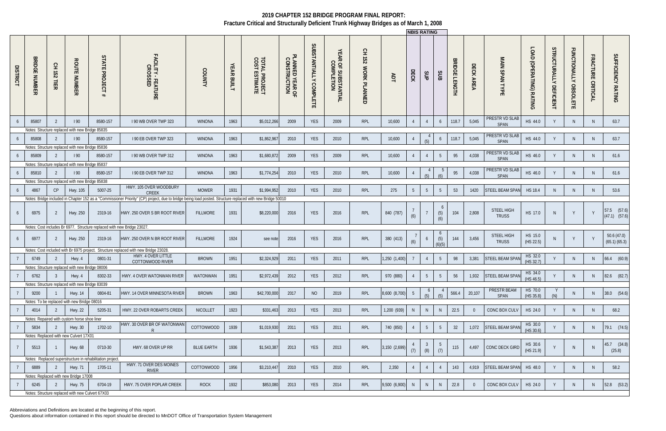Abbreviations and Definitions are located at the beginning of this report.

|                 |                                |                  |                                                  |                                                                        |                                                                                                                                                            |                   |                   |                                        |                                 |                                  |                                   |                                     |               | <b>INBIS RATING</b> |                       |                                         |                                |           |                               |                                 |                                  |                                        |                   |                                  |
|-----------------|--------------------------------|------------------|--------------------------------------------------|------------------------------------------------------------------------|------------------------------------------------------------------------------------------------------------------------------------------------------------|-------------------|-------------------|----------------------------------------|---------------------------------|----------------------------------|-----------------------------------|-------------------------------------|---------------|---------------------|-----------------------|-----------------------------------------|--------------------------------|-----------|-------------------------------|---------------------------------|----------------------------------|----------------------------------------|-------------------|----------------------------------|
| <b>DISTRICT</b> | <b>BRIDGE</b><br><b>NUMBER</b> | 오<br>152<br>TIER | <b>ROUTE NUMBER</b>                              | STATE<br><b>PROJECT</b>                                                | FACILITY - FEATURE<br>CROSSED                                                                                                                              | COUNTY            | <b>YEAR BUILT</b> | <b>TOTAL PROJECT<br/>COST ESTIMATE</b> | PLANNED YEAR OF<br>CONSTRUCTION | SUBSTANTIALLY<br><b>COMPLETE</b> | YEAR OF SUBSTANTIAL<br>COMPLETION | Ξ.<br>251<br><b>WORK</b><br>PLANNED | ЯDT           | DECK                | SJP                   | SUB                                     | <b>BRIDGE</b><br><b>LENGTH</b> | DECK AREA | <b>MAIN SPAN TYPE</b>         | LOAD<br>D<br>(OPERATING) RATING | STRUCTURALLY<br><b>DEFICIENT</b> | <b>FUNCTIONALLY</b><br><b>OBSOLETE</b> | FRACTURE CRITICAL | SUFFICIENCY RATING               |
|                 | 85807                          | -2               | 190                                              | 8580-157                                                               | I 90 WB OVER TWP 323                                                                                                                                       | <b>WINONA</b>     | 1963              | \$5,012,266                            | 2009                            | <b>YES</b>                       | 2009                              | RPL                                 | 10,600        |                     | $\overline{4}$        | 6                                       | 118.7                          | 5,045     | PRESTR VD SLAB<br>SPAN        | HS 44.0                         |                                  | N.                                     | N.                | 63.7                             |
|                 |                                |                  | Notes: Structure replaced with new Bridge 85835  |                                                                        |                                                                                                                                                            |                   |                   |                                        |                                 |                                  |                                   |                                     |               |                     |                       |                                         |                                |           |                               |                                 |                                  |                                        |                   |                                  |
|                 | 85808                          |                  | 190                                              | 8580-157                                                               | I 90 EB OVER TWP 323                                                                                                                                       | <b>WINONA</b>     | 1963              | \$1,862,967                            | 2010                            | YES                              | 2010                              | RPL                                 | 10,600        |                     | (5)                   | 6                                       | 118.7                          | 5,045     | PRESTR VD SLAE<br>SPAN        | HS 44.0                         |                                  | N                                      | N                 | 63.7                             |
|                 |                                |                  | Notes: Structure replaced with new Bridge 85836  |                                                                        |                                                                                                                                                            |                   |                   |                                        |                                 |                                  |                                   |                                     |               |                     |                       |                                         |                                |           |                               |                                 |                                  |                                        |                   |                                  |
|                 | 85809                          |                  | 190                                              | 8580-157                                                               | 190 WB OVER TWP 312                                                                                                                                        | <b>WINONA</b>     | 1963              | \$1,680,872                            | 2009                            | <b>YES</b>                       | 2009                              | <b>RPL</b>                          | 10,600        |                     | $\overline{4}$        | $5\overline{)}$                         | 95                             | 4,038     | <b>PRESTR VD SLAB</b><br>SPAN | HS 46.0                         |                                  | N.                                     | N.                | 61.6                             |
|                 |                                |                  | Notes: Structure replaced with new Bridge 85837  |                                                                        |                                                                                                                                                            |                   |                   |                                        |                                 |                                  |                                   |                                     |               |                     |                       |                                         |                                |           |                               |                                 |                                  |                                        |                   |                                  |
|                 | 85810                          |                  | 190                                              | 8580-157                                                               | I 90 EB OVER TWP 312                                                                                                                                       | <b>WINONA</b>     | 1963              | \$1,774,254                            | 2010                            | <b>YES</b>                       | 2010                              | RPL                                 | 10,600        |                     |                       |                                         | 95                             | 4,038     | PRESTR VD SLAE                | HS 46.0                         |                                  | N                                      | N                 | 61.6                             |
|                 |                                |                  |                                                  |                                                                        |                                                                                                                                                            |                   |                   |                                        |                                 |                                  |                                   |                                     |               |                     | (5)                   | (6)                                     |                                |           | SPAN                          |                                 |                                  |                                        |                   |                                  |
|                 |                                |                  | Notes: Structure replaced with new Bridge 85838  |                                                                        | HWY. 105 OVER WOODBURY                                                                                                                                     |                   |                   |                                        |                                 |                                  |                                   |                                     |               |                     |                       |                                         |                                |           |                               |                                 |                                  |                                        |                   |                                  |
|                 | 4867                           | CP               | Hwy. 105                                         | 5007-25                                                                | <b>CREEK</b>                                                                                                                                               | <b>MOWER</b>      | 1931              | \$1,994,952                            | 2010                            | <b>YES</b>                       | 2010                              | RPL                                 | 275           | 5 <sup>5</sup>      | 5                     | $5\phantom{.0}$                         | 53                             | 1420      | STEEL BEAM SPAN               | <b>HS 18.4</b>                  | <sup>N</sup>                     | N.                                     | <sup>N</sup>      | 53.6                             |
|                 |                                |                  |                                                  |                                                                        | Notes: Bridge included in Chapter 152 as a "Commissioner Priority" (CP) project, due to bridge being load posted. Structure replaced with new Bridge 50010 |                   |                   |                                        |                                 |                                  |                                   |                                     |               |                     |                       |                                         |                                |           |                               |                                 |                                  |                                        |                   |                                  |
|                 | 6975                           | 2                | Hwy. 250                                         | 2319-16                                                                | HWY. 250 OVER S BR ROOT RIVER                                                                                                                              | <b>FILLMORE</b>   | 1931              | \$8,220,000                            | 2016                            | <b>YES</b>                       | 2016                              | RPL                                 | 840 (787)     | (6)                 |                       | (5)<br>(6)                              | 104                            | 2,808     | STEEL HIGH<br><b>TRUSS</b>    | HS 17.0                         |                                  | Y                                      |                   | 57.5 (57.6)<br>$(47.1)$ $(57.6)$ |
|                 |                                |                  |                                                  | Notes: Cost includes Br 6977. Structure replaced with new Bridge 23027 |                                                                                                                                                            |                   |                   |                                        |                                 |                                  |                                   |                                     |               |                     |                       |                                         |                                |           |                               |                                 |                                  |                                        |                   |                                  |
|                 | 6977                           | -2               | Hwy. 250                                         | 2319-16                                                                | HWY. 250 OVER N BR ROOT RIVER                                                                                                                              | <b>FILLMORE</b>   | 1924              | see note                               | 2016                            | <b>YES</b>                       | 2016                              | RPL                                 | 380 (413)     | (6)                 | 6                     | $\sigma$<br>(5)<br>$A\overline{A}$      | 144                            | 3,456     | STEEL HIGH<br><b>TRUSS</b>    | HS 15.0<br>(HS 22.5)            |                                  |                                        |                   | 50.6 (47.0)<br>(65.1) (65.3)     |
|                 |                                |                  |                                                  |                                                                        | Notes: Cost included with Br 6975 project. Structure replaced with new Bridge 23028.                                                                       |                   |                   |                                        |                                 |                                  |                                   |                                     |               |                     |                       |                                         |                                |           |                               |                                 |                                  |                                        |                   |                                  |
|                 | 6749                           |                  | Hwy. 4                                           | 0801-31                                                                | HWY. 4 OVER LITTLE<br>COTTONWOOD RIVER                                                                                                                     | <b>BROWN</b>      | 1951              | \$2,324,929                            | 2011                            | <b>YES</b>                       | 2011                              | <b>RPL</b>                          | 1,250 (1,400) |                     |                       | $5\overline{)}$                         | 98                             | 3,381     | STEEL BEAM SPAN               | HS 32.0<br>(HS 32.7)            |                                  | N                                      | N                 | 66.4 (60.9)                      |
|                 |                                |                  | Notes: Structure replaced with new Bridge 08006  |                                                                        |                                                                                                                                                            |                   |                   |                                        |                                 |                                  |                                   |                                     |               |                     |                       |                                         |                                |           |                               |                                 |                                  |                                        |                   |                                  |
|                 | 6762                           |                  | $3$ Hwy. 4                                       | 8302-33                                                                | HWY. 4 OVER WATONWAN RIVER                                                                                                                                 | WATONWAN          | 1951              | \$2,972,439                            | 2012                            | YES                              | 2012                              | RPL                                 | 970 (880)     |                     | 5 <sub>5</sub>        | $5\phantom{.0}$                         | 56                             |           | 1,932 STEEL BEAM SPAN         | HS 34.0                         | Y                                | N                                      | N                 | 82.6 (82.7)                      |
|                 |                                |                  | Notes: Structure replaced with new Bridge 83039  |                                                                        |                                                                                                                                                            |                   |                   |                                        |                                 |                                  |                                   |                                     |               |                     |                       |                                         |                                |           |                               | (HS 46.5)                       |                                  |                                        |                   |                                  |
|                 | 9200                           |                  | <b>Hwy. 14</b>                                   | 0804-81                                                                | HWY. 14 OVER MINNESOTA RIVER                                                                                                                               | <b>BROWN</b>      | 1963              | \$42,700,000                           | 2017                            | N <sub>O</sub>                   | 2019                              | RPL                                 | 8,600 (8,700) | - 5                 |                       |                                         | 566.4                          | 20,107    | <b>PRESTR BEAM</b>            | HS 70.0                         |                                  | N                                      | N                 | 38.0 (54.6)                      |
|                 |                                |                  | Notes: To be replaced with new Bridge 08016      |                                                                        |                                                                                                                                                            |                   |                   |                                        |                                 |                                  |                                   |                                     |               |                     | (5)                   | (5)                                     |                                |           | SPAN                          | (HS 35.8)                       | (N)                              |                                        |                   |                                  |
|                 |                                |                  |                                                  |                                                                        |                                                                                                                                                            |                   |                   |                                        |                                 |                                  |                                   |                                     |               |                     |                       |                                         |                                |           |                               |                                 |                                  |                                        |                   |                                  |
|                 | 4014                           | 2                | <b>Hwy. 22</b>                                   | 5205-31                                                                | HWY. 22 OVER ROBARTS CREEK                                                                                                                                 | <b>NICOLLET</b>   | 1923              | \$331,463                              | 2013                            | YES                              | 2013                              | <b>RPL</b>                          | 1,200 (939)   | N <sub>1</sub>      | N                     | N                                       | 22.5                           | $\Omega$  | CONC BOX CULV                 | HS 24.0                         |                                  | N                                      | N.                | 68.2                             |
|                 |                                |                  | Notes: Repaired with custom horse shoe liner     |                                                                        | HWY. 30 OVER BR OF WATONWAN                                                                                                                                |                   |                   |                                        |                                 |                                  |                                   |                                     |               |                     |                       |                                         |                                |           |                               |                                 |                                  |                                        |                   |                                  |
|                 | 5834                           | $\overline{2}$   | Hwy. 30                                          | 1702-10                                                                | R                                                                                                                                                          | COTTONWOOD        | 1939              | \$1,019,930                            | 2011                            | <b>YES</b>                       | 2011                              | RPL                                 | 740 (850)     |                     | $5\overline{)}$       | $5\phantom{.0}$                         | 32                             | 1,072     | <b>STEEL BEAM SPAN</b>        | HS 30.0<br>(HS 30.6)            |                                  | N                                      | N                 | $79.1$ $(74.5)$                  |
|                 |                                |                  | Notes: Replaced with new Culvert 17X01           |                                                                        |                                                                                                                                                            |                   |                   |                                        |                                 |                                  |                                   |                                     |               |                     |                       |                                         |                                |           |                               |                                 |                                  |                                        |                   |                                  |
|                 | 5513                           |                  | <b>Hwy. 68</b>                                   | 0710-30                                                                | HWY. 68 OVER UP RR                                                                                                                                         | <b>BLUE EARTH</b> | 1936              | \$1,543,387                            | 2013                            | YES                              | 2013                              | RPL                                 | 3,150 (2,699) | (7)                 | $\overline{3}$<br>(8) | $\begin{array}{c} 5 \\ (7) \end{array}$ | 115                            | 4,497     | CONC DECK GIRD                | HS 30.6<br>(HS 21.9)            |                                  | N.                                     |                   | 45.7 (34.8)<br>(25.8)            |
|                 |                                |                  |                                                  | Notes: Replaced superstructure in rehabilitation project.              |                                                                                                                                                            |                   |                   |                                        |                                 |                                  |                                   |                                     |               |                     |                       |                                         |                                |           |                               |                                 |                                  |                                        |                   |                                  |
|                 | 6889                           | 2                | <b>Hwy. 71</b>                                   | 1705-11                                                                | HWY. 71 OVER DES MOINES<br>RIVER                                                                                                                           | COTTONWOOD        | 1956              | \$3,210,447                            | 2010                            | YES                              | 2010                              | RPL                                 | 2,350         |                     | $\overline{4}$        | $\overline{4}$                          | 143                            | 4,919     | <b>STEEL BEAM SPAN</b>        | HS 48.0                         |                                  | N                                      | N                 | 58.2                             |
|                 |                                |                  | Notes: Replaced with new Bridge 17008            |                                                                        |                                                                                                                                                            |                   |                   |                                        |                                 |                                  |                                   |                                     |               |                     |                       |                                         |                                |           |                               |                                 |                                  |                                        |                   |                                  |
|                 | 6245                           | 2                | <b>Hwy. 75</b>                                   | 6704-19                                                                | HWY. 75 OVER POPLAR CREEK                                                                                                                                  | <b>ROCK</b>       | 1932              | \$853,080                              | 2013                            | YES                              | 2014                              | RPL                                 | 9,500 (6,900) | N                   | N                     | N                                       | 22.8                           |           | CONC BOX CULV                 | HS 24.0                         |                                  | N                                      | N                 | 52.8 (53.2)                      |
|                 |                                |                  | Notes: Structure replaced with new Culvert 67X03 |                                                                        |                                                                                                                                                            |                   |                   |                                        |                                 |                                  |                                   |                                     |               |                     |                       |                                         |                                |           |                               |                                 |                                  |                                        |                   |                                  |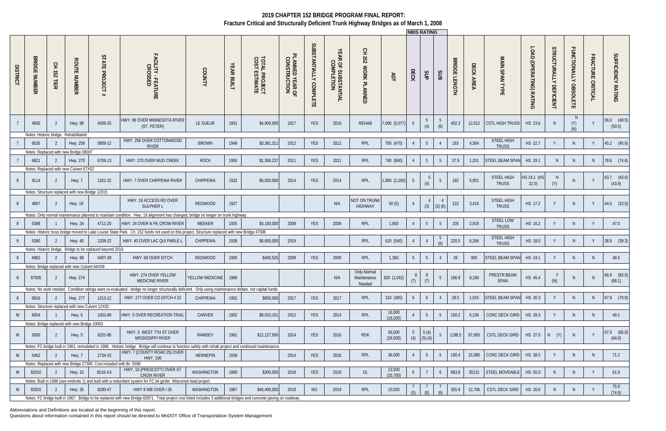Abbreviations and Definitions are located at the beginning of this report.

|                 |                                                                         |                                   |                                                    |                                                                    |                                                                                                                                                                                           |                      |                   |                                                 |                                 |                        |                                   |                                       |                     |                        | <b>NBIS RATING</b>    |                 |                                |           |                                    |                                 |                                         |                                        |                                    |                           |
|-----------------|-------------------------------------------------------------------------|-----------------------------------|----------------------------------------------------|--------------------------------------------------------------------|-------------------------------------------------------------------------------------------------------------------------------------------------------------------------------------------|----------------------|-------------------|-------------------------------------------------|---------------------------------|------------------------|-----------------------------------|---------------------------------------|---------------------|------------------------|-----------------------|-----------------|--------------------------------|-----------|------------------------------------|---------------------------------|-----------------------------------------|----------------------------------------|------------------------------------|---------------------------|
| <b>DISTRICT</b> | ᢍ<br><b>RIDGI</b><br>$\blacksquare$<br>$\blacksquare$<br>$\overline{z}$ | 오<br>도<br>$\overline{23}$<br>TIER | <b>ROUTE NUMBER</b>                                | STATE<br><b>PROJECT</b><br>#                                       | FACILITY -<br>CROSS<br>- FEATURE<br>SSED                                                                                                                                                  | <b>COUNTY</b>        | <b>YEAR BUILT</b> | <b>TOTAL</b><br>COST E<br>L PROJECT<br>ESTIMATE | PLANNED YEAR OF<br>CONSTRUCTION | SUBSTANTIALLY COMPLETE | YEAR OF SUBSTANTIAL<br>COMPLETION | 오<br>251<br>WORK PLANNED              | ЯDT                 | ECK                    | SUP                   | SUB             | <b>BRIDGE</b><br><b>LENGTH</b> | DECK AREA | MAIN<br><b>SPAN</b><br><b>TYPE</b> | LOAD<br>D<br>(OPERATING) RATING | <b>STRUCTURALLY</b><br><b>DEFICIENT</b> | <b>FUNCTIONALLY</b><br><b>OBSOLETE</b> | <b>FRACTURE</b><br><b>CRITICAL</b> | SUFFICIENCY RATING        |
|                 | 4930                                                                    | 2                                 | Hwy. 99                                            | 4008-25                                                            | HWY. 99 OVER MINNESOTA RIVER<br>(ST. PETER)                                                                                                                                               | LE SUEUR             | 1931              | \$4,900,000                                     | 2017                            | YES                    | 2018                              | REHAB                                 | 7,000 (5,077)       |                        | (4)                   | -5<br>(6)       | 402.3                          | 12,512    | <b>CSTL HIGH TRUSS</b>             | HS 23.6                         |                                         | N.<br>(Y)<br>(N)                       |                                    | 56.0 (48.5)<br>(50.5)     |
|                 | Notes: Historic bridge. Rehabilitated                                   |                                   |                                                    |                                                                    | HWY. 258 OVER COTTONWOOD                                                                                                                                                                  |                      |                   |                                                 |                                 |                        |                                   |                                       |                     |                        |                       |                 |                                |           | <b>STEEL HIGH</b>                  |                                 |                                         |                                        |                                    |                           |
|                 | 6535                                                                    |                                   | Hwy. 258<br>Notes: Replaced with new Bridge 08007  | 0809-12                                                            | <b>RIVER</b>                                                                                                                                                                              | <b>BROWN</b>         | 1949              | \$3,381,31                                      | 2012                            | YES                    | 2012                              | RPL                                   | 700 (470)           |                        | $5\overline{)}$       | $\overline{4}$  | 163                            | 4,564     | <b>TRUSS</b>                       | HS 22.7                         |                                         | N                                      |                                    | 45.2 (45.6)               |
|                 |                                                                         |                                   |                                                    |                                                                    |                                                                                                                                                                                           |                      | 1953              |                                                 |                                 |                        |                                   | RPL                                   |                     |                        |                       |                 |                                |           | STEEL BEAM SPAN                    | HS 29.1                         |                                         |                                        |                                    |                           |
|                 | 6821                                                                    | -2                                | Hwy. 270<br>Notes: Replaced with new Culvert 67X02 | 6706-13                                                            | HWY. 270 OVER MUD CREEK                                                                                                                                                                   | <b>ROCK</b>          |                   | \$1,369,23                                      | 2011                            | <b>YES</b>             | 2011                              |                                       | 740 (840)           |                        | $5\overline{)}$       | $5\overline{)}$ | 37.9                           | 1,251     |                                    |                                 | N                                       | N                                      | N                                  | 78.6 (74.6)               |
|                 | 9114                                                                    | 2                                 | Hwy. 7                                             | 1201-32                                                            | HWY. 7 OVER CHIPPEWA RIVER                                                                                                                                                                | CHIPPEWA             | 1932              | \$5,500,000                                     | 2014                            | YES                    | 2014                              | <b>RPL</b>                            | 1,850 (2,200)       | -5                     | 5 <sup>5</sup><br>(4) | 5               | 182                            | 5,951     | STEEL HIGH<br><b>TRUSS</b>         | HS 24.1 (HS<br>22.0)            | N.<br>(Y)                               | N.                                     |                                    | $63.7$ $(43.6)$<br>(43.8) |
|                 |                                                                         |                                   | Notes: Structure replaced with new Bridge 12015    |                                                                    |                                                                                                                                                                                           |                      |                   |                                                 |                                 |                        |                                   |                                       |                     |                        |                       |                 |                                |           |                                    |                                 |                                         |                                        |                                    |                           |
| -8              | 4667                                                                    | 2                                 | Hwy. 19                                            |                                                                    | HWY. 19 ACCESS RD OVER<br><b>SULPHER L</b>                                                                                                                                                | <b>REDWOOD</b>       | 1927              |                                                 |                                 |                        | N/A                               | <b>NOT ON TRUNK</b><br><b>HIGHWAY</b> | 50(5)               |                        | $\overline{4}$<br>(3) | (3)(6)          | 122                            | 3,416     | <b>STEEL HIGH</b><br><b>TRUSS</b>  | HS 17.2                         |                                         | N                                      | Y                                  | 44.0 (33.0)               |
|                 |                                                                         |                                   |                                                    |                                                                    | Notes: Only normal maintenance planned to maintain condition. Hwy, 19 alignment has changed, bridge no longer on trunk highway                                                            |                      |                   |                                                 |                                 |                        |                                   |                                       |                     |                        |                       |                 |                                |           | <b>STEEL LOW</b>                   |                                 |                                         |                                        |                                    |                           |
|                 | 5388                                                                    |                                   | <b>Hwy. 24</b>                                     | 4711-20                                                            | HWY. 24 OVER N FK CROW RIVER<br>Notes: Historic truss bridge moved to Lake Louise State Park. Ch. 152 funds not used on this project. Structure replaced with new Bridge 47006            | <b>MEEKER</b>        | 1935              | \$3,100,000                                     | 2009                            | <b>YES</b>             | 2009                              | <b>RPL</b>                            | 1,650               |                        | $5\overline{)}$       | 5               | 105                            | 2,919     | <b>TRUSS</b>                       | HS 16.2                         |                                         | N                                      | Y                                  | 47.0                      |
|                 |                                                                         |                                   |                                                    |                                                                    |                                                                                                                                                                                           |                      |                   |                                                 |                                 |                        |                                   |                                       |                     |                        |                       |                 |                                |           | <b>STEEL HIGH</b>                  |                                 |                                         |                                        |                                    |                           |
|                 | 5380<br>Notes: Historic bridae.                                         | 2                                 | <b>Hwy. 40</b>                                     | 1209-22<br>Bridge to be replaced beyond 2018.                      | HWY. 40 OVER LAC QUI PARLE L                                                                                                                                                              | CHIPPEWA             | 1938              | \$6,600,000                                     | 2019                            |                        |                                   | <b>RPL</b>                            | 610 (540)           |                        |                       | (6)             | 220.5                          | 6,284     | <b>TRUSS</b>                       | HS 18.0                         |                                         | N                                      |                                    | 38.9 (39.3)               |
|                 | 6962                                                                    |                                   | Hwy. 68                                            | 6407-28                                                            | HWY. 68 OVER DITCH                                                                                                                                                                        | <b>REDWOOD</b>       | 1900              | \$400,525                                       | 2009                            | <b>YES</b>             | 2009                              | <b>RPL</b>                            | 1,350               | 5                      | 5                     | $\overline{4}$  | 26                             | 905       | STEEL BEAM SPAN                    | HS 24.1                         |                                         | N.                                     | N.                                 | 48.5                      |
|                 |                                                                         |                                   | Notes: Bridge replaced with new Culvert 64X09      |                                                                    |                                                                                                                                                                                           |                      |                   |                                                 |                                 |                        |                                   |                                       |                     |                        |                       |                 |                                |           |                                    |                                 |                                         |                                        |                                    |                           |
|                 | 87005                                                                   | 2                                 | Hwy. 274                                           |                                                                    | HWY. 274 OVER YELLOW<br><b>MEDICINE RIVER</b>                                                                                                                                             | YELLOW MEDICINE 1968 |                   |                                                 |                                 |                        | N/A                               | Only Normal<br>Maintenance<br>Needed  | 920 (1,042)         | 8<br>(7)               | 8<br>(7)              | 5 <sup>5</sup>  | 186.9                          | 8,186     | PRESTR BEAM<br>SPAN                | HS 45.4                         | (N)                                     |                                        |                                    | 66.9 (83.0)<br>(88.1)     |
|                 |                                                                         |                                   |                                                    |                                                                    | Notes: No work needed. Condition ratings were re-evaluated - bridge no longer structurally deficient. Only using maintenance dollars, not capital funds.                                  |                      |                   |                                                 |                                 |                        |                                   |                                       |                     |                        |                       |                 |                                |           |                                    |                                 |                                         |                                        |                                    |                           |
| -8              | 6816                                                                    | 2                                 | Hwy. 277                                           | 1213-12                                                            | HWY. 277 OVER CO DITCH # 22                                                                                                                                                               | CHIPPEWA             | 1952              | \$650,000                                       | 2017                            | YES                    | 2017                              | RPL                                   | 310 (365)           | 6                      | 6                     | 4               | 28.5                           | 1,015     | <b>STEEL BEAM SPAN</b>             | HS 30.3                         |                                         | N.                                     | N                                  | 67.9 (70.8)               |
|                 |                                                                         |                                   | Notes: Structure replaced with new Culvert 12X02.  |                                                                    |                                                                                                                                                                                           |                      |                   |                                                 |                                 |                        |                                   |                                       |                     |                        |                       |                 |                                |           |                                    |                                 |                                         |                                        |                                    |                           |
| M               | 6654                                                                    |                                   | Hwy. 5                                             | 1002-89                                                            | <b>HWY. 5 OVER RECREATION TRAIL</b>                                                                                                                                                       | CARVER               | 1952              | \$9,010,101                                     | 2012                            | <b>YES</b>             | 2014                              | RPL                                   | 16,000<br>(19, 200) |                        | 5                     | 5               | 160.2                          | 6,136     | CONC DECK GIRD   HS 28.5           |                                 |                                         | N.                                     | N.                                 | 49.1                      |
|                 |                                                                         |                                   | Notes: Bridge replaced with new Bridge 10003       |                                                                    |                                                                                                                                                                                           |                      |                   |                                                 |                                 |                        |                                   |                                       |                     |                        |                       |                 |                                |           |                                    |                                 |                                         |                                        |                                    |                           |
| M               | 9300                                                                    | 2                                 | Hwy. 5                                             | 6201-86                                                            | HWY. 5 WEST 7TH ST OVER<br>MISSISSIPPI RIVER                                                                                                                                              | <b>RAMSEY</b>        | 1961              | \$12,127,500                                    | 2014                            | <b>YES</b>             | 2016                              | <b>RDK</b>                            | 56,000<br>(28, 500) | $5\overline{)}$<br>(4) | 5(4)<br>$(5)$ $(4)$   | 5 <sup>5</sup>  | 1198.5                         | 87,850    | <b>CSTL DECK GIRD</b>              | HS 37.0                         | $N$ $(Y)$                               | N                                      |                                    | $67.0$ $(66.0)$<br>(64.0) |
|                 |                                                                         |                                   |                                                    |                                                                    | Notes: FC bridge built in 1961, remodeled in 1986. Historic bridge. Bridge will continue to function safely with rehab project and continued maintenance.<br>HWY. 7 (COUNTY ROAD 25) OVER |                      |                   |                                                 |                                 |                        |                                   |                                       |                     |                        |                       |                 |                                |           |                                    |                                 |                                         |                                        |                                    |                           |
| M               | 5462                                                                    | 2                                 | Hwy. 7                                             | 2734-33                                                            | <b>HWY. 100</b>                                                                                                                                                                           | <b>HENNEPIN</b>      | 1939              |                                                 | 2014                            | YES                    | 2016                              | <b>RPL</b>                            | 36,000              |                        | - 5                   | 5 <sup>5</sup>  | 190.4                          | 15,080    | CONC DECK GIRD   HS 38.5           |                                 |                                         | N                                      | <sup>N</sup>                       | 71.2                      |
|                 |                                                                         |                                   |                                                    | Notes: Replaced with new Bridge 27305. Cost included with Br. 5598 | HWY. 10 (PRESCOTT) OVER ST                                                                                                                                                                |                      |                   |                                                 |                                 |                        |                                   |                                       | 13,500              |                        |                       |                 |                                |           |                                    |                                 |                                         |                                        |                                    |                           |
| M               | 82010                                                                   | 2                                 | <b>Hwy. 10</b>                                     | 8216-XX                                                            | <b>CROIX RIVER</b>                                                                                                                                                                        | WASHINGTON           | 1990              | \$300,000                                       | 2018                            | YES                    | 2018                              | OL                                    | (15, 700)           | 6                      |                       | 6               | 683.8                          | 35131     | STEEL MOVEABLE                     | HS 50.0                         | N <sub>1</sub>                          | N                                      | - Y                                | 61.9                      |
|                 |                                                                         |                                   |                                                    |                                                                    | Notes: Built in 1986 (see endnote 1) and built with a redundant system for FC tie girder. Wisconsin lead project.                                                                         |                      |                   |                                                 |                                 |                        |                                   |                                       |                     |                        |                       |                 |                                |           |                                    |                                 |                                         |                                        |                                    | 75.9                      |
| M               | 82815                                                                   | 2                                 | Hwy. 35                                            | 8280-47                                                            | HWY 8 WB OVER I 35                                                                                                                                                                        | WASHINGTON           | 1967              | \$45,400,000                                    | 2018                            | NO                     | 2019                              | RPL                                   | 10,500              | (5)                    | (6)                   | (6)             | 355.9                          | 12,706    | CSTL DECK GIRD                     | HS 26.6                         | -N                                      | N.                                     |                                    | (74.9)                    |
|                 |                                                                         |                                   |                                                    |                                                                    | Notes: FC bridge built in 1967. Bridge to be replaced with new Bridge 82871. Total project cost listed includes 3 additional bridges and concrete paving on roadway.                      |                      |                   |                                                 |                                 |                        |                                   |                                       |                     |                        |                       |                 |                                |           |                                    |                                 |                                         |                                        |                                    |                           |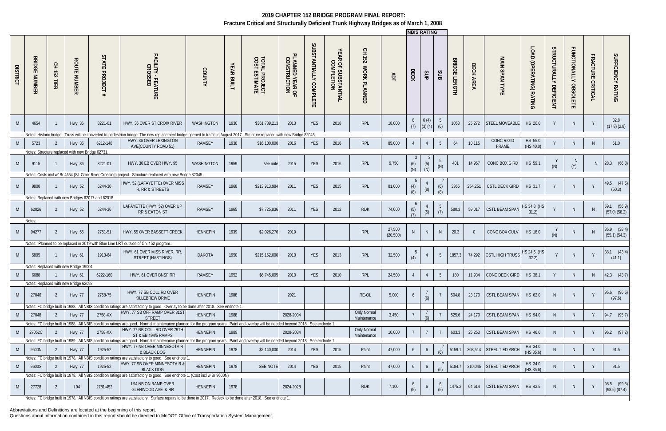Abbreviations and Definitions are located at the beginning of this report.

|                 |                             |                                 |                                                             |                                                  |                                                                                                                                                                                                            |                 |                             |                                                 |                                             |                        |                                   |                           |                     | <b>NBIS RATING</b>    |                      |                 |                                |                     |                                 |                         |                                         |                                        |                                    |                                  |
|-----------------|-----------------------------|---------------------------------|-------------------------------------------------------------|--------------------------------------------------|------------------------------------------------------------------------------------------------------------------------------------------------------------------------------------------------------------|-----------------|-----------------------------|-------------------------------------------------|---------------------------------------------|------------------------|-----------------------------------|---------------------------|---------------------|-----------------------|----------------------|-----------------|--------------------------------|---------------------|---------------------------------|-------------------------|-----------------------------------------|----------------------------------------|------------------------------------|----------------------------------|
| <b>DISTRICT</b> | <b>BRIDG</b><br>ш<br>m<br>ᄍ | 오<br>$\overline{132}$<br>뷰<br>ᅎ | <b>ROUTE</b><br><b>NUMBER</b>                               | STATE<br><b>PROJECT</b><br>#                     | <b>FACILITY</b><br>CILITY - FEATURE<br>CROSSED                                                                                                                                                             | <b>COUNTY</b>   | <b>YEAR</b><br><b>BUILT</b> | <b>TOTAL</b><br>COST 1<br>L PROJECT<br>ESTIMATE | <sup>D</sup> LANNED YEAR OF<br>CONSTRUCTION | SUBSTANTIALLY COMPLETE | YEAR OF SUBSTANTIAL<br>COMPLETION | Ξ.<br>251<br>WORK PLANNED | ЯDТ                 | DECK                  | SUP                  | SUB             | <b>BRIDGE</b><br><b>LENGTH</b> | DECK<br><b>AREA</b> | MAIN<br><b>SPAN TYPE</b>        | LOAD (OPERATING) RATING | <b>STRUCTURALLY</b><br><b>DEFICIENT</b> | <b>FUNCTIONALLY</b><br><b>OBSOLETE</b> | <b>FRACTURE</b><br><b>CRITICAL</b> | SUFFICIENCY RATING               |
| M               | 4654                        |                                 | Hwy. 36                                                     | 8221-01                                          | HWY. 36 OVER ST CROIX RIVER                                                                                                                                                                                | WASHINGTON      | 1930                        | \$361,739,21                                    | 2013                                        | <b>YES</b>             | 2018                              | RPL                       | 18,000              | 8<br>(7)              | 6(4)<br>(3)(4)       | -5<br>(6)       | 1053                           | 25,272              | STEEL MOVEABLE                  | HS 20.0                 |                                         | N.                                     |                                    | 32.8<br>$(17.8)$ $(2.8)$         |
|                 | Notes: Historic bridge.     |                                 |                                                             |                                                  | Truss will be converted to pedestrian bridge. The new replacement bridge opened to traffic in August 2017. Structure replaced with new Bridge 82045.                                                       |                 |                             |                                                 |                                             |                        |                                   |                           |                     |                       |                      |                 |                                |                     |                                 |                         |                                         |                                        |                                    |                                  |
| <sup>M</sup>    | 5723                        |                                 | Hwy. 36                                                     | 6212-148                                         | HWY. 36 OVER LEXINGTON<br>AVE(COUNTY ROAD 51)                                                                                                                                                              | <b>RAMSEY</b>   | 1938                        | \$16,100,000                                    | 2016                                        | YES                    | 2016                              | <b>RPL</b>                | 85,000              |                       | $\overline{4}$       | $5\overline{)}$ | 64                             | 10,115              | <b>CONC RIGID</b><br>FRAME      | HS 55.0<br>(HS 40.0)    |                                         | N                                      | N.                                 | 61.0                             |
| M               | 9115                        |                                 | Notes: Structure replaced with new Bridge 62731.<br>Hwy. 36 | 8221-01                                          | HWY. 36 EB OVER HWY. 95                                                                                                                                                                                    | WASHINGTON      | 1959                        | see note                                        | 2015                                        | YES                    | 2016                              | RPL                       | 9,750               | (6)<br>(N)            | -3<br>$(5)$<br>$(N)$ | -5<br>(N)       | 401                            | 14,957              | CONC BOX GIRD                   | HS 59.1                 |                                         | N<br>(Y)                               |                                    | 28.3 (66.8)                      |
|                 |                             |                                 |                                                             |                                                  | Notes: Costs incl w/ Br 4654 (St. Croix River Crossing) project. Structure replaced with new Bridge 82045.                                                                                                 |                 |                             |                                                 |                                             |                        |                                   |                           |                     |                       |                      |                 |                                |                     |                                 |                         |                                         |                                        |                                    |                                  |
| M               | 9800                        |                                 | Hwy. 52                                                     | 6244-30                                          | HWY. 52 (LAFAYETTE) OVER MISS<br>R, RR & STREETS                                                                                                                                                           | <b>RAMSEY</b>   | 1968                        | \$213,913,984                                   | 2011                                        | YES                    | 2015                              | RPL                       | 81,000              | (4)<br>(8)            | (8)                  | (6)<br>(8)      | 3366                           | 254,251             | <b>CSTL DECK GIRD</b>           | HS 31.7                 |                                         | N.                                     |                                    | 49.5 (47.5)<br>(50.3)            |
|                 |                             |                                 |                                                             | Notes: Replaced with new Bridges 62017 and 62018 |                                                                                                                                                                                                            |                 |                             |                                                 |                                             |                        |                                   |                           |                     |                       |                      |                 |                                |                     |                                 |                         |                                         |                                        |                                    |                                  |
| M               | 62026                       | 2                               | Hwy. 52                                                     | 6244-36                                          | LAFAYETTE (HWY. 52) OVER UP<br>RR & EATON ST                                                                                                                                                               | <b>RAMSEY</b>   | 1965                        | \$7,725,836                                     | 2011                                        | <b>YES</b>             | 2012                              | <b>RDK</b>                | 74,000              | (5)                   | (5)                  | -5<br>(7)       | 580.3                          | 59,017              | <b>CSTL BEAM SPAN</b>           | HS 34.8 (HS<br>31.2)    |                                         |                                        |                                    | 59.1 (56.9)<br>$(57.0)$ $(58.2)$ |
| M               | Notes:<br>94277             | 2                               | Hwy. 55                                                     | 2751-51                                          | HWY. 55 OVER BASSETT CREEK                                                                                                                                                                                 | <b>HENNEPIN</b> | 1939                        | \$2,026,276                                     | 2019                                        |                        |                                   | RPL                       | 27,500<br>(20, 500) | N                     | N.                   | $\mathsf{N}$    | 20.3                           |                     | CONC BOX CULV                   | HS 18.0                 | (N)                                     | N.                                     |                                    | $36.9$ $(38.4)$<br>(55.1) (54.3) |
|                 |                             |                                 |                                                             |                                                  | Notes: Planned to be replaced in 2019 with Blue Line LRT outside of Ch. 152 program.                                                                                                                       |                 |                             |                                                 |                                             |                        |                                   |                           |                     |                       |                      |                 |                                |                     |                                 |                         |                                         |                                        |                                    |                                  |
| M               | 5895                        |                                 | Hwy. 61                                                     | 1913-64                                          | HWY. 61 OVER MISS RIVER, RR,<br>STREET (HASTINGS)                                                                                                                                                          | DAKOTA          | 1950                        | \$215,152,000                                   | 2010                                        | YES                    | 2013                              | RPL                       | 32,500              | - 5<br>(4)            |                      | 5 <sup>5</sup>  | 1857.3                         | 74,292              | CSTL HIGH TRUSS HS 24.6 (HS     | 32.2)                   |                                         | N.                                     |                                    | $38.1$ $(43.4)$<br>(41.1)        |
|                 |                             |                                 | Notes: Replaced with new Bridge 19004                       |                                                  |                                                                                                                                                                                                            |                 |                             |                                                 |                                             |                        |                                   |                           |                     |                       |                      |                 |                                |                     |                                 |                         |                                         |                                        |                                    |                                  |
| M               | 6688                        |                                 | Hwy. 61                                                     | 6222-160                                         | HWY. 61 OVER BNSF RR                                                                                                                                                                                       | <b>RAMSEY</b>   | 1952                        | \$6,745,095                                     | 2010                                        | YES                    | 2010                              | RPL                       | 24,500              |                       |                      | 5               | 180                            |                     | 11,934 CONC DECK GIRD   HS 38.1 |                         |                                         |                                        |                                    | 42.3 (43.7)                      |
|                 |                             |                                 | Notes: Replaced with new Bridge 62092                       |                                                  |                                                                                                                                                                                                            |                 |                             |                                                 |                                             |                        |                                   |                           |                     |                       |                      |                 |                                |                     |                                 |                         |                                         |                                        |                                    |                                  |
| M               | 27046                       | 2                               | Hwy. 77                                                     | 2758-75                                          | HWY. 77 SB COLL RD OVER<br>KILLEBREW DRIVE                                                                                                                                                                 | HENNEPIN        | 1988                        |                                                 | 2021                                        |                        |                                   | RE-OL                     | 5,000               | 6                     | (6)                  |                 | 504.8                          | 23,170              | CSTL BEAM SPAN HS 62.0          |                         |                                         |                                        |                                    | 95.6 (96.6)<br>(97.6)            |
|                 |                             |                                 |                                                             |                                                  | Notes: FC bridge built in 1988. All NBIS condition ratings are satisfactory to good. Overlay to be done after 2018. See endnote 1<br>HWY. 77 SB OFF RAMP OVER 81ST                                         |                 |                             |                                                 |                                             |                        |                                   | Only Normal               |                     |                       |                      |                 |                                |                     |                                 |                         |                                         |                                        |                                    |                                  |
| M               | 27048                       | -2                              | <b>Hwy. 77</b>                                              | 2758-XX                                          | <b>STREET</b><br>Notes: FC bridge built in 1988. All NBIS condition ratings are good. Normal maintenance planned for the program years. Paint and overlay will be needed beyond 2018. See endnote 1.       | <b>HENNEPIN</b> | 1988                        |                                                 | 2028-2034                                   |                        |                                   | Maintenance               | 3,450               |                       |                      |                 | 525.6                          | 24,170              | CSTL BEAM SPAN   HS 94.0        |                         |                                         | N.                                     | Y                                  | 94.7 (95.7)                      |
| M               | 27052C                      | $\overline{2}$                  | <b>Hwy. 77</b>                                              | 2758-XX                                          | HWY. 77 NB COLL RD OVER 79TH                                                                                                                                                                               | <b>HENNEPIN</b> | 1989                        |                                                 | 2028-2034                                   |                        |                                   | <b>Only Normal</b>        | 10,000              |                       |                      |                 | 603.3                          | 25,253              | CSTL BEAM SPAN   HS 46.0        |                         |                                         | N.                                     |                                    | 96.2 (97.2)                      |
|                 |                             |                                 |                                                             |                                                  | ST & EB 494/5 RAMPS<br>Notes: FC bridge built in 1989. All NBIS condition ratings are good. Normal maintenance planned for the program years. Paint and overlay will be needed beyond 2018. See endnote 1. |                 |                             |                                                 |                                             |                        |                                   | Maintenance               |                     |                       |                      |                 |                                |                     |                                 |                         |                                         |                                        |                                    |                                  |
| M               | 9600N                       | 2                               | <b>Hwy. 77</b>                                              | 1925-52                                          | HWY. 77 NB OVER MINNESOTA R                                                                                                                                                                                | <b>HENNEPIN</b> | 1978                        | \$2,140,000                                     | 2014                                        | <b>YES</b>             | 2015                              | Paint                     | 47,000              | 6                     | -6                   |                 | 5159.1                         |                     | 308,514 STEEL TIED ARCH         | HS 34.0                 |                                         | N.                                     |                                    | 91.5                             |
|                 |                             |                                 |                                                             |                                                  | & BLACK DOG<br>Notes: FC bridge built in 1978. All NBIS condition ratings are satisfactory to good. See endnote 1                                                                                          |                 |                             |                                                 |                                             |                        |                                   |                           |                     |                       |                      |                 |                                |                     |                                 | (HS 35.6)               |                                         |                                        |                                    |                                  |
| M               | 9600S                       | 2                               | <b>Hwy. 77</b>                                              | 1925-52                                          | HWY. 77 SB OVER MINNESOTA R &                                                                                                                                                                              | HENNEPIN        | 1978                        | <b>SEE NOTE</b>                                 | 2014                                        | YES                    | 2015                              | Paint                     | 47,000              | 6                     | -6                   |                 | 5184.7                         |                     | 310,045 STEEL TIED ARCH         | HS 34.0                 |                                         | N.                                     |                                    | 91.5                             |
|                 |                             |                                 |                                                             |                                                  | <b>BLACK DOG</b><br>Notes: FC bridge built in 1978. All NBIS condition ratings are satisfactory to good. See endnote 1. (Cost incl w Br 9600N)                                                             |                 |                             |                                                 |                                             |                        |                                   |                           |                     |                       |                      |                 |                                |                     |                                 | (HS 35.6)               |                                         |                                        |                                    |                                  |
| M               | 27728                       | $\overline{2}$                  | 194                                                         | 2781-452                                         | <b>194 NB ON RAMP OVER</b><br><b>GLENWOOD AVE &amp; RR</b>                                                                                                                                                 | <b>HENNEPIN</b> | 1978                        |                                                 | 2024-2028                                   |                        |                                   | <b>RDK</b>                | 7,100               | $\overline{6}$<br>(5) |                      | (5)             | 1475.2                         | 64,614              | CSTL BEAM SPAN HS 42.5          |                         |                                         |                                        |                                    | 98.5 (99.5)<br>(98.5) (87.4)     |
|                 |                             |                                 |                                                             |                                                  | Notes: FC bridge built in 1978. All NBIS condition ratings are satisfactory. Surface repairs to be done in 2017. Redeck to be done after 2018. See endnote 1.                                              |                 |                             |                                                 |                                             |                        |                                   |                           |                     |                       |                      |                 |                                |                     |                                 |                         |                                         |                                        |                                    |                                  |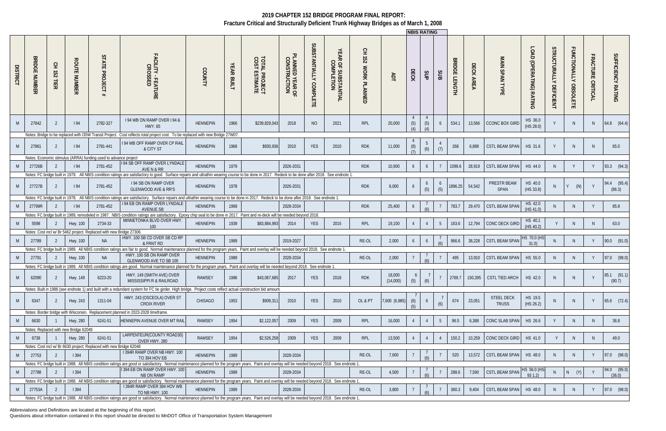Abbreviations and Definitions are located at the beginning of this report.

|                 |                                                 |                    |                                       |                                                                      |                                                                                                                                                                                                                                         |                 |                      |                                        |                                 |                        |                                           |                                                |                    | <b>INBIS RATING</b>   |                                         |                       |                                |                  |                                   |                            |                                        |                                        |                                    |                              |
|-----------------|-------------------------------------------------|--------------------|---------------------------------------|----------------------------------------------------------------------|-----------------------------------------------------------------------------------------------------------------------------------------------------------------------------------------------------------------------------------------|-----------------|----------------------|----------------------------------------|---------------------------------|------------------------|-------------------------------------------|------------------------------------------------|--------------------|-----------------------|-----------------------------------------|-----------------------|--------------------------------|------------------|-----------------------------------|----------------------------|----------------------------------------|----------------------------------------|------------------------------------|------------------------------|
| <b>DISTRICT</b> | <b>BRIDG</b><br>$\blacksquare$<br><b>NUMBER</b> | 오<br>152<br>뷰<br>ᅎ | <b>ROUTE</b><br><b>NUMBER</b>         | <b>STA</b><br>$\Xi$<br><b>PROJECT</b>                                | FACILITY - FEATURE<br>CROSSED                                                                                                                                                                                                           | COUNTY          | <b>YEAR</b><br>BUILT | <b>TOTAL PROJECT<br/>COST ESTIMATE</b> | PLANNED YEAR OF<br>CONSTRUCTION | SUBSTANTIALLY COMPLETE | YEAR OF SUBSTANTIAL<br>COMPLETION         | 오<br>$\overline{25}$<br><b>MORK</b><br>PLANNED | ЯDT                | DECK                  | SUP                                     | SUB                   | <b>BRIDGE</b><br><b>LENGTH</b> | <b>DECK AREA</b> | MAIN<br><b>SPANTYPE</b>           | LOAD<br>(OPERATING) RATING | ပ္ပ<br>TRUCTURALLY<br><b>DEFICIENT</b> | <b>FUNCTIONALLY</b><br><b>OBSOLETE</b> | <b>FRACTURE</b><br><b>CRITICAL</b> | <b>SUFFICIENCY</b><br>RATING |
|                 | 27842                                           |                    | 194                                   | 2782-327                                                             | 194 WB ON RAMP OVER 194 &<br>HWY. 65                                                                                                                                                                                                    | <b>HENNEPIN</b> | 1966                 | \$239,829,043                          | 2018                            | N <sub>O</sub>         | 2021                                      | <b>RPL</b>                                     | 20,000             | (5)<br>(4)            | $\overline{4}$<br>(5)                   | 6                     | 534.1                          | 13,566           | <b>CCONC BOX GIRD</b>             | HS 36.0<br>(HS 28.0)       |                                        | <sup>N</sup>                           | N                                  | 64.8 (64.4)                  |
|                 |                                                 |                    |                                       |                                                                      | Notes: Bridge to be replaced with I35W Transit Project. Cost reflects total project cost. To be replaced with new Bridge 27W07                                                                                                          |                 |                      |                                        |                                 |                        |                                           |                                                |                    |                       |                                         |                       |                                |                  |                                   |                            |                                        |                                        |                                    |                              |
|                 | 27861                                           | 2                  | 194                                   | 2781-441                                                             | 194 WB OFF RAMP OVER CP RAIL<br>& CITY ST                                                                                                                                                                                               | <b>HENNEPIN</b> | 1968                 | \$930,936                              | 2010                            | <b>YES</b>             | 2010                                      | <b>RDK</b>                                     | 11,000             | (8)                   | 5<br>(6)                                | (7)                   | 268                            | 6,888            | CSTL BEAM SPAN                    | HS 31.6                    |                                        | N.                                     | N <sub>1</sub>                     | 65.0                         |
|                 |                                                 |                    |                                       | Notes: Economic stimulus (ARRA) funding used to advance project      | 94 SB OFF RAMP OVER LYNDALE                                                                                                                                                                                                             |                 |                      |                                        |                                 |                        |                                           |                                                |                    |                       |                                         |                       |                                |                  |                                   |                            |                                        |                                        |                                    |                              |
|                 | 27726B                                          |                    | 194                                   | 2781-452                                                             | AVE N & RR                                                                                                                                                                                                                              | <b>HENNEPIN</b> | 1979                 |                                        | 2026-2031                       |                        |                                           | <b>RDK</b>                                     | 10,900             | 6                     | 6                                       |                       | 1099.6                         | 28,919           | <b>CSTL BEAM SPAN</b>             | HS 44.0                    |                                        |                                        |                                    | 93.3 (94.3)                  |
|                 |                                                 |                    |                                       |                                                                      | Notes: FC bridge built in 1979. All NBIS condition ratings are satisfactory to good. Surface repairs and ultrathin wearing course to be done in 2017.                                                                                   |                 |                      |                                        |                                 |                        | Redeck to be done after 2018. See endnote |                                                |                    |                       |                                         |                       |                                |                  |                                   |                            |                                        |                                        |                                    |                              |
|                 | 27727B                                          |                    | 194                                   | 2781-452                                                             | <b>194 SB ON RAMP OVER</b><br><b>GLENWOOD AVE &amp; RR'S</b>                                                                                                                                                                            | <b>HENNEPIN</b> | 1978                 |                                        | 2026-2031                       |                        |                                           | <b>RDK</b>                                     | 8,000              | 6                     | $\begin{array}{c} 6 \\ (5) \end{array}$ | $\overline{6}$<br>(5) | 1896.25                        | 54,542           | PRESTR BEAM<br>SPAN               | HS 40.0<br>(HS 33.8)       |                                        | Y<br>(N)                               |                                    | 94.4 (95.4)<br>(86.3)        |
|                 |                                                 |                    |                                       |                                                                      | Notes: FC bridge built in 1978. All NBIS condition ratings are satisfactory. Surface repairs and ultrathin wearing course to be done in 2017. Redeck to be done after 2018. See endnote 1<br>194 EB ON RAMP OVER LYNDALE                |                 |                      |                                        |                                 |                        |                                           |                                                |                    |                       |                                         |                       |                                |                  |                                   |                            |                                        |                                        |                                    |                              |
| M               | 27799R                                          |                    | 194                                   | 2781-452                                                             | <b>AVENUE SB</b>                                                                                                                                                                                                                        | <b>HENNEPIN</b> | 1969                 |                                        | 2028-2034                       |                        |                                           | <b>RDK</b>                                     | 25,400             | 6                     |                                         |                       | 783.7                          | 29,470           | <b>CSTL BEAM SPAN</b>             | HS 42.0<br>(HS 41.0)       |                                        | N                                      |                                    | 85.8                         |
|                 |                                                 |                    |                                       |                                                                      | Notes: FC bridge built in 1989, remodeled in 1987. NBIS condition ratings are satisfactory. Epoxy chip seal to be done in 2017. Paint and re-deck will be needed beyond 2018.                                                           |                 |                      |                                        |                                 |                        |                                           |                                                |                    |                       |                                         |                       |                                |                  |                                   |                            |                                        |                                        |                                    |                              |
|                 | 5598                                            |                    | Hwy. 100                              | 2734-33                                                              | MINNETONKA BLVD OVER HWY.<br>100 <sub>1</sub>                                                                                                                                                                                           | <b>HENNEPIN</b> | 1939                 | \$83,884,993                           | 2014                            | <b>YES</b>             | 2015                                      | <b>RPL</b>                                     | 19,100             |                       |                                         | 5                     | 163.6                          | 12,794           | CONC DECK GIRD                    | HS 40.1<br>(HS 40.2)       |                                        | N.                                     |                                    | 63.0                         |
|                 |                                                 |                    |                                       | Notes: Cost incl w/ Br 5462 project. Replaced with new Bridge 27306. |                                                                                                                                                                                                                                         |                 |                      |                                        |                                 |                        |                                           |                                                |                    |                       |                                         |                       |                                |                  |                                   |                            |                                        |                                        |                                    |                              |
|                 | 27789                                           |                    | Hwy. 100                              | <b>NA</b>                                                            | HWY. 100 SB CD OVER SB CD RP<br>& FRNT RD<br>Notes: FC bridge built in 1989. All NBIS condition ratings are fair to good. Normal maintenance planned for the program years. Paint and overlay will be needed beyond 2018. See endnote 1 | <b>HENNEPIN</b> | 1989                 |                                        | 2019-2027                       |                        |                                           | RE-OL                                          | 2,000              | 6                     | 6                                       |                       | 966.6                          | 38,228           | <b>CSTL BEAM SPAN</b>             | HS 70.0 (HS<br>31.0        |                                        | N.                                     | $\mathsf{V}$                       | 90.0 (91.0)                  |
|                 | 27791                                           | -2                 | <b>Hwy. 100</b>                       | <b>NA</b>                                                            | HWY. 100 SB ON RAMP OVER                                                                                                                                                                                                                | <b>HENNEPIN</b> | 1989                 |                                        | 2028-2034                       |                        |                                           | RE-OL                                          | 2,000              |                       |                                         |                       | 495                            | 13,910           | <b>CSTL BEAM SPAN</b>             | HS 55.0                    |                                        | N                                      |                                    | 97.0 (98.0)                  |
|                 |                                                 |                    |                                       |                                                                      | GLENWOOD AVE TO SB 100                                                                                                                                                                                                                  |                 |                      |                                        |                                 |                        |                                           |                                                |                    |                       |                                         |                       |                                |                  |                                   |                            |                                        |                                        |                                    |                              |
|                 |                                                 |                    |                                       |                                                                      | Notes: FC bridge built in 1989. All NBIS condition ratings are good. Normal maintenance planned for the program years. Paint and overlay will be needed beyond 2018. See endnote 1                                                      |                 |                      |                                        |                                 |                        |                                           |                                                |                    |                       |                                         |                       |                                |                  |                                   |                            |                                        |                                        |                                    |                              |
|                 | 62090                                           | 2                  | Hwy. 149                              | 6223-20                                                              | HWY. 149 (SMITH AVE) OVER<br>MISSISSIPPI R & RAILROAD                                                                                                                                                                                   | <b>RAMSEY</b>   | 1986                 | \$43,067,685                           | 2017                            | <b>YES</b>             | 2018                                      | <b>RDK</b>                                     | 18,000<br>(14,000) | 6 <sup>1</sup><br>(5) | $\overline{7}$<br>(6)                   |                       |                                |                  | 2769.7   150,395   CSTL TIED ARCH | HS 42.0                    |                                        | <sup>N</sup>                           |                                    | 85.1 (91.1)<br>(90.7)        |
|                 |                                                 |                    |                                       |                                                                      | Notes: Built in 1986 (see endnote 1) and built with a redundant system for FC tie girder. High bridge. Project costs reflect actual construction bid amount                                                                             |                 |                      |                                        |                                 |                        |                                           |                                                |                    |                       |                                         |                       |                                |                  |                                   |                            |                                        |                                        |                                    |                              |
| M               | 6347                                            | 2                  | Hwy. 243                              | 1311-04                                                              | HWY. 243 (OSCEOLA) OVER ST<br><b>CROIX RIVER</b>                                                                                                                                                                                        | CHISAGO         | 1953                 | \$909,311                              | 2010                            | <b>YES</b>             | 2010                                      | OL & PT                                        | 7,600 (6,985)      | (6)                   |                                         |                       | 674                            | 23,051           | <b>STEEL DECK</b><br><b>TRUSS</b> | HS 19.5<br>(HS 26.2)       |                                        | N.                                     |                                    | 65.6 (72.4)                  |
|                 |                                                 |                    |                                       |                                                                      | Notes: Border bridge with Wisconsin. Replacement planned in 2023-2028 timeframe.                                                                                                                                                        |                 |                      |                                        |                                 |                        |                                           |                                                |                    |                       |                                         |                       |                                |                  |                                   |                            |                                        |                                        |                                    |                              |
| M               | 6630                                            |                    | Hwy. 280                              | 6241-51                                                              | HENNEPIN AVENUE OVER MT RAIL                                                                                                                                                                                                            | RAMSEY          | 1954                 | \$2,122,057                            | 2009                            | YES                    | 2009                                      | <b>RPL</b>                                     | 16,000             |                       |                                         | 5                     | 96.5                           | 6,388            | CONC SLAB SPAN                    | HS 26.6                    |                                        | N                                      |                                    | 36.8                         |
|                 |                                                 |                    | Notes: Replaced with new Bridge 62049 |                                                                      |                                                                                                                                                                                                                                         |                 |                      |                                        |                                 |                        |                                           |                                                |                    |                       |                                         |                       |                                |                  |                                   |                            |                                        |                                        |                                    |                              |
| M               | 6738                                            |                    | Hwy. 280                              | 6241-51                                                              | LARPENTEUR(COUNTY ROAD30)<br>OVER HWY. 280                                                                                                                                                                                              | RAMSEY          | 1954                 | \$2,526,258                            | 2009                            | YES                    | 2009                                      | <b>RPL</b>                                     | 13,500             |                       |                                         |                       | 150.2                          | 10,259           | CONC DECK GIRD                    | HS 41.0                    |                                        | N.                                     | N                                  | 49.0                         |
|                 |                                                 |                    |                                       | Notes: Cost incl w/ Br 6630 project; Replaced with new Bridge 62048  | I 394R RAMP OVER NB HWY. 100                                                                                                                                                                                                            |                 |                      |                                        |                                 |                        |                                           |                                                |                    |                       |                                         |                       |                                |                  |                                   |                            |                                        |                                        |                                    |                              |
| - M             | 27753                                           | -2                 | 394                                   |                                                                      | TO 394 HOV EB                                                                                                                                                                                                                           | <b>HENNEPIN</b> | 1989                 |                                        | 2028-2034                       |                        |                                           | RE-OL                                          | 7,600              |                       | (A)                                     |                       | 520                            | 13,572           | CSTL BEAM SPAN                    | HS 48.0                    |                                        | N.                                     | Y                                  | 97.0 (98.0)                  |
|                 |                                                 |                    |                                       |                                                                      | Notes: FC bridge built in 1988. All NBIS condition ratings are good or satisfactory. Normal maintenance planned for the program years. Paint and overlay will be needed beyond 2018. See endnote 1.                                     |                 |                      |                                        |                                 |                        |                                           |                                                |                    |                       |                                         |                       |                                |                  |                                   |                            |                                        |                                        |                                    |                              |
| M               | 27788                                           | 2                  | 394                                   |                                                                      | I 394 EB ON RAMP OVER HWY. 100<br>NB ON RAMP                                                                                                                                                                                            | <b>HENNEPIN</b> | 1989                 |                                        | 2028-2034                       |                        |                                           | RE-OL                                          | 4,500              |                       |                                         |                       | 288.6                          | 7,590            | <b>CSTL BEAM SPAN</b>             | HS 56.0 (HS<br>931.2       |                                        | $N$ $(Y)$                              |                                    | 94.0 (95.0)<br>(36.0)        |
|                 |                                                 |                    |                                       |                                                                      | Notes: FC bridge built in 1988. All NBIS condition ratings are good or satisfactory. Normal maintenance planned for the program years. Paint and overlay will be needed beyond 2018. See endnote 1                                      |                 |                      |                                        |                                 |                        |                                           |                                                |                    |                       |                                         |                       |                                |                  |                                   |                            |                                        |                                        |                                    |                              |
| M               | 27753A                                          |                    | 394                                   |                                                                      | I 394R RAMP OVER 394 HOV WB                                                                                                                                                                                                             | <b>HENNEPIN</b> | 1989                 |                                        | 2028-2034                       |                        |                                           | RE-OL                                          | 3,800              |                       |                                         |                       | 360.3                          | 9,404            | CSTL BEAM SPAN                    | HS 48.0                    |                                        | N                                      | Y                                  | 97.0 (98.0)                  |
|                 |                                                 |                    |                                       |                                                                      | TO NB HWY. 100<br>Notes: FC bridge built in 1988. All NBIS condition ratings are good or satisfactory. Normal maintenance planned for the program years. Paint and overlay will be needed beyond 2018. See endnote 1.                   |                 |                      |                                        |                                 |                        |                                           |                                                |                    |                       |                                         |                       |                                |                  |                                   |                            |                                        |                                        |                                    |                              |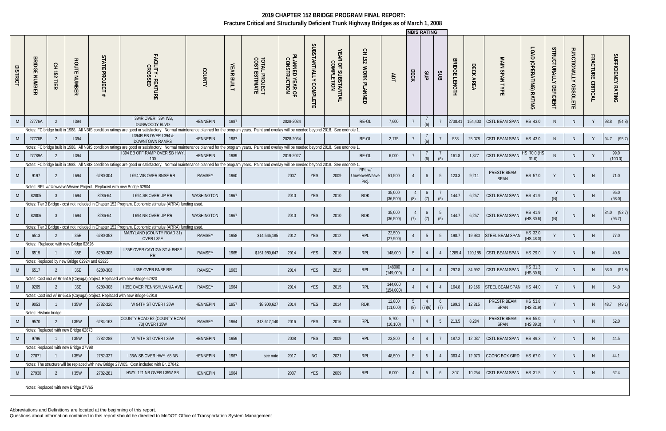Abbreviations and Definitions are located at the beginning of this report.

|                 |                                |                    |                                                |                                                                      |                                                                                                                                                                                                                            |                 |                      |                                        |                                 |                                  |                                   |                                    |                      | <b>INBIS RATING</b> |                 |                 |                                |           |                        |                                 |                                  |                                        |                                    |                       |
|-----------------|--------------------------------|--------------------|------------------------------------------------|----------------------------------------------------------------------|----------------------------------------------------------------------------------------------------------------------------------------------------------------------------------------------------------------------------|-----------------|----------------------|----------------------------------------|---------------------------------|----------------------------------|-----------------------------------|------------------------------------|----------------------|---------------------|-----------------|-----------------|--------------------------------|-----------|------------------------|---------------------------------|----------------------------------|----------------------------------------|------------------------------------|-----------------------|
| <b>DISTRICT</b> | <b>BRIDGE</b><br><b>NUMBER</b> | 오<br>251<br>言<br>ᅎ | <b>ROUTE</b><br>: NUMBER                       | STATE<br><b>PROJECT</b>                                              | FACILITY - FEATURE<br>CROSSED                                                                                                                                                                                              | <b>COUNTY</b>   | <b>YEAR</b><br>BUILT | <b>TOTAL PROJECT<br/>COST ESTIMATE</b> | PLANNED YEAR OF<br>CONSTRUCTION | SUBSTANTIALLY<br><b>COMPLETE</b> | YEAR OF SUBSTANTIAL<br>COMPLETION | 오<br>152<br><b>WORK</b><br>PLANNED | ЯDT                  | DECK                | SUP             | SUB             | <b>BRIDGE</b><br><b>LENGTH</b> | DECK AREA | MAIN SPAN TYPE         | LOAD<br>D<br>(OPERATING) RATING | STRUCTURALLY<br><b>DEFICIENT</b> | <b>FUNCTIONALLY</b><br><b>OBSOLETE</b> | <b>FRACTURE</b><br><b>CRITICAL</b> | SUFFICIENCY RATING    |
| M               | 27776A                         | $\overline{2}$     | 394                                            |                                                                      | I 394R OVER I 394 WB,<br>DUNWOODY BLVD                                                                                                                                                                                     | <b>HENNEPIN</b> | 1987                 |                                        | 2028-2034                       |                                  |                                   | RE-OL                              | 7,600                |                     |                 |                 | 2738.41                        | 154,403   | CSTL BEAM SPAN         | HS 43.0                         |                                  | N.                                     |                                    | 93.8 (94.8)           |
|                 |                                |                    |                                                |                                                                      | Notes: FC bridge built in 1988. All NBIS condition ratings are good or satisfactory. Normal maintenance planned for the program years. Paint and overlay will be needed beyond 2018. See endnote 1<br>1394R EB OVER 1394 & |                 |                      |                                        |                                 |                                  |                                   |                                    |                      |                     |                 |                 |                                |           |                        |                                 |                                  |                                        |                                    |                       |
| M               | 27776B                         |                    | 394                                            |                                                                      | <b>DOWNTOWN RAMPS</b>                                                                                                                                                                                                      | <b>HENNEPIN</b> | 1987                 |                                        | 2028-2034                       |                                  |                                   | RE-OL                              | 2,175                |                     |                 |                 | 538                            | 25,078    | <b>CSTL BEAM SPAN</b>  | HS 43.0                         | $\mathsf{N}$                     | N                                      | Y                                  | 94.7 (95.7)           |
|                 |                                |                    |                                                |                                                                      | Notes: FC bridge built in 1988. All NBIS condition ratings are good or satisfactory. Normal maintenance planned for the program years. Paint and overlay will be needed beyond 2018. See endnote 1                         |                 |                      |                                        |                                 |                                  |                                   |                                    |                      |                     |                 |                 |                                |           |                        |                                 |                                  |                                        |                                    |                       |
| M               | 27789A                         | - 2                | 394                                            |                                                                      | 394 EB OFF RAMP OVER SB HWY<br>100 <sub>1</sub>                                                                                                                                                                            | <b>HENNEPIN</b> | 1989                 |                                        | 2019-2027                       |                                  |                                   | RE-OL                              | 6,000                |                     |                 | (4)             | 161.8                          | 1,877     | <b>CSTL BEAM SPAN</b>  | HS 70.0 (HS<br>31.0             |                                  | N.                                     | Y                                  | 99.0<br>(100.0)       |
|                 |                                |                    |                                                |                                                                      | Notes: FC bridge built in 1988. All NBIS condition ratings are good or satisfactory. Normal maintenance planned for the program years. Paint and overlay will be needed beyond 2018. See endnote 1                         |                 |                      |                                        |                                 |                                  |                                   |                                    |                      |                     |                 |                 |                                |           |                        |                                 |                                  |                                        |                                    |                       |
| M               | 9197                           | - 2                | 1694                                           | 6280-304                                                             | 1694 WB OVER BNSF RR                                                                                                                                                                                                       | <b>RAMSEY</b>   | 1960                 |                                        | 2007                            | <b>YES</b>                       | 2009                              | RPL w/<br>Unweave/Weave<br>Proi.   | 51,500               |                     | 6               | -5              | 123.3                          | 9,211     | PRESTR BEAM<br>SPAN    | HS 57.0                         |                                  | N.                                     | <sup>N</sup>                       | 71.0                  |
|                 |                                |                    |                                                | Notes: RPL w/ Unweave/Weave Project. Replaced with new Bridge 62904. |                                                                                                                                                                                                                            |                 |                      |                                        |                                 |                                  |                                   |                                    |                      |                     |                 |                 |                                |           |                        |                                 |                                  |                                        |                                    |                       |
| M               | 82805                          |                    | 1694                                           | 8286-64                                                              | I 694 SB OVER UP RR                                                                                                                                                                                                        | WASHINGTON      | 1967                 |                                        | 2010                            | <b>YES</b>                       | 2010                              | <b>RDK</b>                         | 35,000<br>(36,500)   | (8)                 | $\circ$<br>(7)  | (6)             | 144.7                          | 6,257     | <b>CSTL BEAM SPAN</b>  | HS 41.9                         | (N)                              | N.                                     | N.                                 | 95.0<br>(98.0)        |
|                 |                                |                    |                                                |                                                                      | Notes: Tier 3 Bridge - cost not included in Chapter 152 Program. Economic stimulus (ARRA) funding used                                                                                                                     |                 |                      |                                        |                                 |                                  |                                   |                                    |                      |                     |                 |                 |                                |           |                        |                                 |                                  |                                        |                                    |                       |
|                 | 82806                          | - 3                | 1694                                           | 8286-64                                                              | 1694 NB OVER UP RR                                                                                                                                                                                                         | WASHINGTON      | 1967                 |                                        | 2010                            | <b>YES</b>                       | 2010                              | <b>RDK</b>                         | 35,000<br>(36, 500)  | (7)                 | 6<br>(7)        | - 5<br>(6)      | 144.7                          | 6,257     | <b>CSTL BEAM SPAN</b>  | HS 41.9<br>(HS 30.6)            | (N)                              |                                        |                                    | 84.0 (93.7)<br>(96.7) |
|                 |                                |                    |                                                |                                                                      | Notes: Tier 3 Bridge - cost not included in Chapter 152 Program. Economic stimulus (ARRA) funding used                                                                                                                     |                 |                      |                                        |                                 |                                  |                                   |                                    |                      |                     |                 |                 |                                |           |                        |                                 |                                  |                                        |                                    |                       |
| - M             | 6513                           |                    | 135E                                           | 6280-353                                                             | MARYLAND (COUNTY ROAD 31)<br>OVER I 35E                                                                                                                                                                                    | RAMSEY          | 1958                 | \$14,546,185                           | 2012                            | <b>YES</b>                       | 2012                              | RPL                                | 22,500<br>(27,900)   |                     | $5\overline{)}$ | -5              | 198.7                          | 19,930    | <b>STEEL BEAM SPAN</b> | HS 32.0<br>(HS 48.0)            |                                  | N.                                     | <sup>N</sup>                       | 77.0                  |
|                 | 6515                           |                    | Notes: Replaced with new Bridge 62626<br>135E  | 6280-308                                                             | I 35E OVER CAYUGA ST & BNSF<br>R <sub>R</sub>                                                                                                                                                                              | <b>RAMSEY</b>   | 1965                 | \$161,980,647                          | 2014                            | <b>YES</b>                       | 2016                              | RPL                                | 148,000              | 5 <sup>5</sup>      |                 |                 | 1285.4                         | 120,185   | <b>CSTL BEAM SPAN</b>  | HS 29.0                         |                                  | N                                      | N                                  | 40.8                  |
|                 |                                |                    | Notes: Replaced by new Bridge 62924 and 62925. |                                                                      |                                                                                                                                                                                                                            |                 |                      |                                        |                                 |                                  |                                   |                                    |                      |                     |                 |                 |                                |           |                        |                                 |                                  |                                        |                                    |                       |
|                 | 6517                           |                    | 135E                                           | 6280-308                                                             | <b>I 35E OVER BNSF RR</b>                                                                                                                                                                                                  | <b>RAMSEY</b>   | 1963                 |                                        | 2014                            | <b>YES</b>                       | 2015                              | RPL                                | 148000<br>(149,000)  |                     |                 |                 | 297.8                          | 34,992    | <b>CSTL BEAM SPAN</b>  | HS 31.3<br>(HS 30.6)            |                                  | N.                                     | N.                                 | 53.0 (51.8)           |
|                 |                                |                    |                                                |                                                                      | Notes: Cost incl w/ Br 6515 (Cayuga) project. Replaced with new Bridge 62920                                                                                                                                               |                 |                      |                                        |                                 |                                  |                                   |                                    |                      |                     |                 |                 |                                |           |                        |                                 |                                  |                                        |                                    |                       |
| M               | 9265                           |                    | 135E                                           | 6280-308                                                             | I 35E OVER PENNSYLVANIA AVE                                                                                                                                                                                                | RAMSEY          | 1964                 |                                        | 2014                            | YES                              | 2015                              | RPL                                | 144,000<br>(154,000) |                     |                 |                 | 164.8                          | 19,166    | STEEL BEAM SPAN        | HS 44.0                         |                                  | N.                                     | N                                  | 64.0                  |
|                 |                                |                    |                                                |                                                                      | Notes: Cost incl w/ Br 6515 (Cayuga) project. Replaced with new Bridge 62918                                                                                                                                               |                 |                      |                                        |                                 |                                  |                                   |                                    | 12,800               |                     |                 |                 |                                |           | <b>PRESTR BEAM</b>     | HS 53.8                         |                                  |                                        |                                    |                       |
| <b>M</b>        | 9053                           |                    | <b>135W</b>                                    | 2782-320                                                             | W 94TH ST OVER I 35W                                                                                                                                                                                                       | <b>HENNEPIN</b> | 1957                 | \$8,900,627                            | 2014                            | YES                              | 2014                              | <b>RDK</b>                         | (11,000)             | (8)                 | 7(6)            | $\circ$<br>(7)  | 199.3                          | 12,815    | SPAN                   | (HS 31.9)                       |                                  | N.                                     | <sup>N</sup>                       | 48.7 (49.1)           |
| M               | Notes: Historic bridge<br>9570 | 2                  | <b>135W</b>                                    | 6284-163                                                             | COUNTY ROAD E2 (COUNTY ROAD<br>73) OVER I 35W                                                                                                                                                                              | RAMSEY          | 1964                 | \$13,617,140                           | 2016                            | YES                              | 2016                              | RPL                                | 5,700<br>(10, 100)   |                     |                 | $5\phantom{.0}$ | 213.5                          | 8,284     | PRESTR BEAM<br>SPAN    | HS 55.0<br>(HS 39.3)            |                                  | N.                                     | N                                  | 52.0                  |
|                 |                                |                    | Notes: Replaced with new Bridge 62873          |                                                                      |                                                                                                                                                                                                                            |                 |                      |                                        |                                 |                                  |                                   |                                    |                      |                     |                 |                 |                                |           |                        |                                 |                                  |                                        |                                    |                       |
| M               | 9796                           |                    | <b>135W</b>                                    | 2782-288                                                             | W 76TH ST OVER I 35W                                                                                                                                                                                                       | <b>HENNEPIN</b> | 1959                 |                                        | 2008                            | YES                              | 2009                              | RPL                                | 23,800               |                     |                 |                 | 187.2                          | 12,037    | <b>CSTL BEAM SPAN</b>  | HS 49.3                         |                                  | N.                                     | N                                  | 44.5                  |
|                 |                                |                    | Notes: Replaced with new Bridge 27V98          |                                                                      |                                                                                                                                                                                                                            |                 |                      |                                        |                                 |                                  |                                   |                                    |                      |                     |                 |                 |                                |           |                        |                                 |                                  |                                        |                                    |                       |
| M               | 27871                          |                    | <b>135W</b>                                    | 2782-327                                                             | I 35W SB OVER HWY. 65 NB                                                                                                                                                                                                   | <b>HENNEPIN</b> | 1967                 | see note                               | 2017                            | NO                               | 2021                              | RPL                                | 48,500               | 5                   | 5               | $\overline{4}$  | 363.4                          | 12,973    | CCONC BOX GIRD         | HS 67.0                         |                                  | N.                                     | N                                  | 44.1                  |
|                 |                                |                    |                                                |                                                                      | Notes: The structure will be replaced with new Bridge 27W05. Cost included with Br. 27842.                                                                                                                                 |                 |                      |                                        |                                 |                                  |                                   |                                    |                      |                     |                 |                 |                                |           |                        |                                 |                                  |                                        |                                    |                       |
| M               | 27930                          | 2                  | <b>135W</b>                                    | 2782-281                                                             | HWY. 121 NB OVER I 35W SB                                                                                                                                                                                                  | <b>HENNEPIN</b> | 1964                 |                                        | 2007                            | YES                              | 2009                              | RPL                                | 6,000                |                     | 5               | 6               | 307                            | 10,254    | <b>CSTL BEAM SPAN</b>  | HS 31.5                         |                                  | N.                                     | N.                                 | 62.4                  |
|                 |                                |                    | Notes: Replaced with new Bridge 27V65          |                                                                      |                                                                                                                                                                                                                            |                 |                      |                                        |                                 |                                  |                                   |                                    |                      |                     |                 |                 |                                |           |                        |                                 |                                  |                                        |                                    |                       |